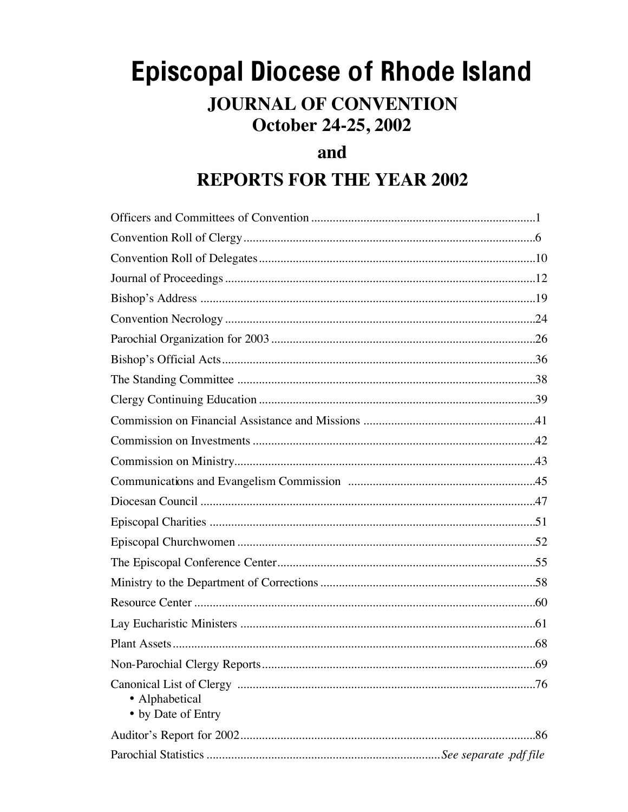# **Episcopal Diocese of Rhode Island JOURNAL OF CONVENTION** October 24-25, 2002

## and

## **REPORTS FOR THE YEAR 2002**

| • Alphabetical<br>• by Date of Entry |
|--------------------------------------|
|                                      |
|                                      |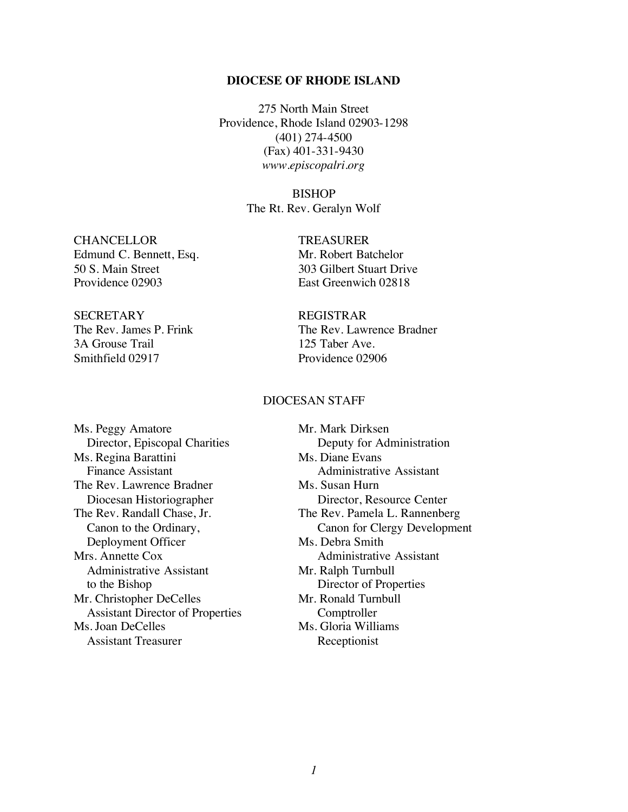#### **DIOCESE OF RHODE ISLAND**

275 North Main Street Providence, Rhode Island 02903-1298 (401) 274-4500 (Fax) 401-331-9430 *www.episcopalri.org*

BISHOP

The Rt. Rev. Geralyn Wolf

CHANCELLOR TREASURER Edmund C. Bennett, Esq. Mr. Robert Batchelor 50 S. Main Street 303 Gilbert Stuart Drive Providence 02903 East Greenwich 02818

SECRETARY REGISTRAR 3A Grouse Trail 125 Taber Ave. Smithfield 02917 Providence 02906

The Rev. James P. Frink The Rev. Lawrence Bradner

#### DIOCESAN STAFF

Ms. Peggy Amatore Mr. Mark Dirksen Ms. Regina Barattini Ms. Diane Evans Finance Assistant **Administrative Assistant** The Rev. Lawrence Bradner Ms. Susan Hurn Diocesan Historiographer Director, Resource Center The Rev. Randall Chase, Jr. The Rev. Pamela L. Rannenberg Deployment Officer Ms. Debra Smith Mrs. Annette Cox Administrative Assistant Administrative Assistant Mr. Ralph Turnbull to the Bishop Director of Properties Mr. Christopher DeCelles Mr. Ronald Turnbull Assistant Director of Properties Comptroller Ms. Joan DeCelles Ms. Gloria Williams Assistant Treasurer Receptionist

Director, Episcopal Charities Deputy for Administration Canon to the Ordinary, Canon for Clergy Development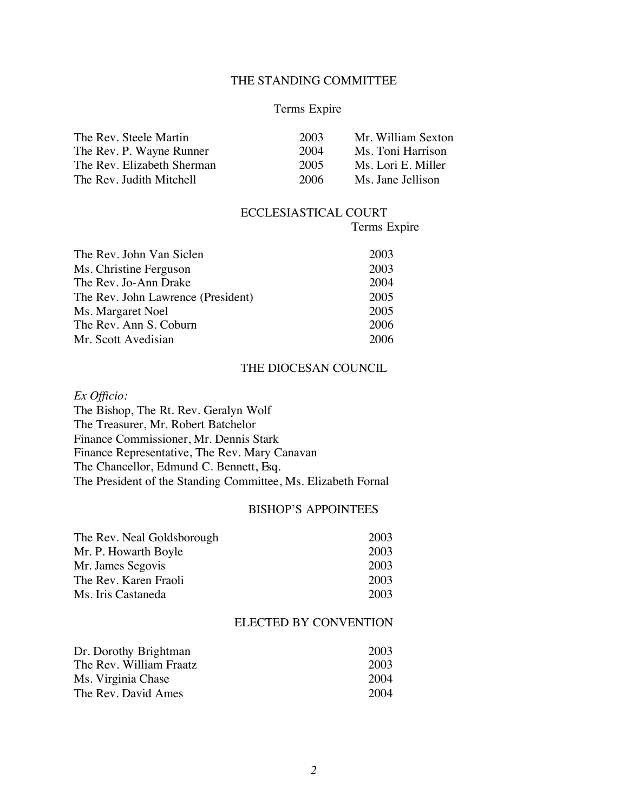#### THE STANDING COMMITTEE

#### Terms Expire

| 2003 | Mr. William Sexton |
|------|--------------------|
| 2004 | Ms. Toni Harrison  |
| 2005 | Ms. Lori E. Miller |
| 2006 | Ms. Jane Jellison  |
|      |                    |

#### ECCLESIASTICAL COURT

Terms Expire

| The Rev. John Van Siclen           | 2003 |
|------------------------------------|------|
| Ms. Christine Ferguson             | 2003 |
| The Rev. Jo-Ann Drake              | 2004 |
| The Rev. John Lawrence (President) | 2005 |
| Ms. Margaret Noel                  | 2005 |
| The Rev. Ann S. Coburn             | 2006 |
| Mr. Scott Avedisian                | 2006 |

#### THE DIOCESAN COUNCIL

*Ex Officio:*

The Bishop, The Rt. Rev. Geralyn Wolf The Treasurer, Mr. Robert Batchelor Finance Commissioner, Mr. Dennis Stark Finance Representative, The Rev. Mary Canavan The Chancellor, Edmund C. Bennett, Esq. The President of the Standing Committee, Ms. Elizabeth Fornal

#### BISHOP'S APPOINTEES

| The Rev. Neal Goldsborough | 2003 |
|----------------------------|------|
| Mr. P. Howarth Boyle       | 2003 |
| Mr. James Segovis          | 2003 |
| The Rev. Karen Fraoli      | 2003 |
| Ms. Iris Castaneda         | 2003 |

#### ELECTED BY CONVENTION

| Dr. Dorothy Brightman   | 2003 |
|-------------------------|------|
| The Rev. William Fraatz | 2003 |
| Ms. Virginia Chase      | 2004 |
| The Rev. David Ames     | 2004 |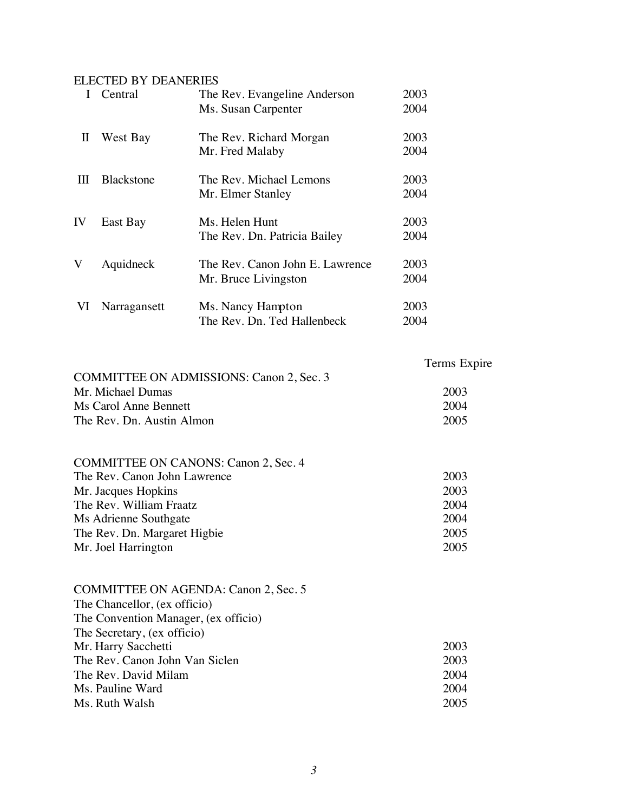#### ELECTED BY DEANERIES

|              | Central           | The Rev. Evangeline Anderson    | 2003 |
|--------------|-------------------|---------------------------------|------|
|              |                   | Ms. Susan Carpenter             | 2004 |
| $\mathbf{I}$ | West Bay          | The Rev. Richard Morgan         | 2003 |
|              |                   | Mr. Fred Malaby                 | 2004 |
| Ш            | <b>Blackstone</b> | The Rev. Michael Lemons         | 2003 |
|              |                   | Mr. Elmer Stanley               | 2004 |
| IV           | East Bay          | Ms. Helen Hunt                  | 2003 |
|              |                   | The Rev. Dn. Patricia Bailey    | 2004 |
| V            | Aquidneck         | The Rev. Canon John E. Lawrence | 2003 |
|              |                   | Mr. Bruce Livingston            | 2004 |
| VI           | Narragansett      | Ms. Nancy Hampton               | 2003 |
|              |                   | The Rev. Dn. Ted Hallenbeck     | 2004 |

| <b>COMMITTEE ON ADMISSIONS: Canon 2, Sec. 3</b> | Terms Expire |
|-------------------------------------------------|--------------|
| Mr. Michael Dumas                               | 2003         |
| Ms Carol Anne Bennett                           | 2004         |
| The Rev. Dn. Austin Almon                       | 2005         |

| COMMITTEE ON CANONS: Canon 2, Sec. 4 |      |
|--------------------------------------|------|
| The Rev. Canon John Lawrence         | 2003 |
| Mr. Jacques Hopkins                  | 2003 |
| The Rev. William Fraatz              | 2004 |
| Ms Adrienne Southgate                | 2004 |
| The Rev. Dn. Margaret Higbie         | 2005 |
| Mr. Joel Harrington                  | 2005 |

| <b>COMMITTEE ON AGENDA: Canon 2, Sec. 5</b> |      |
|---------------------------------------------|------|
| The Chancellor, (ex officio)                |      |
| The Convention Manager, (ex officio)        |      |
| The Secretary, (ex officio)                 |      |
| Mr. Harry Sacchetti                         | 2003 |
| The Rev. Canon John Van Siclen              | 2003 |
| The Rev. David Milam                        | 2004 |
| Ms. Pauline Ward                            | 2004 |
| Ms. Ruth Walsh                              | 2005 |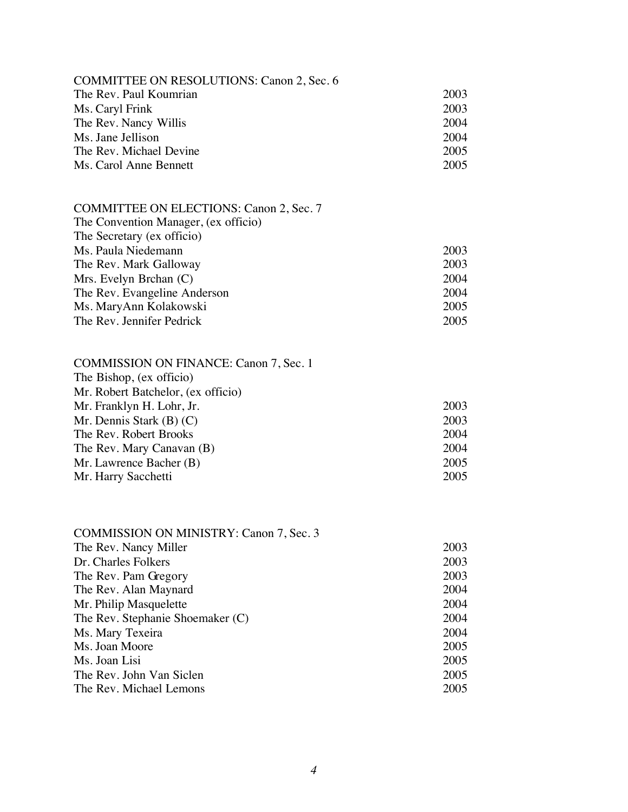| COMMITTEE ON RESOLUTIONS: Canon 2, Sec. 6      |      |
|------------------------------------------------|------|
| The Rev. Paul Koumrian                         | 2003 |
| Ms. Caryl Frink                                | 2003 |
| The Rev. Nancy Willis                          | 2004 |
| Ms. Jane Jellison                              | 2004 |
| The Rev. Michael Devine                        | 2005 |
| Ms. Carol Anne Bennett                         | 2005 |
|                                                |      |
| <b>COMMITTEE ON ELECTIONS: Canon 2, Sec. 7</b> |      |
| The Convention Manager, (ex officio)           |      |
| The Secretary (ex officio)                     |      |
| Ms. Paula Niedemann                            | 2003 |
| The Rev. Mark Galloway                         | 2003 |
| Mrs. Evelyn Brchan (C)                         | 2004 |
| The Rev. Evangeline Anderson                   | 2004 |
| Ms. MaryAnn Kolakowski                         | 2005 |
| The Rev. Jennifer Pedrick                      | 2005 |
|                                                |      |
| <b>COMMISSION ON FINANCE: Canon 7, Sec. 1</b>  |      |
| The Bishop, (ex officio)                       |      |
| Mr. Robert Batchelor, (ex officio)             |      |
| Mr. Franklyn H. Lohr, Jr.                      | 2003 |
| Mr. Dennis Stark $(B)$ $(C)$                   | 2003 |
| The Rev. Robert Brooks                         | 2004 |
| The Rev. Mary Canavan (B)                      | 2004 |
| Mr. Lawrence Bacher (B)                        | 2005 |
| Mr. Harry Sacchetti                            | 2005 |
|                                                |      |
| COMMISSION ON MINISTRY: Canon 7, Sec. 3        |      |
| The Rev. Nancy Miller                          | 2003 |
| Dr. Charles Folkers                            | 2003 |
| The Rev. Pam Gregory                           | 2003 |
| The Rev. Alan Maynard                          | 2004 |
| Mr. Philip Masquelette                         | 2004 |
| The Rev. Stephanie Shoemaker (C)               | 2004 |
| Ms. Mary Texeira                               | 2004 |
| Ms. Joan Moore                                 | 2005 |
| Ms. Joan Lisi                                  | 2005 |
| The Rev. John Van Siclen                       | 2005 |
| The Rev. Michael Lemons                        | 2005 |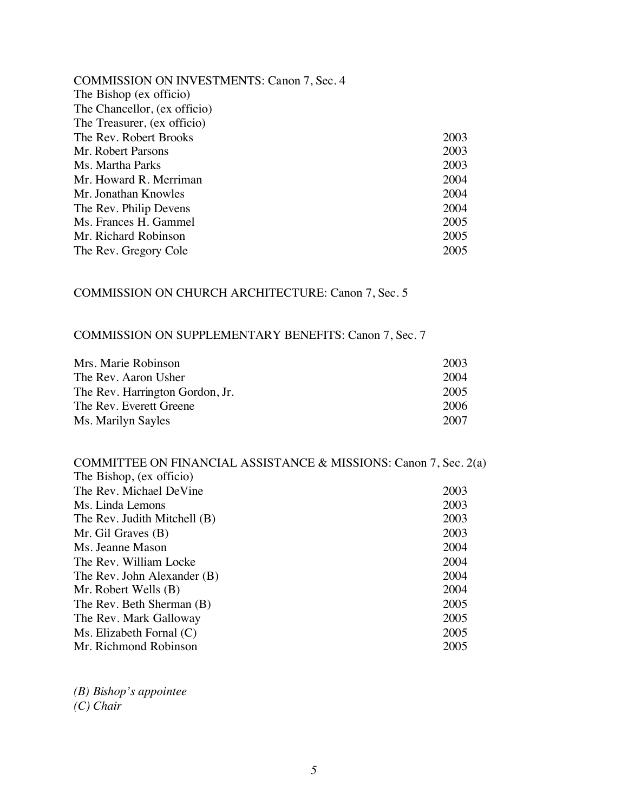| <b>COMMISSION ON INVESTMENTS: Canon 7, Sec. 4</b> |      |
|---------------------------------------------------|------|
| The Bishop (ex officio)                           |      |
| The Chancellor, (ex officio)                      |      |
| The Treasurer, (ex officio)                       |      |
| The Rev. Robert Brooks                            | 2003 |
| Mr. Robert Parsons                                | 2003 |
| Ms. Martha Parks                                  | 2003 |
| Mr. Howard R. Merriman                            | 2004 |
| Mr. Jonathan Knowles                              | 2004 |
| The Rev. Philip Devens                            | 2004 |
| Ms. Frances H. Gammel                             | 2005 |
| Mr. Richard Robinson                              | 2005 |
| The Rev. Gregory Cole                             | 2005 |

### COMMISSION ON CHURCH ARCHITECTURE: Canon 7, Sec. 5

## COMMISSION ON SUPPLEMENTARY BENEFITS: Canon 7, Sec. 7

| Mrs. Marie Robinson             | 2003 |
|---------------------------------|------|
| The Rev. Aaron Usher            | 2004 |
| The Rev. Harrington Gordon, Jr. | 2005 |
| The Rev. Everett Greene         | 2006 |
| Ms. Marilyn Sayles              | 2007 |

| COMMITTEE ON FINANCIAL ASSISTANCE & MISSIONS: Canon 7, Sec. 2(a) |      |
|------------------------------------------------------------------|------|
| The Bishop, (ex officio)                                         |      |
| The Rev. Michael DeVine                                          | 2003 |
| Ms. Linda Lemons                                                 | 2003 |
| The Rev. Judith Mitchell (B)                                     | 2003 |
| Mr. Gil Graves $(B)$                                             | 2003 |
| Ms. Jeanne Mason                                                 | 2004 |
| The Rev. William Locke                                           | 2004 |
| The Rev. John Alexander (B)                                      | 2004 |
| Mr. Robert Wells (B)                                             | 2004 |
| The Rev. Beth Sherman (B)                                        | 2005 |
| The Rev. Mark Galloway                                           | 2005 |
| Ms. Elizabeth Fornal $(C)$                                       | 2005 |
| Mr. Richmond Robinson                                            | 2005 |
|                                                                  |      |

*(B) Bishop's appointee (C) Chair*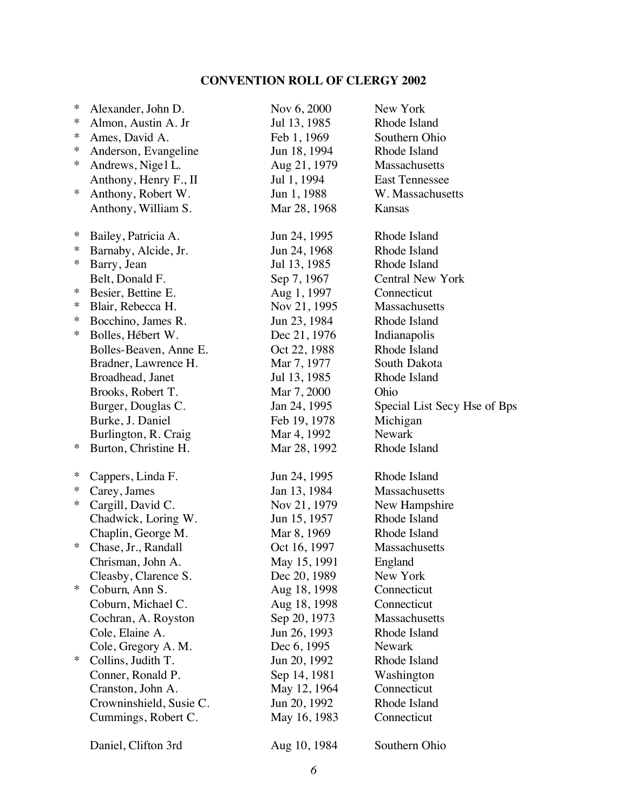### **CONVENTION ROLL OF CLERGY 2002**

| ∗      | Alexander, John D.      | Nov 6, 2000  | New York                     |
|--------|-------------------------|--------------|------------------------------|
| ∗      | Almon, Austin A. Jr     | Jul 13, 1985 | Rhode Island                 |
| ∗      | Ames, David A.          | Feb 1, 1969  | Southern Ohio                |
| ∗      | Anderson, Evangeline    | Jun 18, 1994 | Rhode Island                 |
| ∗      | Andrews, Nigel L.       | Aug 21, 1979 | Massachusetts                |
|        | Anthony, Henry F., II   | Jul 1, 1994  | <b>East Tennessee</b>        |
| ∗      | Anthony, Robert W.      | Jun 1, 1988  | W. Massachusetts             |
|        | Anthony, William S.     | Mar 28, 1968 | Kansas                       |
| ∗      | Bailey, Patricia A.     | Jun 24, 1995 | Rhode Island                 |
| ∗      | Barnaby, Alcide, Jr.    | Jun 24, 1968 | Rhode Island                 |
| ∗      | Barry, Jean             | Jul 13, 1985 | Rhode Island                 |
|        | Belt, Donald F.         | Sep 7, 1967  | <b>Central New York</b>      |
| ∗      | Besier, Bettine E.      | Aug 1, 1997  | Connecticut                  |
| ∗      | Blair, Rebecca H.       | Nov 21, 1995 | Massachusetts                |
| ∗      | Bocchino, James R.      | Jun 23, 1984 | Rhode Island                 |
| ∗      | Bolles, Hébert W.       | Dec 21, 1976 | Indianapolis                 |
|        | Bolles-Beaven, Anne E.  | Oct 22, 1988 | Rhode Island                 |
|        | Bradner, Lawrence H.    | Mar 7, 1977  | South Dakota                 |
|        | Broadhead, Janet        | Jul 13, 1985 | Rhode Island                 |
|        | Brooks, Robert T.       | Mar 7, 2000  | Ohio                         |
|        | Burger, Douglas C.      | Jan 24, 1995 | Special List Secy Hse of Bps |
|        | Burke, J. Daniel        | Feb 19, 1978 | Michigan                     |
|        | Burlington, R. Craig    | Mar 4, 1992  | <b>Newark</b>                |
| ∗      | Burton, Christine H.    | Mar 28, 1992 | Rhode Island                 |
| ∗      | Cappers, Linda F.       | Jun 24, 1995 | Rhode Island                 |
| ∗      | Carey, James            | Jan 13, 1984 | Massachusetts                |
| ∗      | Cargill, David C.       | Nov 21, 1979 | New Hampshire                |
|        | Chadwick, Loring W.     | Jun 15, 1957 | Rhode Island                 |
|        | Chaplin, George M.      | Mar 8, 1969  | Rhode Island                 |
| ∗      | Chase, Jr., Randall     | Oct 16, 1997 | Massachusetts                |
|        | Chrisman, John A.       | May 15, 1991 | England                      |
|        | Cleasby, Clarence S.    | Dec 20, 1989 | New York                     |
| ∗      | Coburn, Ann S.          | Aug 18, 1998 | Connecticut                  |
|        | Coburn, Michael C.      | Aug 18, 1998 | Connecticut                  |
|        | Cochran, A. Royston     | Sep 20, 1973 | Massachusetts                |
|        | Cole, Elaine A.         | Jun 26, 1993 | Rhode Island                 |
|        | Cole, Gregory A. M.     | Dec 6, 1995  | Newark                       |
| $\ast$ | Collins, Judith T.      | Jun 20, 1992 | Rhode Island                 |
|        | Conner, Ronald P.       | Sep 14, 1981 | Washington                   |
|        | Cranston, John A.       | May 12, 1964 | Connecticut                  |
|        | Crowninshield, Susie C. | Jun 20, 1992 | Rhode Island                 |
|        | Cummings, Robert C.     | May 16, 1983 | Connecticut                  |
|        | Daniel, Clifton 3rd     | Aug 10, 1984 | Southern Ohio                |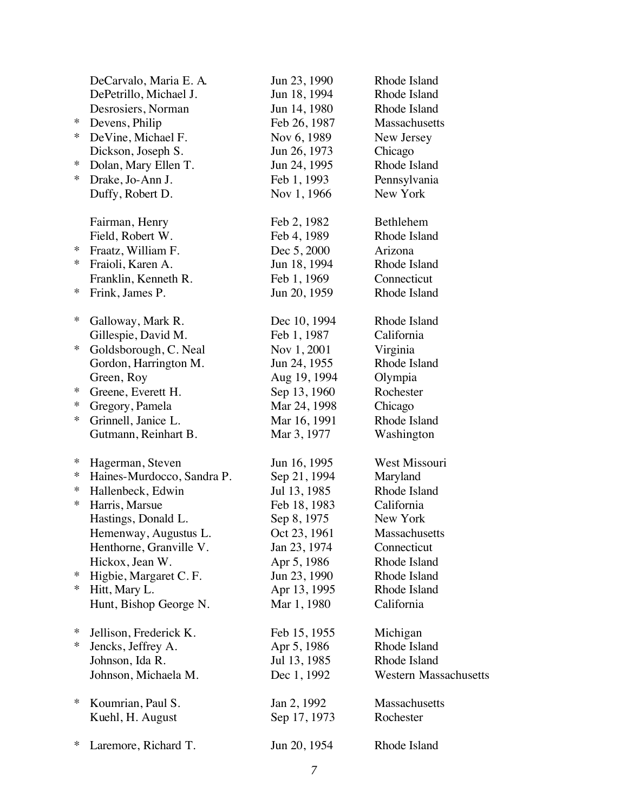|        | DeCarvalo, Maria E. A.     | Jun 23, 1990                | Rhode Island                 |
|--------|----------------------------|-----------------------------|------------------------------|
|        | DePetrillo, Michael J.     | Jun 18, 1994                | Rhode Island                 |
|        | Desrosiers, Norman         | Jun 14, 1980                | Rhode Island                 |
| ∗      | Devens, Philip             | Feb 26, 1987                | Massachusetts                |
| ∗      | DeVine, Michael F.         | Nov 6, 1989                 | New Jersey                   |
|        | Dickson, Joseph S.         | Jun 26, 1973                | Chicago                      |
| ∗      | Dolan, Mary Ellen T.       | Jun 24, 1995                | Rhode Island                 |
| $\ast$ | Drake, Jo-Ann J.           | Feb 1, 1993                 | Pennsylvania                 |
|        | Duffy, Robert D.           | Nov 1, 1966                 | New York                     |
|        | Fairman, Henry             | Feb 2, 1982                 | Bethlehem                    |
|        | Field, Robert W.           | Feb 4, 1989                 | Rhode Island                 |
| $\ast$ | Fraatz, William F.         | Dec 5, 2000                 | Arizona                      |
| $\ast$ | Fraioli, Karen A.          | Jun 18, 1994                | Rhode Island                 |
|        | Franklin, Kenneth R.       | Feb 1, 1969                 | Connecticut                  |
| ∗      | Frink, James P.            | Jun 20, 1959                | Rhode Island                 |
| ∗      | Galloway, Mark R.          | Dec 10, 1994                | Rhode Island                 |
|        | Gillespie, David M.        | Feb 1, 1987                 | California                   |
| ∗      | Goldsborough, C. Neal      | Nov 1, 2001                 | Virginia                     |
|        | Gordon, Harrington M.      | Jun 24, 1955                | Rhode Island                 |
|        | Green, Roy                 | Aug 19, 1994                | Olympia                      |
| ∗      | Greene, Everett H.         | Sep 13, 1960                | Rochester                    |
| $\ast$ | Gregory, Pamela            | Mar 24, 1998                | Chicago                      |
| $\ast$ | Grinnell, Janice L.        | Mar 16, 1991                | Rhode Island                 |
|        | Gutmann, Reinhart B.       | Mar 3, 1977                 | Washington                   |
| ∗      | Hagerman, Steven           | Jun 16, 1995                | West Missouri                |
| ∗      | Haines-Murdocco, Sandra P. | Sep 21, 1994                | Maryland                     |
| ∗      | Hallenbeck, Edwin          | Jul 13, 1985                | Rhode Island                 |
| ∗      | Harris, Marsue             | Feb 18, 1983                | California                   |
|        | Hastings, Donald L.        | Sep 8, 1975                 | New York                     |
|        | Hemenway, Augustus L.      | Oct 23, 1961                | Massachusetts                |
|        | Henthorne, Granville V.    | Jan 23, 1974                | Connecticut                  |
|        | Hickox, Jean W.            | Apr 5, 1986                 | Rhode Island                 |
| ∗      | Higbie, Margaret C.F.      | Jun 23, 1990                | Rhode Island                 |
| $\ast$ | Hitt, Mary L.              | Apr 13, 1995                | Rhode Island                 |
|        | Hunt, Bishop George N.     | Mar 1, 1980                 | California                   |
| ∗      | Jellison, Frederick K.     | Feb 15, 1955                | Michigan                     |
| ∗      | Jencks, Jeffrey A.         | Apr 5, 1986                 | Rhode Island                 |
|        | Johnson, Ida R.            | Jul 13, 1985                | Rhode Island                 |
|        | Johnson, Michaela M.       | Dec 1, 1992                 | <b>Western Massachusetts</b> |
| ∗      |                            |                             |                              |
|        | Koumrian, Paul S.          | Jan 2, 1992<br>Sep 17, 1973 | Massachusetts<br>Rochester   |
|        | Kuehl, H. August           |                             |                              |
| ∗      | Laremore, Richard T.       | Jun 20, 1954                | Rhode Island                 |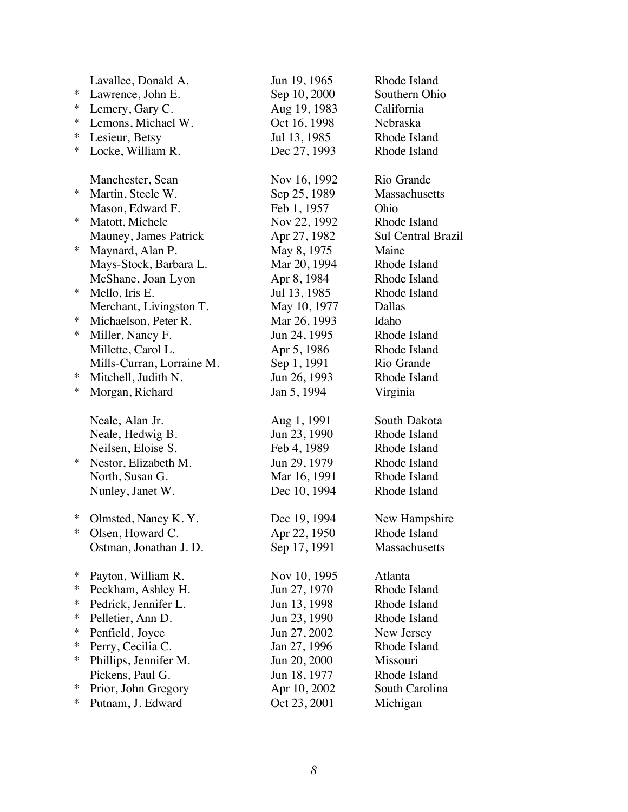|        | Lavallee, Donald A.       | Jun 19, 1965 | Rhode Island       |
|--------|---------------------------|--------------|--------------------|
| ∗      | Lawrence, John E.         | Sep 10, 2000 | Southern Ohio      |
| ∗      | Lemery, Gary C.           | Aug 19, 1983 | California         |
| ∗      | Lemons, Michael W.        | Oct 16, 1998 | Nebraska           |
| ∗      | Lesieur, Betsy            | Jul 13, 1985 | Rhode Island       |
| $\ast$ | Locke, William R.         | Dec 27, 1993 | Rhode Island       |
|        | Manchester, Sean          | Nov 16, 1992 | Rio Grande         |
| ∗      | Martin, Steele W.         | Sep 25, 1989 | Massachusetts      |
|        | Mason, Edward F.          | Feb 1, 1957  | Ohio               |
| ∗      | Matott, Michele           | Nov 22, 1992 | Rhode Island       |
|        | Mauney, James Patrick     | Apr 27, 1982 | Sul Central Brazil |
| $\ast$ | Maynard, Alan P.          | May 8, 1975  | Maine              |
|        | Mays-Stock, Barbara L.    | Mar 20, 1994 | Rhode Island       |
|        | McShane, Joan Lyon        | Apr 8, 1984  | Rhode Island       |
| ∗      | Mello, Iris E.            | Jul 13, 1985 | Rhode Island       |
|        | Merchant, Livingston T.   | May 10, 1977 | Dallas             |
| ∗      | Michaelson, Peter R.      | Mar 26, 1993 | Idaho              |
| ∗      | Miller, Nancy F.          | Jun 24, 1995 | Rhode Island       |
|        | Millette, Carol L.        | Apr 5, 1986  | Rhode Island       |
|        | Mills-Curran, Lorraine M. | Sep 1, 1991  | Rio Grande         |
| ∗      | Mitchell, Judith N.       | Jun 26, 1993 | Rhode Island       |
| ∗      | Morgan, Richard           | Jan 5, 1994  | Virginia           |
|        | Neale, Alan Jr.           | Aug 1, 1991  | South Dakota       |
|        | Neale, Hedwig B.          | Jun 23, 1990 | Rhode Island       |
|        | Neilsen, Eloise S.        | Feb 4, 1989  | Rhode Island       |
| ∗      | Nestor, Elizabeth M.      | Jun 29, 1979 | Rhode Island       |
|        | North, Susan G.           | Mar 16, 1991 | Rhode Island       |
|        | Nunley, Janet W.          | Dec 10, 1994 | Rhode Island       |
| ∗      | Olmsted, Nancy K.Y.       | Dec 19, 1994 | New Hampshire      |
| $\ast$ | Olsen, Howard C.          | Apr 22, 1950 | Rhode Island       |
|        | Ostman, Jonathan J.D.     | Sep 17, 1991 | Massachusetts      |
| ∗      | Payton, William R.        | Nov 10, 1995 | Atlanta            |
| ∗      | Peckham, Ashley H.        | Jun 27, 1970 | Rhode Island       |
| ∗      | Pedrick, Jennifer L.      | Jun 13, 1998 | Rhode Island       |
| ∗      | Pelletier, Ann D.         | Jun 23, 1990 | Rhode Island       |
| ∗      | Penfield, Joyce           | Jun 27, 2002 | New Jersey         |
| ∗      | Perry, Cecilia C.         | Jan 27, 1996 | Rhode Island       |
| ∗      | Phillips, Jennifer M.     | Jun 20, 2000 | Missouri           |
|        | Pickens, Paul G.          | Jun 18, 1977 | Rhode Island       |
| ∗      | Prior, John Gregory       | Apr 10, 2002 | South Carolina     |
| ∗      | Putnam, J. Edward         | Oct 23, 2001 | Michigan           |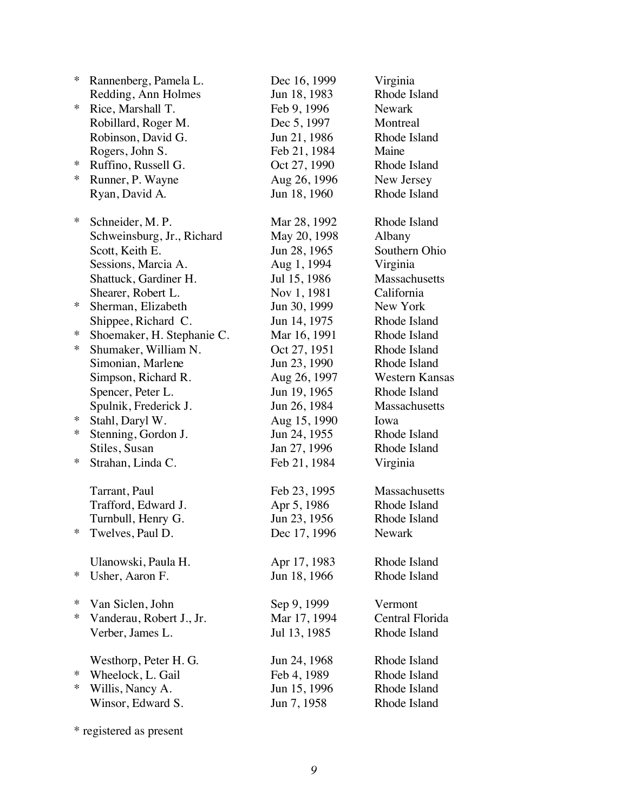| ∗      | Rannenberg, Pamela L.      | Dec 16, 1999 | Virginia              |
|--------|----------------------------|--------------|-----------------------|
|        | Redding, Ann Holmes        | Jun 18, 1983 | Rhode Island          |
| ∗      | Rice, Marshall T.          | Feb 9, 1996  | <b>Newark</b>         |
|        | Robillard, Roger M.        | Dec 5, 1997  | Montreal              |
|        | Robinson, David G.         | Jun 21, 1986 | Rhode Island          |
|        | Rogers, John S.            | Feb 21, 1984 | Maine                 |
| ∗      | Ruffino, Russell G.        | Oct 27, 1990 | Rhode Island          |
| ∗      | Runner, P. Wayne           | Aug 26, 1996 | New Jersey            |
|        | Ryan, David A.             | Jun 18, 1960 | Rhode Island          |
| ∗      | Schneider, M.P.            | Mar 28, 1992 | Rhode Island          |
|        | Schweinsburg, Jr., Richard | May 20, 1998 | Albany                |
|        | Scott, Keith E.            | Jun 28, 1965 | Southern Ohio         |
|        | Sessions, Marcia A.        | Aug 1, 1994  | Virginia              |
|        | Shattuck, Gardiner H.      | Jul 15, 1986 | Massachusetts         |
|        | Shearer, Robert L.         | Nov 1, 1981  | California            |
| ∗      | Sherman, Elizabeth         | Jun 30, 1999 | New York              |
|        | Shippee, Richard C.        | Jun 14, 1975 | Rhode Island          |
| ∗      | Shoemaker, H. Stephanie C. | Mar 16, 1991 | Rhode Island          |
| $\ast$ | Shumaker, William N.       | Oct 27, 1951 | Rhode Island          |
|        | Simonian, Marlene          | Jun 23, 1990 | Rhode Island          |
|        | Simpson, Richard R.        | Aug 26, 1997 | <b>Western Kansas</b> |
|        | Spencer, Peter L.          | Jun 19, 1965 | Rhode Island          |
|        | Spulnik, Frederick J.      | Jun 26, 1984 | Massachusetts         |
| ∗      | Stahl, Daryl W.            | Aug 15, 1990 | Iowa                  |
| ∗      | Stenning, Gordon J.        | Jun 24, 1955 | Rhode Island          |
|        | Stiles, Susan              | Jan 27, 1996 | Rhode Island          |
| ∗      | Strahan, Linda C.          | Feb 21, 1984 | Virginia              |
|        | Tarrant, Paul              | Feb 23, 1995 | Massachusetts         |
|        | Trafford, Edward J.        | Apr 5, 1986  | Rhode Island          |
|        | Turnbull, Henry G.         | Jun 23, 1956 | Rhode Island          |
| ⋇      | Twelves, Paul D.           | Dec 17, 1996 | Newark                |
|        | Ulanowski, Paula H.        | Apr 17, 1983 | Rhode Island          |
| ∗      | Usher, Aaron F.            | Jun 18, 1966 | Rhode Island          |
| ∗      | Van Siclen, John           | Sep 9, 1999  | Vermont               |
| ∗      | Vanderau, Robert J., Jr.   | Mar 17, 1994 | Central Florida       |
|        | Verber, James L.           | Jul 13, 1985 | Rhode Island          |
|        | Westhorp, Peter H. G.      | Jun 24, 1968 | Rhode Island          |
| ∗      | Wheelock, L. Gail          | Feb 4, 1989  | Rhode Island          |
| ∗      | Willis, Nancy A.           | Jun 15, 1996 | Rhode Island          |
|        | Winsor, Edward S.          | Jun 7, 1958  | Rhode Island          |

\* registered as present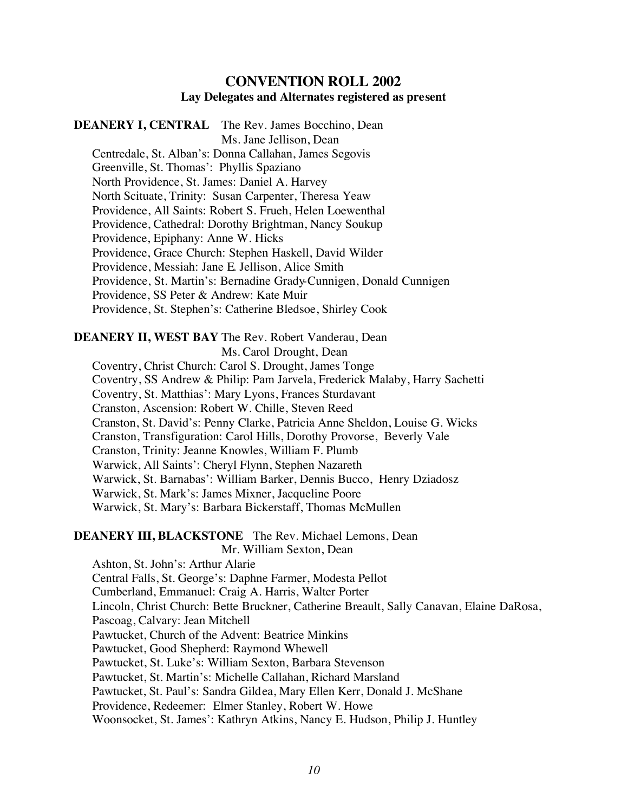#### **CONVENTION ROLL 2002 Lay Delegates and Alternates registered as present**

**DEANERY I, CENTRAL** The Rev. James Bocchino, Dean Ms. Jane Jellison, Dean Centredale, St. Alban's: Donna Callahan, James Segovis Greenville, St. Thomas': Phyllis Spaziano North Providence, St. James: Daniel A. Harvey North Scituate, Trinity: Susan Carpenter, Theresa Yeaw Providence, All Saints: Robert S. Frueh, Helen Loewenthal Providence, Cathedral: Dorothy Brightman, Nancy Soukup Providence, Epiphany: Anne W. Hicks Providence, Grace Church: Stephen Haskell, David Wilder Providence, Messiah: Jane E. Jellison, Alice Smith Providence, St. Martin's: Bernadine Grady-Cunnigen, Donald Cunnigen Providence, SS Peter & Andrew: Kate Muir Providence, St. Stephen's: Catherine Bledsoe, Shirley Cook

## **DEANERY II, WEST BAY** The Rev. Robert Vanderau, Dean

Ms. Carol Drought, Dean

Coventry, Christ Church: Carol S. Drought, James Tonge Coventry, SS Andrew & Philip: Pam Jarvela, Frederick Malaby, Harry Sachetti Coventry, St. Matthias': Mary Lyons, Frances Sturdavant Cranston, Ascension: Robert W. Chille, Steven Reed

Cranston, St. David's: Penny Clarke, Patricia Anne Sheldon, Louise G. Wicks

Cranston, Transfiguration: Carol Hills, Dorothy Provorse, Beverly Vale

Cranston, Trinity: Jeanne Knowles, William F. Plumb

Warwick, All Saints': Cheryl Flynn, Stephen Nazareth

Warwick, St. Barnabas': William Barker, Dennis Bucco, Henry Dziadosz

Warwick, St. Mark's: James Mixner, Jacqueline Poore

Warwick, St. Mary's: Barbara Bickerstaff, Thomas McMullen

**DEANERY III, BLACKSTONE** The Rev. Michael Lemons, Dean

Mr. William Sexton, Dean

Ashton, St. John's: Arthur Alarie Central Falls, St. George's: Daphne Farmer, Modesta Pellot Cumberland, Emmanuel: Craig A. Harris, Walter Porter Lincoln, Christ Church: Bette Bruckner, Catherine Breault, Sally Canavan, Elaine DaRosa, Pascoag, Calvary: Jean Mitchell Pawtucket, Church of the Advent: Beatrice Minkins Pawtucket, Good Shepherd: Raymond Whewell Pawtucket, St. Luke's: William Sexton, Barbara Stevenson Pawtucket, St. Martin's: Michelle Callahan, Richard Marsland Pawtucket, St. Paul's: Sandra Gildea, Mary Ellen Kerr, Donald J. McShane Providence, Redeemer: Elmer Stanley, Robert W. Howe Woonsocket, St. James': Kathryn Atkins, Nancy E. Hudson, Philip J. Huntley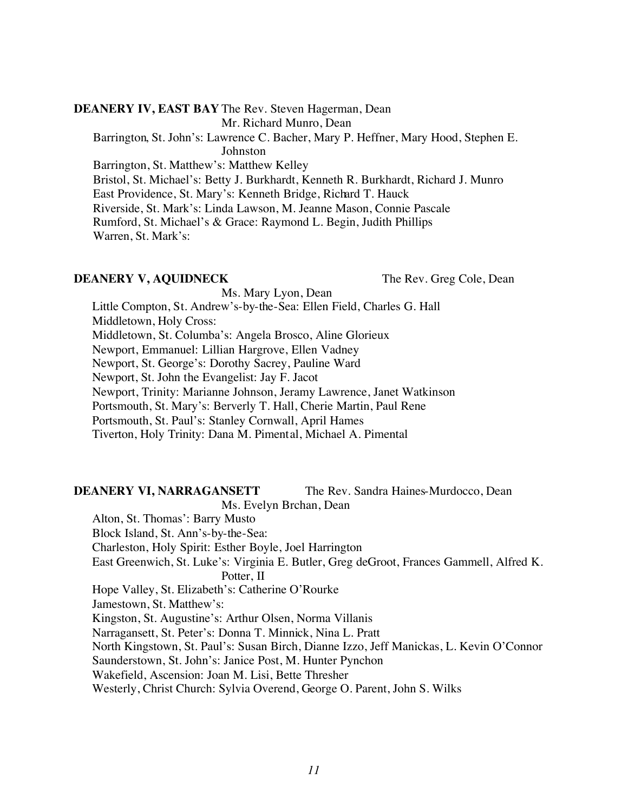#### **DEANERY IV, EAST BAY** The Rev. Steven Hagerman, Dean Mr. Richard Munro, Dean

Barrington, St. John's: Lawrence C. Bacher, Mary P. Heffner, Mary Hood, Stephen E.

Johnston

Barrington, St. Matthew's: Matthew Kelley Bristol, St. Michael's: Betty J. Burkhardt, Kenneth R. Burkhardt, Richard J. Munro East Providence, St. Mary's: Kenneth Bridge, Richard T. Hauck Riverside, St. Mark's: Linda Lawson, M. Jeanne Mason, Connie Pascale Rumford, St. Michael's & Grace: Raymond L. Begin, Judith Phillips Warren, St. Mark's:

#### **DEANERY V, AQUIDNECK** The Rev. Greg Cole, Dean

Ms. Mary Lyon, Dean

Little Compton, St. Andrew's-by-the-Sea: Ellen Field, Charles G. Hall Middletown, Holy Cross:

Middletown, St. Columba's: Angela Brosco, Aline Glorieux

Newport, Emmanuel: Lillian Hargrove, Ellen Vadney

Newport, St. George's: Dorothy Sacrey, Pauline Ward

Newport, St. John the Evangelist: Jay F. Jacot

Newport, Trinity: Marianne Johnson, Jeramy Lawrence, Janet Watkinson

Portsmouth, St. Mary's: Berverly T. Hall, Cherie Martin, Paul Rene

Portsmouth, St. Paul's: Stanley Cornwall, April Hames

Tiverton, Holy Trinity: Dana M. Pimental, Michael A. Pimental

## **DEANERY VI, NARRAGANSETT** The Rev. Sandra Haines-Murdocco, Dean

Ms. Evelyn Brchan, Dean

Alton, St. Thomas': Barry Musto

Block Island, St. Ann's-by-the-Sea:

Charleston, Holy Spirit: Esther Boyle, Joel Harrington

East Greenwich, St. Luke's: Virginia E. Butler, Greg deGroot, Frances Gammell, Alfred K. Potter, II

Hope Valley, St. Elizabeth's: Catherine O'Rourke

Jamestown, St. Matthew's:

Kingston, St. Augustine's: Arthur Olsen, Norma Villanis

Narragansett, St. Peter's: Donna T. Minnick, Nina L. Pratt

North Kingstown, St. Paul's: Susan Birch, Dianne Izzo, Jeff Manickas, L. Kevin O'Connor

Saunderstown, St. John's: Janice Post, M. Hunter Pynchon

Wakefield, Ascension: Joan M. Lisi, Bette Thresher

Westerly, Christ Church: Sylvia Overend, George O. Parent, John S. Wilks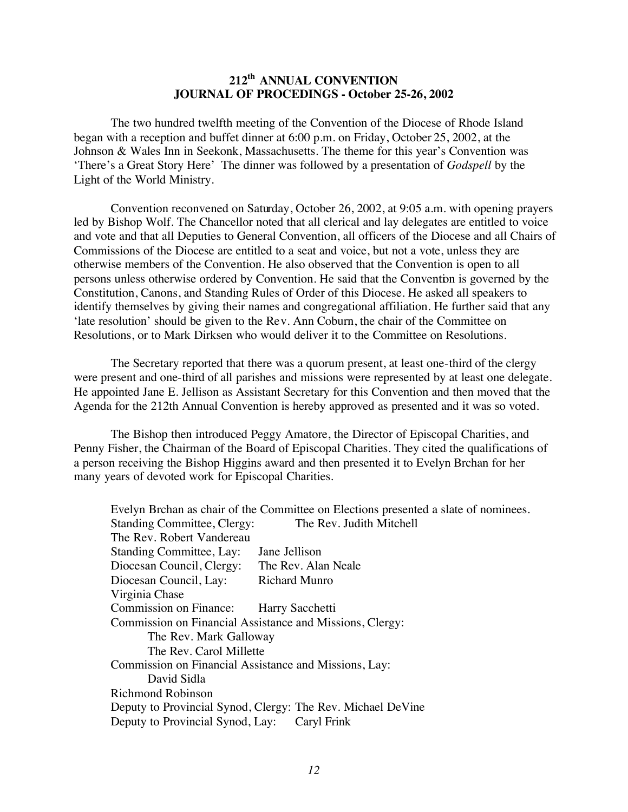#### **212th ANNUAL CONVENTION JOURNAL OF PROCEDINGS - October 25-26, 2002**

The two hundred twelfth meeting of the Convention of the Diocese of Rhode Island began with a reception and buffet dinner at 6:00 p.m. on Friday, October 25, 2002, at the Johnson & Wales Inn in Seekonk, Massachusetts. The theme for this year's Convention was 'There's a Great Story Here' The dinner was followed by a presentation of *Godspell* by the Light of the World Ministry.

Convention reconvened on Saturday, October 26, 2002, at 9:05 a.m. with opening prayers led by Bishop Wolf. The Chancellor noted that all clerical and lay delegates are entitled to voice and vote and that all Deputies to General Convention, all officers of the Diocese and all Chairs of Commissions of the Diocese are entitled to a seat and voice, but not a vote, unless they are otherwise members of the Convention. He also observed that the Convention is open to all persons unless otherwise ordered by Convention. He said that the Convention is governed by the Constitution, Canons, and Standing Rules of Order of this Diocese. He asked all speakers to identify themselves by giving their names and congregational affiliation. He further said that any 'late resolution' should be given to the Rev. Ann Coburn, the chair of the Committee on Resolutions, or to Mark Dirksen who would deliver it to the Committee on Resolutions.

The Secretary reported that there was a quorum present, at least one-third of the clergy were present and one-third of all parishes and missions were represented by at least one delegate. He appointed Jane E. Jellison as Assistant Secretary for this Convention and then moved that the Agenda for the 212th Annual Convention is hereby approved as presented and it was so voted.

The Bishop then introduced Peggy Amatore, the Director of Episcopal Charities, and Penny Fisher, the Chairman of the Board of Episcopal Charities. They cited the qualifications of a person receiving the Bishop Higgins award and then presented it to Evelyn Brchan for her many years of devoted work for Episcopal Charities.

|                                                             | Evelyn Brchan as chair of the Committee on Elections presented a slate of nominees. |  |  |
|-------------------------------------------------------------|-------------------------------------------------------------------------------------|--|--|
| <b>Standing Committee, Clergy:</b>                          | The Rev. Judith Mitchell                                                            |  |  |
| The Rev. Robert Vandereau                                   |                                                                                     |  |  |
| Standing Committee, Lay:                                    | Jane Jellison                                                                       |  |  |
| Diocesan Council, Clergy: The Rev. Alan Neale               |                                                                                     |  |  |
| Diocesan Council, Lay: Richard Munro                        |                                                                                     |  |  |
| Virginia Chase                                              |                                                                                     |  |  |
| Commission on Finance: Harry Sacchetti                      |                                                                                     |  |  |
| Commission on Financial Assistance and Missions, Clergy:    |                                                                                     |  |  |
| The Rev. Mark Galloway                                      |                                                                                     |  |  |
| The Rev. Carol Millette                                     |                                                                                     |  |  |
| Commission on Financial Assistance and Missions, Lay:       |                                                                                     |  |  |
| David Sidla                                                 |                                                                                     |  |  |
| <b>Richmond Robinson</b>                                    |                                                                                     |  |  |
| Deputy to Provincial Synod, Clergy: The Rev. Michael DeVine |                                                                                     |  |  |
| Deputy to Provincial Synod, Lay: Caryl Frink                |                                                                                     |  |  |
|                                                             |                                                                                     |  |  |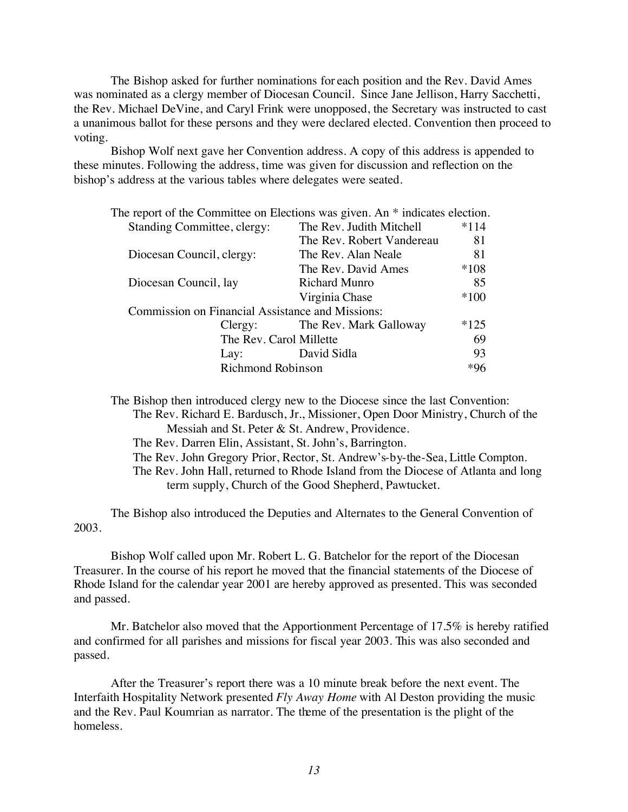The Bishop asked for further nominations for each position and the Rev. David Ames was nominated as a clergy member of Diocesan Council. Since Jane Jellison, Harry Sacchetti, the Rev. Michael DeVine, and Caryl Frink were unopposed, the Secretary was instructed to cast a unanimous ballot for these persons and they were declared elected. Convention then proceed to voting.

Bishop Wolf next gave her Convention address. A copy of this address is appended to these minutes. Following the address, time was given for discussion and reflection on the bishop's address at the various tables where delegates were seated.

| The report of the Committee on Elections was given. An $*$ indicates election. |                                |        |
|--------------------------------------------------------------------------------|--------------------------------|--------|
| <b>Standing Committee, clergy:</b>                                             | The Rev. Judith Mitchell       | $*114$ |
|                                                                                | The Rev. Robert Vandereau      | 81     |
| Diocesan Council, clergy:                                                      | The Rev. Alan Neale            | 81     |
|                                                                                | The Rev. David Ames            | $*108$ |
| Diocesan Council, lay                                                          | Richard Munro                  | 85     |
|                                                                                | Virginia Chase                 | $*100$ |
| <b>Commission on Financial Assistance and Missions:</b>                        |                                |        |
|                                                                                | Clergy: The Rev. Mark Galloway | $*125$ |
| The Rev. Carol Millette                                                        |                                | 69     |
| Lay:                                                                           | David Sidla                    | 93     |
| <b>Richmond Robinson</b>                                                       |                                | *96    |
|                                                                                |                                |        |

The Bishop then introduced clergy new to the Diocese since the last Convention: The Rev. Richard E. Bardusch, Jr., Missioner, Open Door Ministry, Church of the Messiah and St. Peter & St. Andrew, Providence. The Rev. Darren Elin, Assistant, St. John's, Barrington. The Rev. John Gregory Prior, Rector, St. Andrew's-by-the-Sea, Little Compton. The Rev. John Hall, returned to Rhode Island from the Diocese of Atlanta and long term supply, Church of the Good Shepherd, Pawtucket.

The Bishop also introduced the Deputies and Alternates to the General Convention of 2003.

Bishop Wolf called upon Mr. Robert L. G. Batchelor for the report of the Diocesan Treasurer. In the course of his report he moved that the financial statements of the Diocese of Rhode Island for the calendar year 2001 are hereby approved as presented. This was seconded and passed.

Mr. Batchelor also moved that the Apportionment Percentage of 17.5% is hereby ratified and confirmed for all parishes and missions for fiscal year 2003. This was also seconded and passed.

After the Treasurer's report there was a 10 minute break before the next event. The Interfaith Hospitality Network presented *Fly Away Home* with Al Deston providing the music and the Rev. Paul Koumrian as narrator. The theme of the presentation is the plight of the homeless.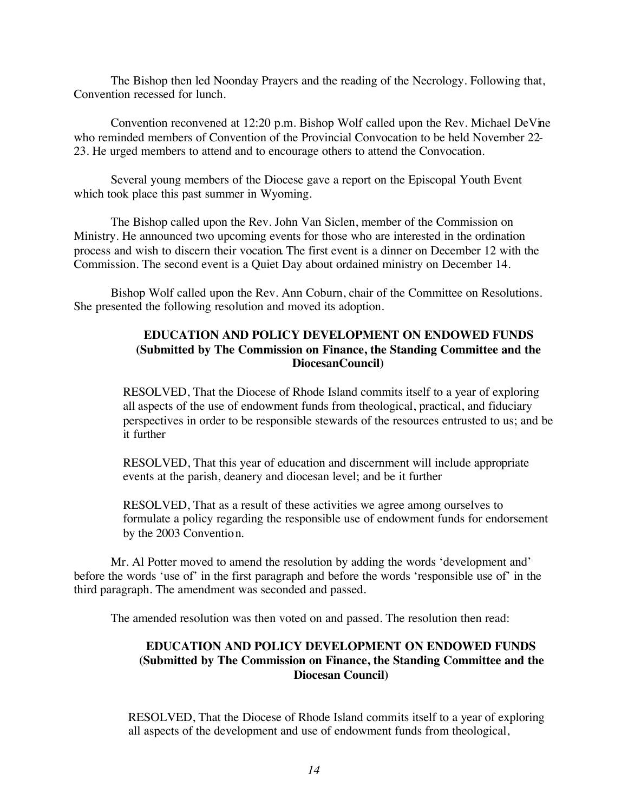The Bishop then led Noonday Prayers and the reading of the Necrology. Following that, Convention recessed for lunch.

Convention reconvened at 12:20 p.m. Bishop Wolf called upon the Rev. Michael DeVine who reminded members of Convention of the Provincial Convocation to be held November 22- 23. He urged members to attend and to encourage others to attend the Convocation.

Several young members of the Diocese gave a report on the Episcopal Youth Event which took place this past summer in Wyoming.

The Bishop called upon the Rev. John Van Siclen, member of the Commission on Ministry. He announced two upcoming events for those who are interested in the ordination process and wish to discern their vocation. The first event is a dinner on December 12 with the Commission. The second event is a Quiet Day about ordained ministry on December 14.

Bishop Wolf called upon the Rev. Ann Coburn, chair of the Committee on Resolutions. She presented the following resolution and moved its adoption.

#### **EDUCATION AND POLICY DEVELOPMENT ON ENDOWED FUNDS (Submitted by The Commission on Finance, the Standing Committee and the DiocesanCouncil)**

RESOLVED, That the Diocese of Rhode Island commits itself to a year of exploring all aspects of the use of endowment funds from theological, practical, and fiduciary perspectives in order to be responsible stewards of the resources entrusted to us; and be it further

RESOLVED, That this year of education and discernment will include appropriate events at the parish, deanery and diocesan level; and be it further

RESOLVED, That as a result of these activities we agree among ourselves to formulate a policy regarding the responsible use of endowment funds for endorsement by the 2003 Convention.

Mr. Al Potter moved to amend the resolution by adding the words 'development and' before the words 'use of' in the first paragraph and before the words 'responsible use of' in the third paragraph. The amendment was seconded and passed.

The amended resolution was then voted on and passed. The resolution then read:

#### **EDUCATION AND POLICY DEVELOPMENT ON ENDOWED FUNDS (Submitted by The Commission on Finance, the Standing Committee and the Diocesan Council)**

RESOLVED, That the Diocese of Rhode Island commits itself to a year of exploring all aspects of the development and use of endowment funds from theological,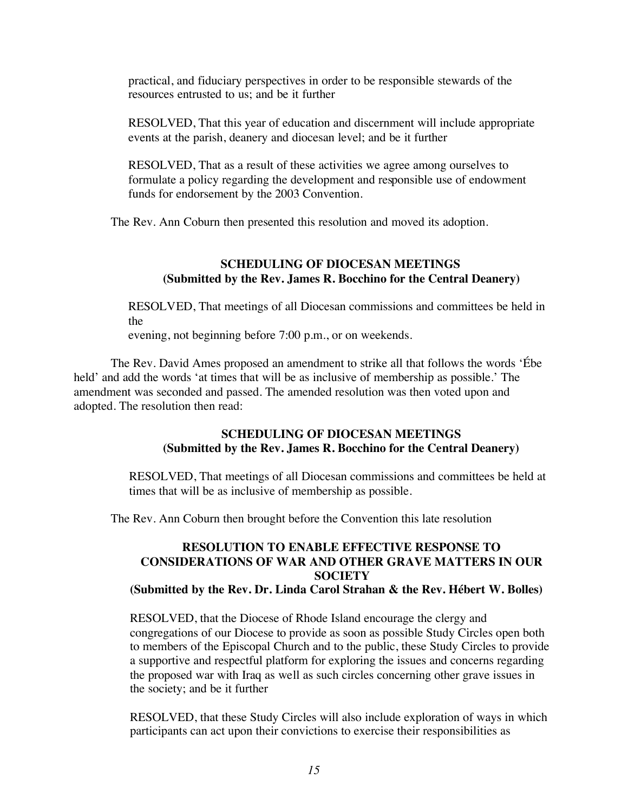practical, and fiduciary perspectives in order to be responsible stewards of the resources entrusted to us; and be it further

RESOLVED, That this year of education and discernment will include appropriate events at the parish, deanery and diocesan level; and be it further

RESOLVED, That as a result of these activities we agree among ourselves to formulate a policy regarding the development and responsible use of endowment funds for endorsement by the 2003 Convention.

The Rev. Ann Coburn then presented this resolution and moved its adoption.

#### **SCHEDULING OF DIOCESAN MEETINGS (Submitted by the Rev. James R. Bocchino for the Central Deanery)**

RESOLVED, That meetings of all Diocesan commissions and committees be held in the evening, not beginning before 7:00 p.m., or on weekends.

The Rev. David Ames proposed an amendment to strike all that follows the words 'Ébe held' and add the words 'at times that will be as inclusive of membership as possible.' The amendment was seconded and passed. The amended resolution was then voted upon and adopted. The resolution then read:

#### **SCHEDULING OF DIOCESAN MEETINGS (Submitted by the Rev. James R. Bocchino for the Central Deanery)**

RESOLVED, That meetings of all Diocesan commissions and committees be held at times that will be as inclusive of membership as possible.

The Rev. Ann Coburn then brought before the Convention this late resolution

#### **RESOLUTION TO ENABLE EFFECTIVE RESPONSE TO CONSIDERATIONS OF WAR AND OTHER GRAVE MATTERS IN OUR SOCIETY**

#### **(Submitted by the Rev. Dr. Linda Carol Strahan & the Rev. Hébert W. Bolles)**

RESOLVED, that the Diocese of Rhode Island encourage the clergy and congregations of our Diocese to provide as soon as possible Study Circles open both to members of the Episcopal Church and to the public, these Study Circles to provide a supportive and respectful platform for exploring the issues and concerns regarding the proposed war with Iraq as well as such circles concerning other grave issues in the society; and be it further

RESOLVED, that these Study Circles will also include exploration of ways in which participants can act upon their convictions to exercise their responsibilities as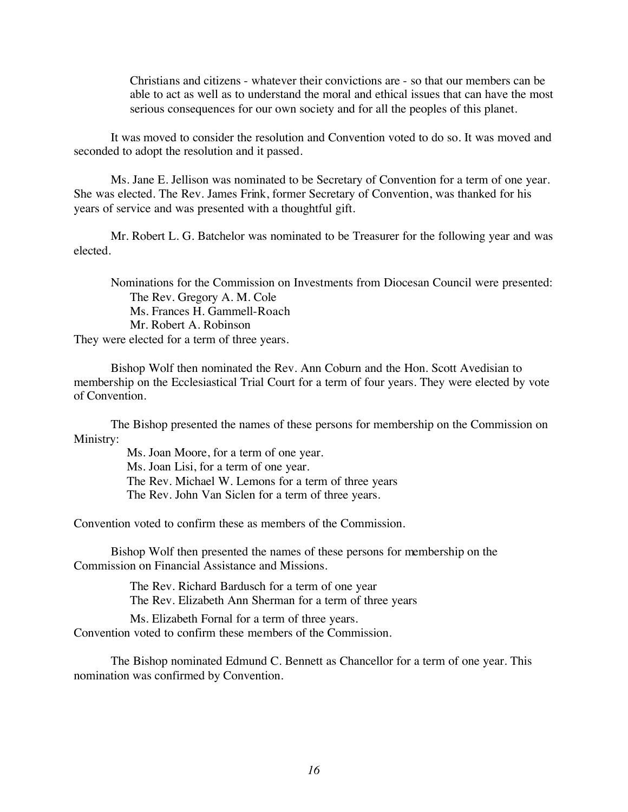Christians and citizens - whatever their convictions are - so that our members can be able to act as well as to understand the moral and ethical issues that can have the most serious consequences for our own society and for all the peoples of this planet.

It was moved to consider the resolution and Convention voted to do so. It was moved and seconded to adopt the resolution and it passed.

Ms. Jane E. Jellison was nominated to be Secretary of Convention for a term of one year. She was elected. The Rev. James Frink, former Secretary of Convention, was thanked for his years of service and was presented with a thoughtful gift.

Mr. Robert L. G. Batchelor was nominated to be Treasurer for the following year and was elected.

Nominations for the Commission on Investments from Diocesan Council were presented: The Rev. Gregory A. M. Cole Ms. Frances H. Gammell-Roach Mr. Robert A. Robinson They were elected for a term of three years.

Bishop Wolf then nominated the Rev. Ann Coburn and the Hon. Scott Avedisian to membership on the Ecclesiastical Trial Court for a term of four years. They were elected by vote of Convention.

The Bishop presented the names of these persons for membership on the Commission on Ministry:

> Ms. Joan Moore, for a term of one year. Ms. Joan Lisi, for a term of one year. The Rev. Michael W. Lemons for a term of three years The Rev. John Van Siclen for a term of three years.

Convention voted to confirm these as members of the Commission.

Bishop Wolf then presented the names of these persons for membership on the Commission on Financial Assistance and Missions.

> The Rev. Richard Bardusch for a term of one year The Rev. Elizabeth Ann Sherman for a term of three years

Ms. Elizabeth Fornal for a term of three years. Convention voted to confirm these members of the Commission.

The Bishop nominated Edmund C. Bennett as Chancellor for a term of one year. This nomination was confirmed by Convention.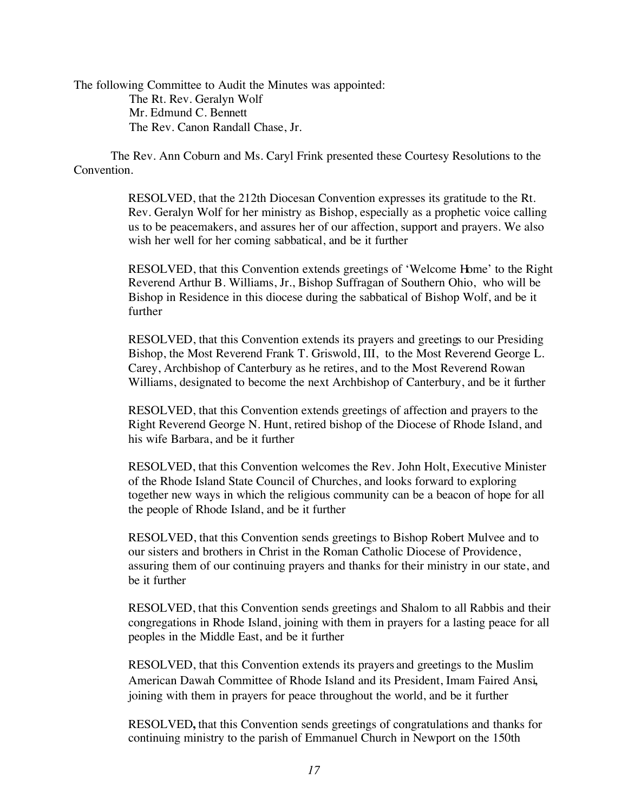The following Committee to Audit the Minutes was appointed: The Rt. Rev. Geralyn Wolf Mr. Edmund C. Bennett The Rev. Canon Randall Chase, Jr.

The Rev. Ann Coburn and Ms. Caryl Frink presented these Courtesy Resolutions to the Convention.

> RESOLVED, that the 212th Diocesan Convention expresses its gratitude to the Rt. Rev. Geralyn Wolf for her ministry as Bishop, especially as a prophetic voice calling us to be peacemakers, and assures her of our affection, support and prayers. We also wish her well for her coming sabbatical, and be it further

RESOLVED, that this Convention extends greetings of 'Welcome Home' to the Right Reverend Arthur B. Williams, Jr., Bishop Suffragan of Southern Ohio, who will be Bishop in Residence in this diocese during the sabbatical of Bishop Wolf, and be it further

RESOLVED, that this Convention extends its prayers and greetings to our Presiding Bishop, the Most Reverend Frank T. Griswold, III, to the Most Reverend George L. Carey, Archbishop of Canterbury as he retires, and to the Most Reverend Rowan Williams, designated to become the next Archbishop of Canterbury, and be it further

RESOLVED, that this Convention extends greetings of affection and prayers to the Right Reverend George N. Hunt, retired bishop of the Diocese of Rhode Island, and his wife Barbara, and be it further

RESOLVED, that this Convention welcomes the Rev. John Holt, Executive Minister of the Rhode Island State Council of Churches, and looks forward to exploring together new ways in which the religious community can be a beacon of hope for all the people of Rhode Island, and be it further

RESOLVED, that this Convention sends greetings to Bishop Robert Mulvee and to our sisters and brothers in Christ in the Roman Catholic Diocese of Providence, assuring them of our continuing prayers and thanks for their ministry in our state, and be it further

RESOLVED, that this Convention sends greetings and Shalom to all Rabbis and their congregations in Rhode Island, joining with them in prayers for a lasting peace for all peoples in the Middle East, and be it further

RESOLVED, that this Convention extends its prayers and greetings to the Muslim American Dawah Committee of Rhode Island and its President, Imam Faired Ansi, joining with them in prayers for peace throughout the world, and be it further

RESOLVED**,** that this Convention sends greetings of congratulations and thanks for continuing ministry to the parish of Emmanuel Church in Newport on the 150th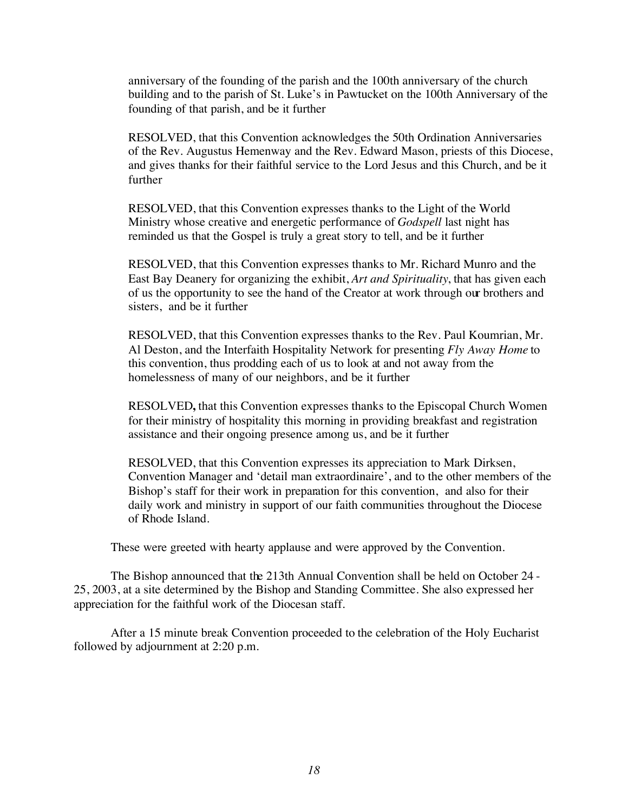anniversary of the founding of the parish and the 100th anniversary of the church building and to the parish of St. Luke's in Pawtucket on the 100th Anniversary of the founding of that parish, and be it further

RESOLVED, that this Convention acknowledges the 50th Ordination Anniversaries of the Rev. Augustus Hemenway and the Rev. Edward Mason, priests of this Diocese, and gives thanks for their faithful service to the Lord Jesus and this Church, and be it further

RESOLVED, that this Convention expresses thanks to the Light of the World Ministry whose creative and energetic performance of *Godspell* last night has reminded us that the Gospel is truly a great story to tell, and be it further

RESOLVED, that this Convention expresses thanks to Mr. Richard Munro and the East Bay Deanery for organizing the exhibit, *Art and Spirituality*, that has given each of us the opportunity to see the hand of the Creator at work through our brothers and sisters, and be it further

RESOLVED, that this Convention expresses thanks to the Rev. Paul Koumrian, Mr. Al Deston, and the Interfaith Hospitality Network for presenting *Fly Away Home* to this convention, thus prodding each of us to look at and not away from the homelessness of many of our neighbors, and be it further

RESOLVED**,** that this Convention expresses thanks to the Episcopal Church Women for their ministry of hospitality this morning in providing breakfast and registration assistance and their ongoing presence among us, and be it further

RESOLVED, that this Convention expresses its appreciation to Mark Dirksen, Convention Manager and 'detail man extraordinaire', and to the other members of the Bishop's staff for their work in preparation for this convention, and also for their daily work and ministry in support of our faith communities throughout the Diocese of Rhode Island.

These were greeted with hearty applause and were approved by the Convention.

The Bishop announced that the 213th Annual Convention shall be held on October 24 - 25, 2003, at a site determined by the Bishop and Standing Committee. She also expressed her appreciation for the faithful work of the Diocesan staff.

After a 15 minute break Convention proceeded to the celebration of the Holy Eucharist followed by adjournment at 2:20 p.m.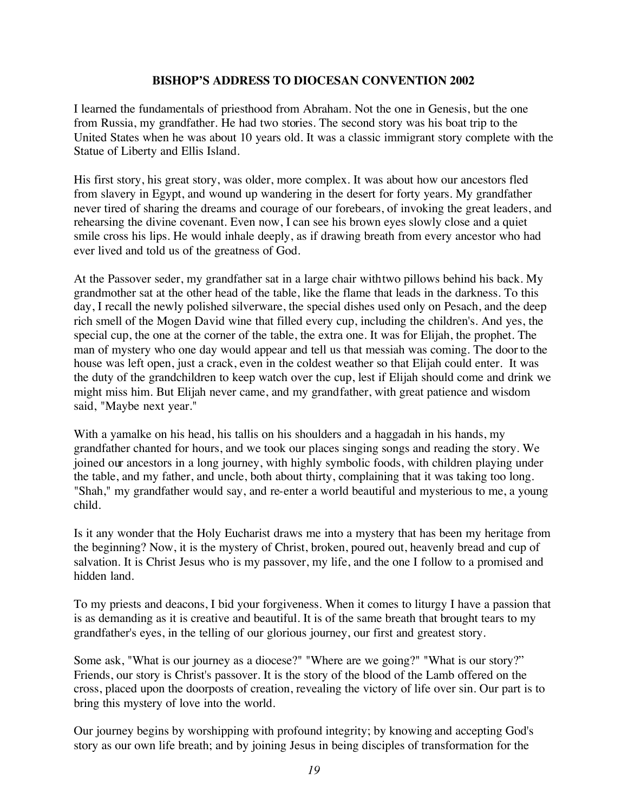#### **BISHOP'S ADDRESS TO DIOCESAN CONVENTION 2002**

I learned the fundamentals of priesthood from Abraham. Not the one in Genesis, but the one from Russia, my grandfather. He had two stories. The second story was his boat trip to the United States when he was about 10 years old. It was a classic immigrant story complete with the Statue of Liberty and Ellis Island.

His first story, his great story, was older, more complex. It was about how our ancestors fled from slavery in Egypt, and wound up wandering in the desert for forty years. My grandfather never tired of sharing the dreams and courage of our forebears, of invoking the great leaders, and rehearsing the divine covenant. Even now, I can see his brown eyes slowly close and a quiet smile cross his lips. He would inhale deeply, as if drawing breath from every ancestor who had ever lived and told us of the greatness of God.

At the Passover seder, my grandfather sat in a large chair with two pillows behind his back. My grandmother sat at the other head of the table, like the flame that leads in the darkness. To this day, I recall the newly polished silverware, the special dishes used only on Pesach, and the deep rich smell of the Mogen David wine that filled every cup, including the children's. And yes, the special cup, the one at the corner of the table, the extra one. It was for Elijah, the prophet. The man of mystery who one day would appear and tell us that messiah was coming. The door to the house was left open, just a crack, even in the coldest weather so that Elijah could enter. It was the duty of the grandchildren to keep watch over the cup, lest if Elijah should come and drink we might miss him. But Elijah never came, and my grandfather, with great patience and wisdom said, "Maybe next year."

With a yamalke on his head, his tallis on his shoulders and a haggadah in his hands, my grandfather chanted for hours, and we took our places singing songs and reading the story. We joined our ancestors in a long journey, with highly symbolic foods, with children playing under the table, and my father, and uncle, both about thirty, complaining that it was taking too long. "Shah," my grandfather would say, and re-enter a world beautiful and mysterious to me, a young child.

Is it any wonder that the Holy Eucharist draws me into a mystery that has been my heritage from the beginning? Now, it is the mystery of Christ, broken, poured out, heavenly bread and cup of salvation. It is Christ Jesus who is my passover, my life, and the one I follow to a promised and hidden land.

To my priests and deacons, I bid your forgiveness. When it comes to liturgy I have a passion that is as demanding as it is creative and beautiful. It is of the same breath that brought tears to my grandfather's eyes, in the telling of our glorious journey, our first and greatest story.

Some ask, "What is our journey as a diocese?" "Where are we going?" "What is our story?" Friends, our story is Christ's passover. It is the story of the blood of the Lamb offered on the cross, placed upon the doorposts of creation, revealing the victory of life over sin. Our part is to bring this mystery of love into the world.

Our journey begins by worshipping with profound integrity; by knowing and accepting God's story as our own life breath; and by joining Jesus in being disciples of transformation for the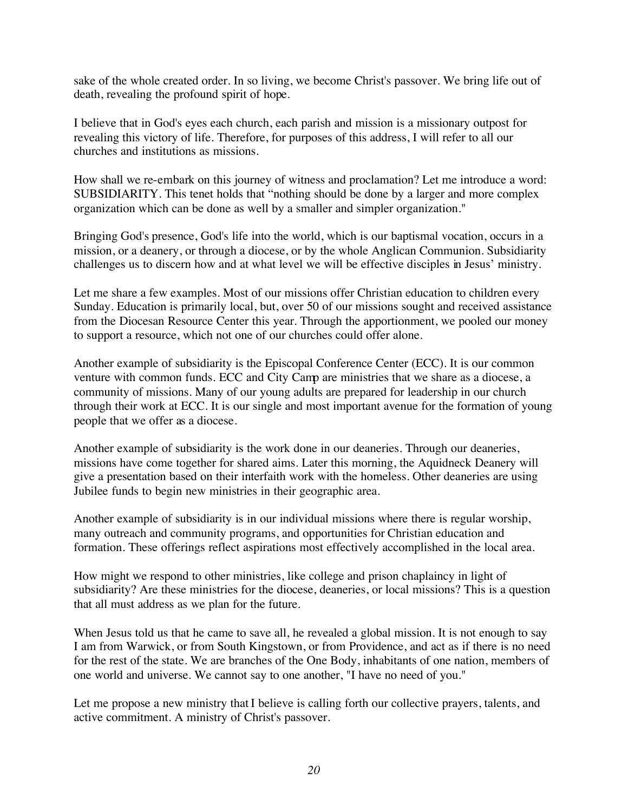sake of the whole created order. In so living, we become Christ's passover. We bring life out of death, revealing the profound spirit of hope.

I believe that in God's eyes each church, each parish and mission is a missionary outpost for revealing this victory of life. Therefore, for purposes of this address, I will refer to all our churches and institutions as missions.

How shall we re-embark on this journey of witness and proclamation? Let me introduce a word: SUBSIDIARITY. This tenet holds that "nothing should be done by a larger and more complex organization which can be done as well by a smaller and simpler organization."

Bringing God's presence, God's life into the world, which is our baptismal vocation, occurs in a mission, or a deanery, or through a diocese, or by the whole Anglican Communion. Subsidiarity challenges us to discern how and at what level we will be effective disciples in Jesus' ministry.

Let me share a few examples. Most of our missions offer Christian education to children every Sunday. Education is primarily local, but, over 50 of our missions sought and received assistance from the Diocesan Resource Center this year. Through the apportionment, we pooled our money to support a resource, which not one of our churches could offer alone.

Another example of subsidiarity is the Episcopal Conference Center (ECC). It is our common venture with common funds. ECC and City Camp are ministries that we share as a diocese, a community of missions. Many of our young adults are prepared for leadership in our church through their work at ECC. It is our single and most important avenue for the formation of young people that we offer as a diocese.

Another example of subsidiarity is the work done in our deaneries. Through our deaneries, missions have come together for shared aims. Later this morning, the Aquidneck Deanery will give a presentation based on their interfaith work with the homeless. Other deaneries are using Jubilee funds to begin new ministries in their geographic area.

Another example of subsidiarity is in our individual missions where there is regular worship, many outreach and community programs, and opportunities for Christian education and formation. These offerings reflect aspirations most effectively accomplished in the local area.

How might we respond to other ministries, like college and prison chaplaincy in light of subsidiarity? Are these ministries for the diocese, deaneries, or local missions? This is a question that all must address as we plan for the future.

When Jesus told us that he came to save all, he revealed a global mission. It is not enough to say I am from Warwick, or from South Kingstown, or from Providence, and act as if there is no need for the rest of the state. We are branches of the One Body, inhabitants of one nation, members of one world and universe. We cannot say to one another, "I have no need of you."

Let me propose a new ministry that I believe is calling forth our collective prayers, talents, and active commitment. A ministry of Christ's passover.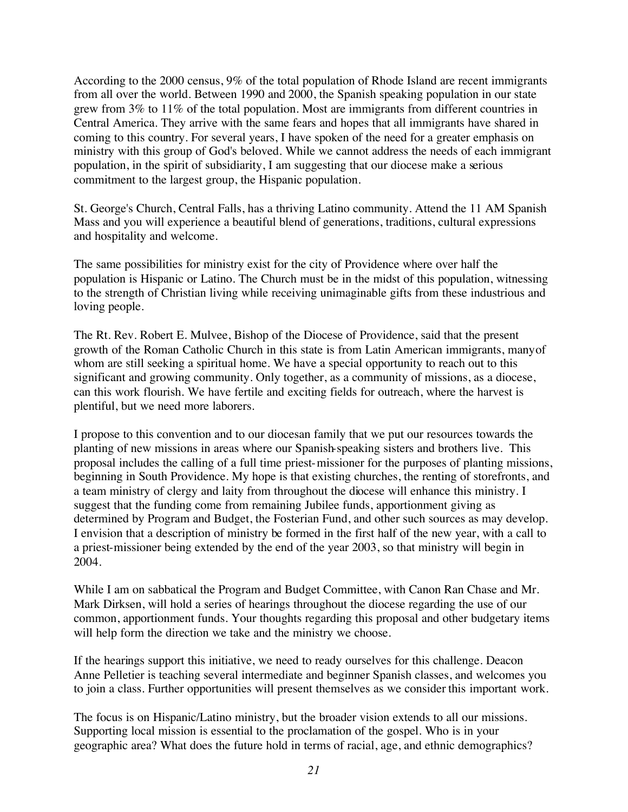According to the 2000 census, 9% of the total population of Rhode Island are recent immigrants from all over the world. Between 1990 and 2000, the Spanish speaking population in our state grew from 3% to 11% of the total population. Most are immigrants from different countries in Central America. They arrive with the same fears and hopes that all immigrants have shared in coming to this country. For several years, I have spoken of the need for a greater emphasis on ministry with this group of God's beloved. While we cannot address the needs of each immigrant population, in the spirit of subsidiarity, I am suggesting that our diocese make a serious commitment to the largest group, the Hispanic population.

St. George's Church, Central Falls, has a thriving Latino community. Attend the 11 AM Spanish Mass and you will experience a beautiful blend of generations, traditions, cultural expressions and hospitality and welcome.

The same possibilities for ministry exist for the city of Providence where over half the population is Hispanic or Latino. The Church must be in the midst of this population, witnessing to the strength of Christian living while receiving unimaginable gifts from these industrious and loving people.

The Rt. Rev. Robert E. Mulvee, Bishop of the Diocese of Providence, said that the present growth of the Roman Catholic Church in this state is from Latin American immigrants, many of whom are still seeking a spiritual home. We have a special opportunity to reach out to this significant and growing community. Only together, as a community of missions, as a diocese, can this work flourish. We have fertile and exciting fields for outreach, where the harvest is plentiful, but we need more laborers.

I propose to this convention and to our diocesan family that we put our resources towards the planting of new missions in areas where our Spanish-speaking sisters and brothers live. This proposal includes the calling of a full time priest-missioner for the purposes of planting missions, beginning in South Providence. My hope is that existing churches, the renting of storefronts, and a team ministry of clergy and laity from throughout the diocese will enhance this ministry. I suggest that the funding come from remaining Jubilee funds, apportionment giving as determined by Program and Budget, the Fosterian Fund, and other such sources as may develop. I envision that a description of ministry be formed in the first half of the new year, with a call to a priest-missioner being extended by the end of the year 2003, so that ministry will begin in 2004.

While I am on sabbatical the Program and Budget Committee, with Canon Ran Chase and Mr. Mark Dirksen, will hold a series of hearings throughout the diocese regarding the use of our common, apportionment funds. Your thoughts regarding this proposal and other budgetary items will help form the direction we take and the ministry we choose.

If the hearings support this initiative, we need to ready ourselves for this challenge. Deacon Anne Pelletier is teaching several intermediate and beginner Spanish classes, and welcomes you to join a class. Further opportunities will present themselves as we consider this important work.

The focus is on Hispanic/Latino ministry, but the broader vision extends to all our missions. Supporting local mission is essential to the proclamation of the gospel. Who is in your geographic area? What does the future hold in terms of racial, age, and ethnic demographics?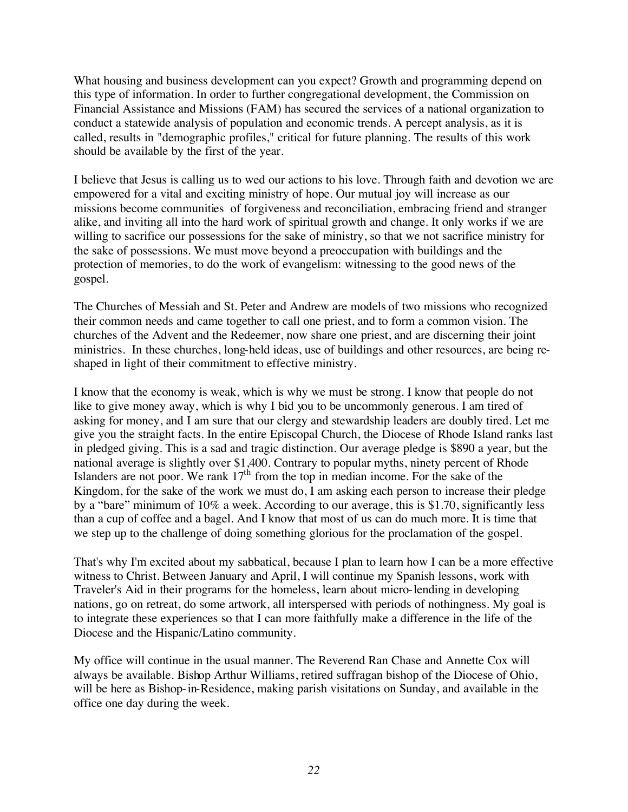What housing and business development can you expect? Growth and programming depend on this type of information. In order to further congregational development, the Commission on Financial Assistance and Missions (FAM) has secured the services of a national organization to conduct a statewide analysis of population and economic trends. A percept analysis, as it is called, results in "demographic profiles," critical for future planning. The results of this work should be available by the first of the year.

I believe that Jesus is calling us to wed our actions to his love. Through faith and devotion we are empowered for a vital and exciting ministry of hope. Our mutual joy will increase as our missions become communities of forgiveness and reconciliation, embracing friend and stranger alike, and inviting all into the hard work of spiritual growth and change. It only works if we are willing to sacrifice our possessions for the sake of ministry, so that we not sacrifice ministry for the sake of possessions. We must move beyond a preoccupation with buildings and the protection of memories, to do the work of evangelism: witnessing to the good news of the gospel.

The Churches of Messiah and St. Peter and Andrew are models of two missions who recognized their common needs and came together to call one priest, and to form a common vision. The churches of the Advent and the Redeemer, now share one priest, and are discerning their joint ministries. In these churches, long-held ideas, use of buildings and other resources, are being reshaped in light of their commitment to effective ministry.

I know that the economy is weak, which is why we must be strong. I know that people do not like to give money away, which is why I bid you to be uncommonly generous. I am tired of asking for money, and I am sure that our clergy and stewardship leaders are doubly tired. Let me give you the straight facts. In the entire Episcopal Church, the Diocese of Rhode Island ranks last in pledged giving. This is a sad and tragic distinction. Our average pledge is \$890 a year, but the national average is slightly over \$1,400. Contrary to popular myths, ninety percent of Rhode Islanders are not poor. We rank  $17<sup>th</sup>$  from the top in median income. For the sake of the Kingdom, for the sake of the work we must do, I am asking each person to increase their pledge by a "bare" minimum of 10% a week. According to our average, this is \$1.70, significantly less than a cup of coffee and a bagel. And I know that most of us can do much more. It is time that we step up to the challenge of doing something glorious for the proclamation of the gospel.

That's why I'm excited about my sabbatical, because I plan to learn how I can be a more effective witness to Christ. Between January and April, I will continue my Spanish lessons, work with Traveler's Aid in their programs for the homeless, learn about micro-lending in developing nations, go on retreat, do some artwork, all interspersed with periods of nothingness. My goal is to integrate these experiences so that I can more faithfully make a difference in the life of the Diocese and the Hispanic/Latino community.

My office will continue in the usual manner. The Reverend Ran Chase and Annette Cox will always be available. Bishop Arthur Williams, retired suffragan bishop of the Diocese of Ohio, will be here as Bishop-in-Residence, making parish visitations on Sunday, and available in the office one day during the week.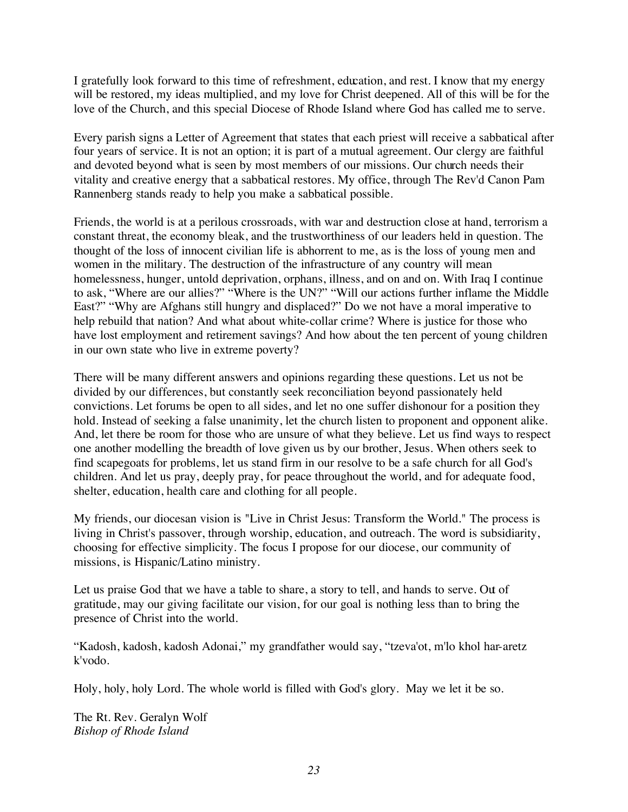I gratefully look forward to this time of refreshment, education, and rest. I know that my energy will be restored, my ideas multiplied, and my love for Christ deepened. All of this will be for the love of the Church, and this special Diocese of Rhode Island where God has called me to serve.

Every parish signs a Letter of Agreement that states that each priest will receive a sabbatical after four years of service. It is not an option; it is part of a mutual agreement. Our clergy are faithful and devoted beyond what is seen by most members of our missions. Our church needs their vitality and creative energy that a sabbatical restores. My office, through The Rev'd Canon Pam Rannenberg stands ready to help you make a sabbatical possible.

Friends, the world is at a perilous crossroads, with war and destruction close at hand, terrorism a constant threat, the economy bleak, and the trustworthiness of our leaders held in question. The thought of the loss of innocent civilian life is abhorrent to me, as is the loss of young men and women in the military. The destruction of the infrastructure of any country will mean homelessness, hunger, untold deprivation, orphans, illness, and on and on. With Iraq I continue to ask, "Where are our allies?" "Where is the UN?" "Will our actions further inflame the Middle East?" "Why are Afghans still hungry and displaced?" Do we not have a moral imperative to help rebuild that nation? And what about white-collar crime? Where is justice for those who have lost employment and retirement savings? And how about the ten percent of young children in our own state who live in extreme poverty?

There will be many different answers and opinions regarding these questions. Let us not be divided by our differences, but constantly seek reconciliation beyond passionately held convictions. Let forums be open to all sides, and let no one suffer dishonour for a position they hold. Instead of seeking a false unanimity, let the church listen to proponent and opponent alike. And, let there be room for those who are unsure of what they believe. Let us find ways to respect one another modelling the breadth of love given us by our brother, Jesus. When others seek to find scapegoats for problems, let us stand firm in our resolve to be a safe church for all God's children. And let us pray, deeply pray, for peace throughout the world, and for adequate food, shelter, education, health care and clothing for all people.

My friends, our diocesan vision is "Live in Christ Jesus: Transform the World." The process is living in Christ's passover, through worship, education, and outreach. The word is subsidiarity, choosing for effective simplicity. The focus I propose for our diocese, our community of missions, is Hispanic/Latino ministry.

Let us praise God that we have a table to share, a story to tell, and hands to serve. Out of gratitude, may our giving facilitate our vision, for our goal is nothing less than to bring the presence of Christ into the world.

"Kadosh, kadosh, kadosh Adonai," my grandfather would say, "tzeva'ot, m'lo khol har-aretz k'vodo.

Holy, holy, holy Lord. The whole world is filled with God's glory. May we let it be so.

The Rt. Rev. Geralyn Wolf *Bishop of Rhode Island*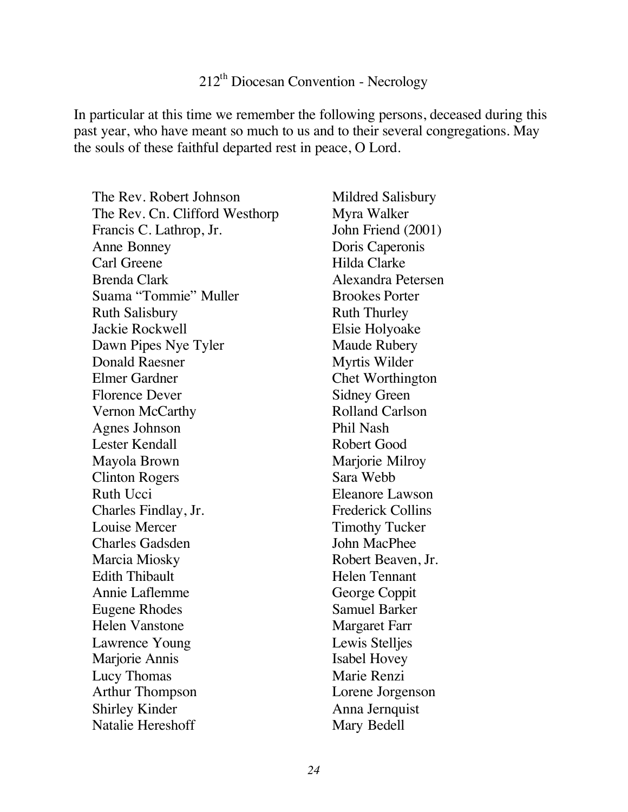## 212th Diocesan Convention - Necrology

In particular at this time we remember the following persons, deceased during this past year, who have meant so much to us and to their several congregations. May the souls of these faithful departed rest in peace, O Lord.

The Rev. Robert Johnson The Rev. Cn. Clifford Westhorp Francis C. Lathrop, Jr. Anne Bonney Carl Greene Brenda Clark Suama "Tommie" Muller Ruth Salisbury Jackie Rockwell Dawn Pipes Nye Tyler Donald Raesner Elmer Gardner Florence Dever Vernon McCarthy Agnes Johnson Lester Kendall Mayola Brown Clinton Rogers Ruth Ucci Charles Findlay, Jr. Louise Mercer Charles Gadsden Marcia Miosky Edith Thibault Annie Laflemme Eugene Rhodes Helen Vanstone Lawrence Young Marjorie Annis Lucy Thomas Arthur Thompson Shirley Kinder Natalie Hereshoff

Mildred Salisbury Myra Walker John Friend (2001) Doris Caperonis Hilda Clarke Alexandra Petersen Brookes Porter Ruth Thurley Elsie Holyoake Maude Rubery Myrtis Wilder Chet Worthington Sidney Green Rolland Carlson Phil Nash Robert Good Marjorie Milroy Sara Webb Eleanore Lawson Frederick Collins Timothy Tucker John MacPhee Robert Beaven, Jr. Helen Tennant George Coppit Samuel Barker Margaret Farr Lewis Stelljes Isabel Hovey Marie Renzi Lorene Jorgenson Anna Jernquist Mary Bedell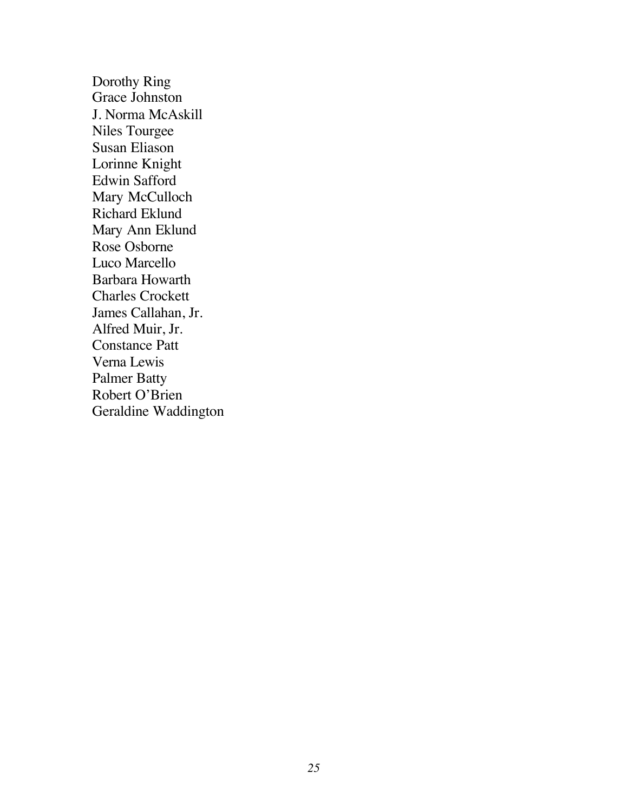Dorothy Ring Grace Johnston J. Norma McAskill Niles Tourgee Susan Eliason Lorinne Knight Edwin Safford Mary McCulloch Richard Eklund Mary Ann Eklund Rose Osborne Luco Marcello Barbara Howarth Charles Crockett James Callahan, Jr. Alfred Muir, Jr. Constance Patt Verna Lewis Palmer Batty Robert O'Brien Geraldine Waddington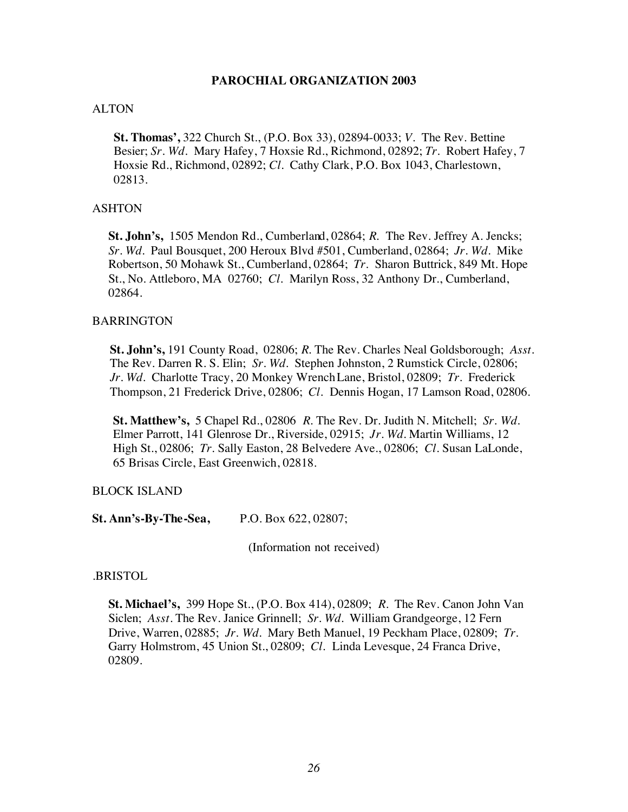#### **PAROCHIAL ORGANIZATION 2003**

#### ALTON

**St. Thomas',** 322 Church St., (P.O. Box 33), 02894-0033; *V*. The Rev. Bettine Besier; *Sr. Wd.* Mary Hafey, 7 Hoxsie Rd., Richmond, 02892; *Tr.* Robert Hafey, 7 Hoxsie Rd., Richmond, 02892; *Cl.* Cathy Clark, P.O. Box 1043, Charlestown, 02813.

#### ASHTON

**St. John's,** 1505 Mendon Rd., Cumberland, 02864; *R.* The Rev. Jeffrey A. Jencks; *Sr. Wd.* Paul Bousquet, 200 Heroux Blvd #501, Cumberland, 02864; *Jr. Wd.* Mike Robertson, 50 Mohawk St., Cumberland, 02864; *Tr.* Sharon Buttrick, 849 Mt. Hope St., No. Attleboro, MA 02760; *Cl.* Marilyn Ross, 32 Anthony Dr., Cumberland, 02864.

#### BARRINGTON

**St. John's,** 191 County Road, 02806; *R.* The Rev. Charles Neal Goldsborough; *Asst.* The Rev. Darren R. S. Elin; *Sr. Wd.* Stephen Johnston, 2 Rumstick Circle, 02806; *Jr. Wd.* Charlotte Tracy, 20 Monkey Wrench Lane, Bristol, 02809; *Tr.* Frederick Thompson, 21 Frederick Drive, 02806; *Cl.* Dennis Hogan, 17 Lamson Road, 02806.

**St. Matthew's,** 5 Chapel Rd., 02806 *R.* The Rev. Dr. Judith N. Mitchell; *Sr. Wd.* Elmer Parrott, 141 Glenrose Dr., Riverside, 02915; *Jr. Wd.* Martin Williams, 12 High St., 02806; *Tr.* Sally Easton, 28 Belvedere Ave., 02806; *Cl.* Susan LaLonde, 65 Brisas Circle, East Greenwich, 02818.

#### BLOCK ISLAND

**St. Ann's-By-The-Sea,** P.O. Box 622, 02807;

(Information not received)

.BRISTOL

**St. Michael's,** 399 Hope St., (P.O. Box 414), 02809; *R.* The Rev. Canon John Van Siclen; *Asst.* The Rev. Janice Grinnell; *Sr. Wd.* William Grandgeorge, 12 Fern Drive, Warren, 02885; *Jr. Wd.* Mary Beth Manuel, 19 Peckham Place, 02809; *Tr.* Garry Holmstrom, 45 Union St., 02809; *Cl.* Linda Levesque, 24 Franca Drive, 02809.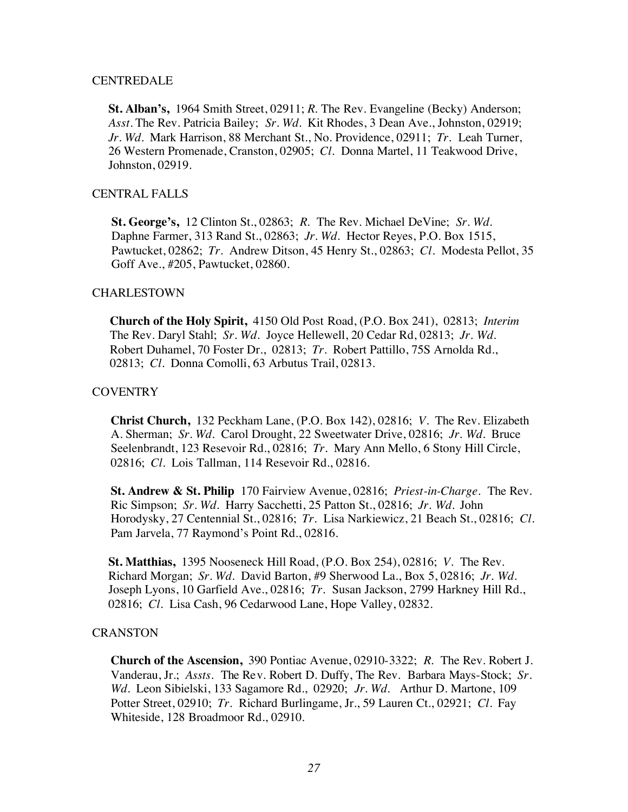#### **CENTREDALE**

**St. Alban's,** 1964 Smith Street, 02911; *R.* The Rev. Evangeline (Becky) Anderson; *Asst.* The Rev. Patricia Bailey; *Sr. Wd.* Kit Rhodes, 3 Dean Ave., Johnston, 02919; *Jr. Wd.* Mark Harrison, 88 Merchant St., No. Providence, 02911; *Tr.* Leah Turner, 26 Western Promenade, Cranston, 02905; *Cl.* Donna Martel, 11 Teakwood Drive, Johnston, 02919.

#### CENTRAL FALLS

**St. George's,** 12 Clinton St., 02863; *R.* The Rev. Michael DeVine; *Sr. Wd.* Daphne Farmer, 313 Rand St., 02863; *Jr. Wd.* Hector Reyes, P.O. Box 1515, Pawtucket, 02862; *Tr.* Andrew Ditson, 45 Henry St., 02863; *Cl.* Modesta Pellot, 35 Goff Ave., #205, Pawtucket, 02860.

#### CHARLESTOWN

**Church of the Holy Spirit,** 4150 Old Post Road, (P.O. Box 241), 02813; *Interim* The Rev. Daryl Stahl; *Sr. Wd.* Joyce Hellewell, 20 Cedar Rd, 02813; *Jr. Wd.* Robert Duhamel, 70 Foster Dr., 02813; *Tr.* Robert Pattillo, 75S Arnolda Rd., 02813; *Cl.* Donna Comolli, 63 Arbutus Trail, 02813.

#### **COVENTRY**

**Christ Church,** 132 Peckham Lane, (P.O. Box 142), 02816; *V.* The Rev. Elizabeth A. Sherman; *Sr. Wd.* Carol Drought, 22 Sweetwater Drive, 02816; *Jr. Wd.* Bruce Seelenbrandt, 123 Resevoir Rd., 02816; *Tr.* Mary Ann Mello, 6 Stony Hill Circle, 02816; *Cl.* Lois Tallman, 114 Resevoir Rd., 02816.

**St. Andrew & St. Philip** 170 Fairview Avenue, 02816; *Priest-in-Charge.* The Rev. Ric Simpson; *Sr. Wd.* Harry Sacchetti, 25 Patton St., 02816; *Jr. Wd.* John Horodysky, 27 Centennial St., 02816; *Tr.* Lisa Narkiewicz, 21 Beach St., 02816; *Cl.* Pam Jarvela, 77 Raymond's Point Rd., 02816.

**St. Matthias,** 1395 Nooseneck Hill Road, (P.O. Box 254), 02816; *V.* The Rev. Richard Morgan; *Sr. Wd.* David Barton, #9 Sherwood La., Box 5, 02816; *Jr. Wd.* Joseph Lyons, 10 Garfield Ave., 02816; *Tr.* Susan Jackson, 2799 Harkney Hill Rd., 02816; *Cl.* Lisa Cash, 96 Cedarwood Lane, Hope Valley, 02832.

#### **CRANSTON**

**Church of the Ascension,** 390 Pontiac Avenue, 02910-3322; *R.* The Rev. Robert J. Vanderau, Jr.; *Assts.* The Rev. Robert D. Duffy, The Rev. Barbara Mays-Stock; *Sr. Wd.* Leon Sibielski, 133 Sagamore Rd., 02920; *Jr. Wd.* Arthur D. Martone, 109 Potter Street, 02910; *Tr.* Richard Burlingame, Jr., 59 Lauren Ct., 02921; *Cl.* Fay Whiteside, 128 Broadmoor Rd., 02910.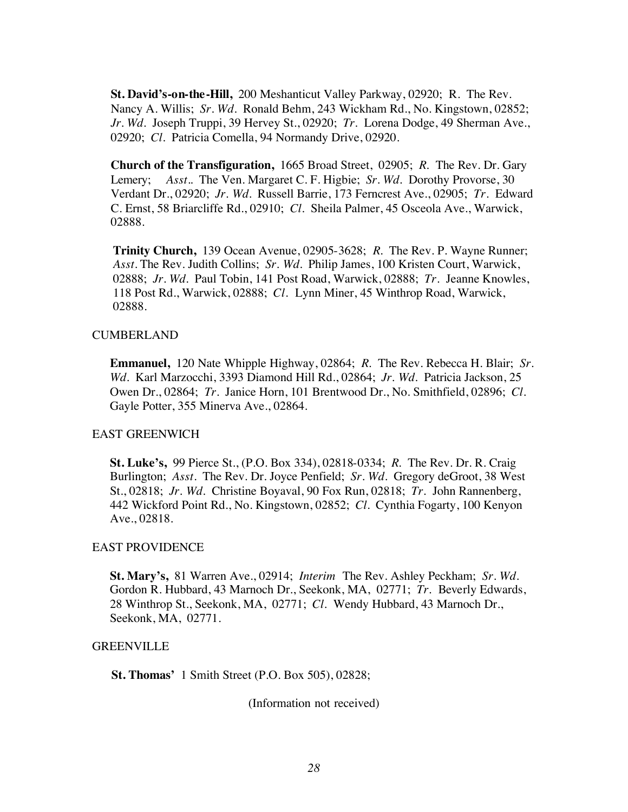**St. David's-on-the-Hill,** 200 Meshanticut Valley Parkway, 02920; R. The Rev. Nancy A. Willis; *Sr. Wd.* Ronald Behm, 243 Wickham Rd., No. Kingstown, 02852; *Jr. Wd.* Joseph Truppi, 39 Hervey St., 02920; *Tr.* Lorena Dodge, 49 Sherman Ave., 02920; *Cl.* Patricia Comella, 94 Normandy Drive, 02920.

**Church of the Transfiguration,** 1665 Broad Street, 02905; *R.* The Rev. Dr. Gary Lemery; *Asst.*. The Ven. Margaret C. F. Higbie; *Sr. Wd.* Dorothy Provorse, 30 Verdant Dr., 02920; *Jr. Wd.* Russell Barrie, 173 Ferncrest Ave., 02905; *Tr.* Edward C. Ernst, 58 Briarcliffe Rd., 02910; *Cl.* Sheila Palmer, 45 Osceola Ave., Warwick, 02888.

**Trinity Church,** 139 Ocean Avenue, 02905-3628; *R.* The Rev. P. Wayne Runner; *Asst.* The Rev. Judith Collins; *Sr. Wd.* Philip James, 100 Kristen Court, Warwick, 02888; *Jr. Wd.* Paul Tobin, 141 Post Road, Warwick, 02888; *Tr.* Jeanne Knowles, 118 Post Rd., Warwick, 02888; *Cl.* Lynn Miner, 45 Winthrop Road, Warwick, 02888.

#### CUMBERLAND

**Emmanuel,** 120 Nate Whipple Highway, 02864; *R.* The Rev. Rebecca H. Blair; *Sr. Wd.* Karl Marzocchi, 3393 Diamond Hill Rd., 02864; *Jr. Wd.* Patricia Jackson, 25 Owen Dr., 02864; *Tr.* Janice Horn, 101 Brentwood Dr., No. Smithfield, 02896; *Cl.* Gayle Potter, 355 Minerva Ave., 02864.

#### EAST GREENWICH

**St. Luke's,** 99 Pierce St., (P.O. Box 334), 02818-0334; *R.* The Rev. Dr. R. Craig Burlington; *Asst.* The Rev. Dr. Joyce Penfield; *Sr. Wd.* Gregory deGroot, 38 West St., 02818; *Jr. Wd.* Christine Boyaval, 90 Fox Run, 02818; *Tr.* John Rannenberg, 442 Wickford Point Rd., No. Kingstown, 02852; *Cl.* Cynthia Fogarty, 100 Kenyon Ave., 02818.

#### EAST PROVIDENCE

**St. Mary's,** 81 Warren Ave., 02914; *Interim* The Rev. Ashley Peckham; *Sr. Wd.* Gordon R. Hubbard, 43 Marnoch Dr., Seekonk, MA, 02771; *Tr.* Beverly Edwards, 28 Winthrop St., Seekonk, MA, 02771; *Cl.* Wendy Hubbard, 43 Marnoch Dr., Seekonk, MA, 02771.

#### GREENVILLE

**St. Thomas'** 1 Smith Street (P.O. Box 505), 02828;

(Information not received)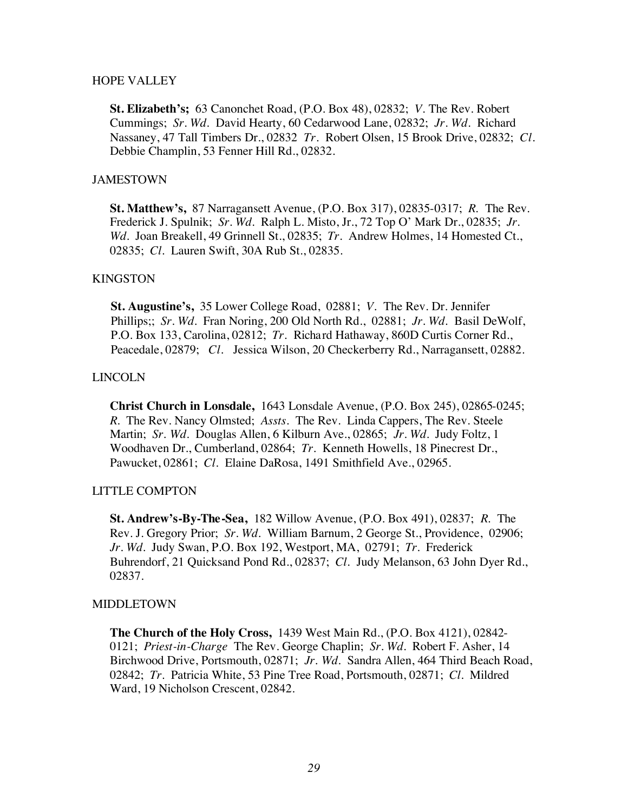#### HOPE VALLEY

**St. Elizabeth's;** 63 Canonchet Road, (P.O. Box 48), 02832; *V.* The Rev. Robert Cummings; *Sr. Wd.* David Hearty, 60 Cedarwood Lane, 02832; *Jr. Wd.* Richard Nassaney, 47 Tall Timbers Dr., 02832 *Tr.* Robert Olsen, 15 Brook Drive, 02832; *Cl.* Debbie Champlin, 53 Fenner Hill Rd., 02832.

#### JAMESTOWN

**St. Matthew's,** 87 Narragansett Avenue, (P.O. Box 317), 02835-0317; *R.* The Rev. Frederick J. Spulnik; *Sr. Wd.* Ralph L. Misto, Jr., 72 Top O' Mark Dr., 02835; *Jr. Wd.* Joan Breakell, 49 Grinnell St., 02835; *Tr.* Andrew Holmes, 14 Homested Ct., 02835; *Cl.* Lauren Swift, 30A Rub St., 02835.

#### KINGSTON

**St. Augustine's,** 35 Lower College Road, 02881; *V.* The Rev. Dr. Jennifer Phillips;; *Sr. Wd.* Fran Noring, 200 Old North Rd., 02881; *Jr. Wd.* Basil DeWolf, P.O. Box 133, Carolina, 02812; *Tr.* Richard Hathaway, 860D Curtis Corner Rd., Peacedale, 02879; *Cl.* Jessica Wilson, 20 Checkerberry Rd., Narragansett, 02882.

#### LINCOLN

**Christ Church in Lonsdale,** 1643 Lonsdale Avenue, (P.O. Box 245), 02865-0245; *R.* The Rev. Nancy Olmsted; *Assts.* The Rev. Linda Cappers, The Rev. Steele Martin; *Sr. Wd.* Douglas Allen, 6 Kilburn Ave., 02865; *Jr. Wd.* Judy Foltz, 1 Woodhaven Dr., Cumberland, 02864; *Tr.* Kenneth Howells, 18 Pinecrest Dr., Pawucket, 02861; *Cl.* Elaine DaRosa, 1491 Smithfield Ave., 02965.

#### LITTLE COMPTON

**St. Andrew's-By-The-Sea,** 182 Willow Avenue, (P.O. Box 491), 02837; *R.* The Rev. J. Gregory Prior; *Sr. Wd.* William Barnum, 2 George St., Providence, 02906; *Jr. Wd.* Judy Swan, P.O. Box 192, Westport, MA, 02791; *Tr.* Frederick Buhrendorf, 21 Quicksand Pond Rd., 02837; *Cl.* Judy Melanson, 63 John Dyer Rd., 02837.

#### MIDDLETOWN

**The Church of the Holy Cross,** 1439 West Main Rd., (P.O. Box 4121), 02842- 0121; *Priest-in-Charge* The Rev. George Chaplin; *Sr. Wd.* Robert F. Asher, 14 Birchwood Drive, Portsmouth, 02871; *Jr. Wd.* Sandra Allen, 464 Third Beach Road, 02842; *Tr.* Patricia White, 53 Pine Tree Road, Portsmouth, 02871; *Cl.* Mildred Ward, 19 Nicholson Crescent, 02842.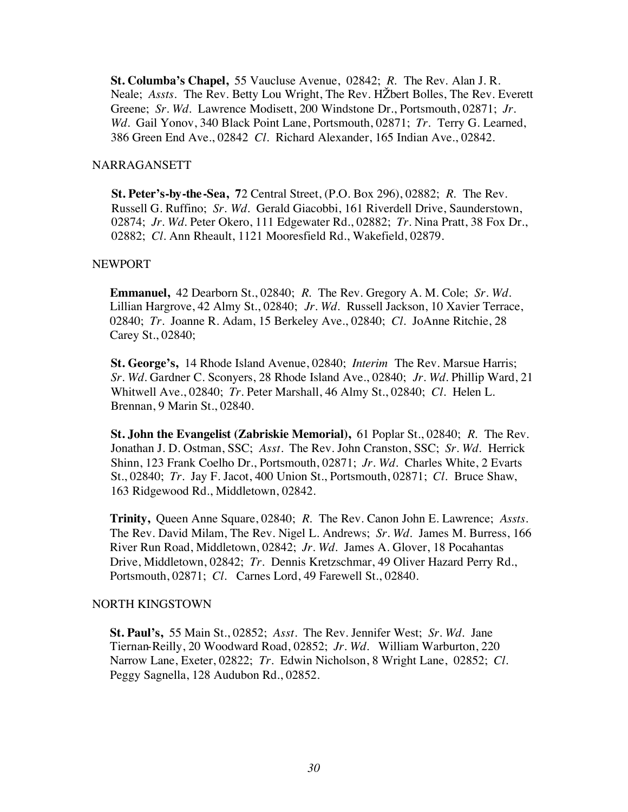**St. Columba's Chapel,** 55 Vaucluse Avenue, 02842; *R.* The Rev. Alan J. R. Neale; *Assts.* The Rev. Betty Lou Wright, The Rev. HŽbert Bolles, The Rev. Everett Greene; *Sr. Wd.* Lawrence Modisett, 200 Windstone Dr., Portsmouth, 02871; *Jr. Wd.* Gail Yonov, 340 Black Point Lane, Portsmouth, 02871; *Tr.* Terry G. Learned, 386 Green End Ave., 02842 *Cl.* Richard Alexander, 165 Indian Ave., 02842.

#### NARRAGANSETT

**St. Peter's-by-the-Sea, 7**2 Central Street, (P.O. Box 296), 02882; *R.* The Rev. Russell G. Ruffino; *Sr. Wd.* Gerald Giacobbi, 161 Riverdell Drive, Saunderstown, 02874; *Jr. Wd.* Peter Okero, 111 Edgewater Rd., 02882; *Tr.* Nina Pratt, 38 Fox Dr., 02882; *Cl.* Ann Rheault, 1121 Mooresfield Rd., Wakefield, 02879.

#### NEWPORT

**Emmanuel,** 42 Dearborn St., 02840; *R.* The Rev. Gregory A. M. Cole; *Sr. Wd.* Lillian Hargrove, 42 Almy St., 02840; *Jr. Wd.* Russell Jackson, 10 Xavier Terrace, 02840; *Tr.* Joanne R. Adam, 15 Berkeley Ave., 02840; *Cl.* JoAnne Ritchie, 28 Carey St., 02840;

**St. George's,** 14 Rhode Island Avenue, 02840; *Interim* The Rev. Marsue Harris; *Sr. Wd.* Gardner C. Sconyers, 28 Rhode Island Ave., 02840; *Jr. Wd.* Phillip Ward, 21 Whitwell Ave., 02840; *Tr.* Peter Marshall, 46 Almy St., 02840; *Cl.* Helen L. Brennan, 9 Marin St., 02840.

**St. John the Evangelist (Zabriskie Memorial),** 61 Poplar St., 02840; *R.* The Rev. Jonathan J. D. Ostman, SSC; *Asst.* The Rev. John Cranston, SSC; *Sr. Wd.* Herrick Shinn, 123 Frank Coelho Dr., Portsmouth, 02871; *Jr. Wd.* Charles White, 2 Evarts St., 02840; *Tr.* Jay F. Jacot, 400 Union St., Portsmouth, 02871; *Cl.* Bruce Shaw, 163 Ridgewood Rd., Middletown, 02842.

**Trinity,** Queen Anne Square, 02840; *R.* The Rev. Canon John E. Lawrence; *Assts.* The Rev. David Milam, The Rev. Nigel L. Andrews; *Sr. Wd.* James M. Burress, 166 River Run Road, Middletown, 02842; *Jr. Wd.* James A. Glover, 18 Pocahantas Drive, Middletown, 02842; *Tr.* Dennis Kretzschmar, 49 Oliver Hazard Perry Rd., Portsmouth, 02871; *Cl.* Carnes Lord, 49 Farewell St., 02840.

#### NORTH KINGSTOWN

**St. Paul's,** 55 Main St., 02852; *Asst.* The Rev. Jennifer West; *Sr. Wd.* Jane Tiernan-Reilly, 20 Woodward Road, 02852; *Jr. Wd.* William Warburton, 220 Narrow Lane, Exeter, 02822; *Tr.* Edwin Nicholson, 8 Wright Lane, 02852; *Cl.* Peggy Sagnella, 128 Audubon Rd., 02852.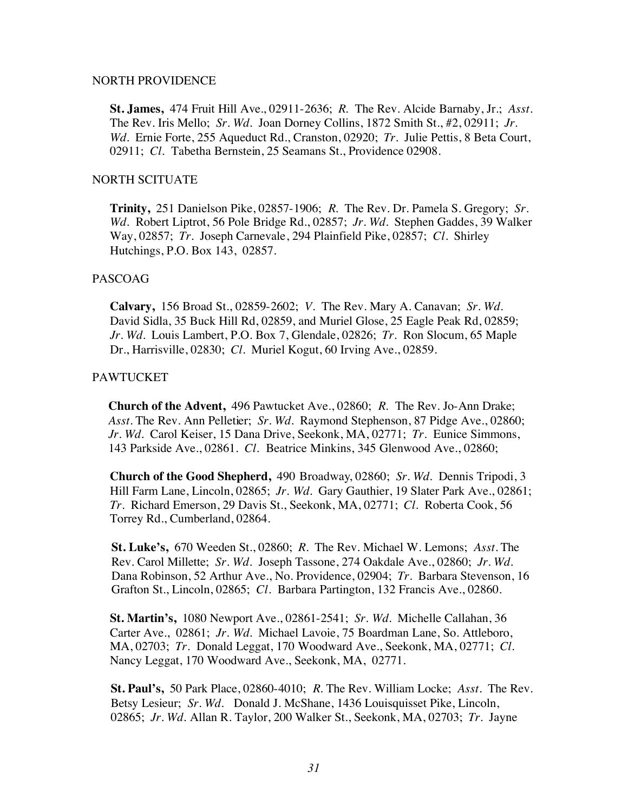#### NORTH PROVIDENCE

**St. James,** 474 Fruit Hill Ave., 02911-2636; *R.* The Rev. Alcide Barnaby, Jr.; *Asst.* The Rev. Iris Mello; *Sr. Wd.* Joan Dorney Collins, 1872 Smith St., #2, 02911; *Jr. Wd.* Ernie Forte, 255 Aqueduct Rd., Cranston, 02920; *Tr.* Julie Pettis, 8 Beta Court, 02911; *Cl.* Tabetha Bernstein, 25 Seamans St., Providence 02908.

#### NORTH SCITUATE

**Trinity,** 251 Danielson Pike, 02857-1906; *R.* The Rev. Dr. Pamela S. Gregory; *Sr. Wd.* Robert Liptrot, 56 Pole Bridge Rd., 02857; *Jr. Wd.* Stephen Gaddes, 39 Walker Way, 02857; *Tr.* Joseph Carnevale, 294 Plainfield Pike, 02857; *Cl.* Shirley Hutchings, P.O. Box 143, 02857.

#### PASCOAG

**Calvary,** 156 Broad St., 02859-2602; *V.* The Rev. Mary A. Canavan; *Sr. Wd.* David Sidla, 35 Buck Hill Rd, 02859, and Muriel Glose, 25 Eagle Peak Rd, 02859; *Jr. Wd.* Louis Lambert, P.O. Box 7, Glendale, 02826; *Tr.* Ron Slocum, 65 Maple Dr., Harrisville, 02830; *Cl.* Muriel Kogut, 60 Irving Ave., 02859.

#### PAWTUCKET

**Church of the Advent,** 496 Pawtucket Ave., 02860; *R.* The Rev. Jo-Ann Drake; *Asst.* The Rev. Ann Pelletier; *Sr. Wd.* Raymond Stephenson, 87 Pidge Ave., 02860; *Jr. Wd.* Carol Keiser, 15 Dana Drive, Seekonk, MA, 02771; *Tr.* Eunice Simmons, 143 Parkside Ave., 02861. *Cl.* Beatrice Minkins, 345 Glenwood Ave., 02860;

**Church of the Good Shepherd,** 490 Broadway, 02860; *Sr. Wd.* Dennis Tripodi, 3 Hill Farm Lane, Lincoln, 02865; *Jr. Wd.* Gary Gauthier, 19 Slater Park Ave., 02861; *Tr.* Richard Emerson, 29 Davis St., Seekonk, MA, 02771; *Cl.* Roberta Cook, 56 Torrey Rd., Cumberland, 02864.

**St. Luke's,** 670 Weeden St., 02860; *R.* The Rev. Michael W. Lemons; *Asst.* The Rev. Carol Millette; *Sr. Wd.* Joseph Tassone, 274 Oakdale Ave., 02860; *Jr. Wd.* Dana Robinson, 52 Arthur Ave., No. Providence, 02904; *Tr.* Barbara Stevenson, 16 Grafton St., Lincoln, 02865; *Cl.* Barbara Partington, 132 Francis Ave., 02860.

**St. Martin's,** 1080 Newport Ave., 02861-2541; *Sr. Wd.* Michelle Callahan, 36 Carter Ave., 02861; *Jr. Wd.* Michael Lavoie, 75 Boardman Lane, So. Attleboro, MA, 02703; *Tr.* Donald Leggat, 170 Woodward Ave., Seekonk, MA, 02771; *Cl.* Nancy Leggat, 170 Woodward Ave., Seekonk, MA, 02771.

**St. Paul's,** 50 Park Place, 02860-4010; *R.* The Rev. William Locke; *Asst.* The Rev. Betsy Lesieur; *Sr. Wd.* Donald J. McShane, 1436 Louisquisset Pike, Lincoln, 02865; *Jr. Wd.* Allan R. Taylor, 200 Walker St., Seekonk, MA, 02703; *Tr.* Jayne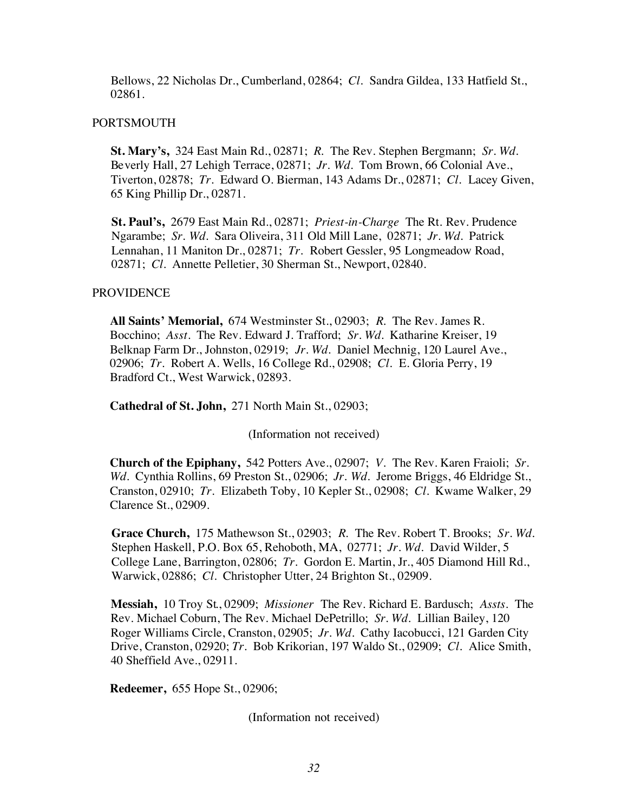Bellows, 22 Nicholas Dr., Cumberland, 02864; *Cl.* Sandra Gildea, 133 Hatfield St., 02861.

#### PORTSMOUTH

**St. Mary's,** 324 East Main Rd., 02871; *R.* The Rev. Stephen Bergmann; *Sr. Wd.* Beverly Hall, 27 Lehigh Terrace, 02871; *Jr. Wd.* Tom Brown, 66 Colonial Ave., Tiverton, 02878; *Tr.* Edward O. Bierman, 143 Adams Dr., 02871; *Cl.* Lacey Given, 65 King Phillip Dr., 02871.

**St. Paul's,** 2679 East Main Rd., 02871; *Priest-in-Charge* The Rt. Rev. Prudence Ngarambe; *Sr. Wd.* Sara Oliveira, 311 Old Mill Lane, 02871; *Jr. Wd.* Patrick Lennahan, 11 Maniton Dr., 02871; *Tr.* Robert Gessler, 95 Longmeadow Road, 02871; *Cl.* Annette Pelletier, 30 Sherman St., Newport, 02840.

#### **PROVIDENCE**

**All Saints' Memorial,** 674 Westminster St., 02903; *R.* The Rev. James R. Bocchino; *Asst.* The Rev. Edward J. Trafford; *Sr. Wd.* Katharine Kreiser, 19 Belknap Farm Dr., Johnston, 02919; *Jr. Wd.* Daniel Mechnig, 120 Laurel Ave., 02906; *Tr.* Robert A. Wells, 16 College Rd., 02908; *Cl.* E. Gloria Perry, 19 Bradford Ct., West Warwick, 02893.

**Cathedral of St. John,** 271 North Main St., 02903;

(Information not received)

**Church of the Epiphany,** 542 Potters Ave., 02907; *V.* The Rev. Karen Fraioli; *Sr. Wd.* Cynthia Rollins, 69 Preston St., 02906; *Jr. Wd.* Jerome Briggs, 46 Eldridge St., Cranston, 02910; *Tr.* Elizabeth Toby, 10 Kepler St., 02908; *Cl.* Kwame Walker, 29 Clarence St., 02909.

**Grace Church,** 175 Mathewson St., 02903; *R.* The Rev. Robert T. Brooks; *Sr. Wd.* Stephen Haskell, P.O. Box 65, Rehoboth, MA, 02771; *Jr. Wd.* David Wilder, 5 College Lane, Barrington, 02806; *Tr.* Gordon E. Martin, Jr., 405 Diamond Hill Rd., Warwick, 02886; *Cl.* Christopher Utter, 24 Brighton St., 02909.

**Messiah,** 10 Troy St., 02909; *Missioner* The Rev. Richard E. Bardusch; *Assts.* The Rev. Michael Coburn, The Rev. Michael DePetrillo; *Sr. Wd.* Lillian Bailey, 120 Roger Williams Circle, Cranston, 02905; *Jr. Wd.* Cathy Iacobucci, 121 Garden City Drive, Cranston, 02920; *Tr.* Bob Krikorian, 197 Waldo St., 02909; *Cl.* Alice Smith, 40 Sheffield Ave., 02911.

**Redeemer,** 655 Hope St., 02906;

(Information not received)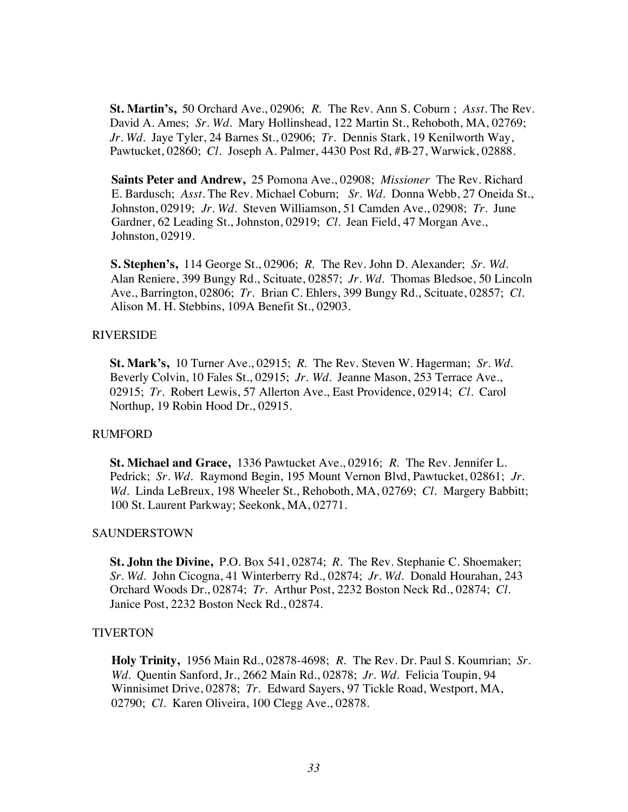**St. Martin's,** 50 Orchard Ave., 02906; *R.* The Rev. Ann S. Coburn ; *Asst.* The Rev. David A. Ames; *Sr. Wd.* Mary Hollinshead, 122 Martin St., Rehoboth, MA, 02769; *Jr. Wd.* Jaye Tyler, 24 Barnes St., 02906; *Tr.* Dennis Stark, 19 Kenilworth Way, Pawtucket, 02860; *Cl.* Joseph A. Palmer, 4430 Post Rd, #B-27, Warwick, 02888.

**Saints Peter and Andrew,** 25 Pomona Ave., 02908; *Missioner* The Rev. Richard E. Bardusch; *Asst.* The Rev. Michael Coburn; *Sr. Wd.* Donna Webb, 27 Oneida St., Johnston, 02919; *Jr. Wd.* Steven Williamson, 51 Camden Ave., 02908; *Tr.* June Gardner, 62 Leading St., Johnston, 02919; *Cl.* Jean Field, 47 Morgan Ave., Johnston, 02919.

**S. Stephen's,** 114 George St., 02906; *R.* The Rev. John D. Alexander; *Sr. Wd.* Alan Reniere, 399 Bungy Rd., Scituate, 02857; *Jr. Wd.* Thomas Bledsoe, 50 Lincoln Ave., Barrington, 02806; *Tr.* Brian C. Ehlers, 399 Bungy Rd., Scituate, 02857; *Cl.* Alison M. H. Stebbins, 109A Benefit St., 02903.

#### RIVERSIDE

**St. Mark's,** 10 Turner Ave., 02915; *R.* The Rev. Steven W. Hagerman; *Sr. Wd.* Beverly Colvin, 10 Fales St., 02915; *Jr. Wd.* Jeanne Mason, 253 Terrace Ave., 02915; *Tr.* Robert Lewis, 57 Allerton Ave., East Providence, 02914; *Cl.* Carol Northup, 19 Robin Hood Dr., 02915.

#### RUMFORD

**St. Michael and Grace,** 1336 Pawtucket Ave., 02916; *R.* The Rev. Jennifer L. Pedrick; *Sr. Wd.* Raymond Begin, 195 Mount Vernon Blvd, Pawtucket, 02861; *Jr. Wd.* Linda LeBreux, 198 Wheeler St., Rehoboth, MA, 02769; *Cl.* Margery Babbitt; 100 St. Laurent Parkway; Seekonk, MA, 02771.

#### SAUNDERSTOWN

**St. John the Divine,** P.O. Box 541, 02874; *R.* The Rev. Stephanie C. Shoemaker; *Sr. Wd.* John Cicogna, 41 Winterberry Rd., 02874; *Jr. Wd.* Donald Hourahan, 243 Orchard Woods Dr., 02874; *Tr.* Arthur Post, 2232 Boston Neck Rd., 02874; *Cl.* Janice Post, 2232 Boston Neck Rd., 02874.

#### **TIVERTON**

**Holy Trinity,** 1956 Main Rd., 02878-4698; *R.* The Rev. Dr. Paul S. Koumrian; *Sr. Wd.* Quentin Sanford, Jr., 2662 Main Rd., 02878; *Jr. Wd.* Felicia Toupin, 94 Winnisimet Drive, 02878; *Tr.* Edward Sayers, 97 Tickle Road, Westport, MA, 02790; *Cl.* Karen Oliveira, 100 Clegg Ave., 02878.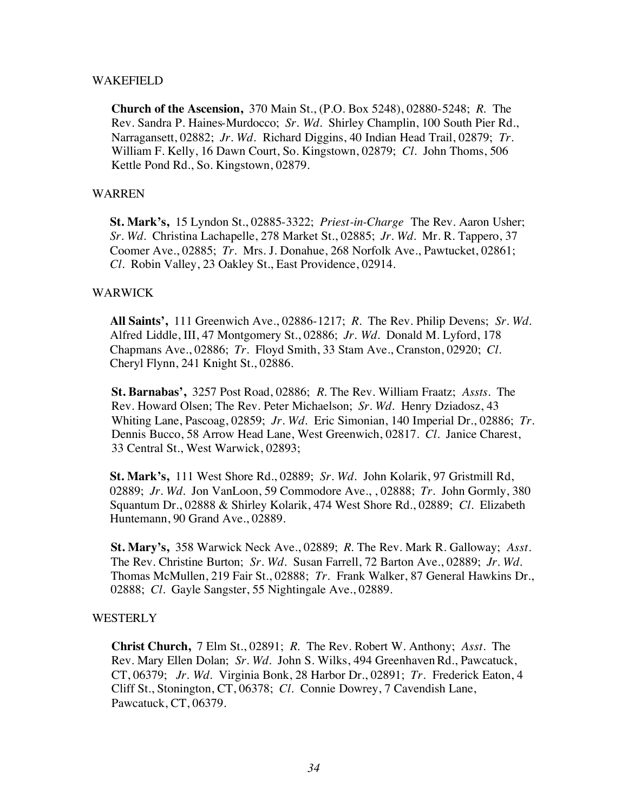#### WAKEFIELD

**Church of the Ascension,** 370 Main St., (P.O. Box 5248), 02880-5248; *R.* The Rev. Sandra P. Haines-Murdocco; *Sr. Wd.* Shirley Champlin, 100 South Pier Rd., Narragansett, 02882; *Jr. Wd.* Richard Diggins, 40 Indian Head Trail, 02879; *Tr.* William F. Kelly, 16 Dawn Court, So. Kingstown, 02879; *Cl.* John Thoms, 506 Kettle Pond Rd., So. Kingstown, 02879.

#### WARREN

**St. Mark's,** 15 Lyndon St., 02885-3322; *Priest-in-Charge* The Rev. Aaron Usher; *Sr. Wd.* Christina Lachapelle, 278 Market St., 02885; *Jr. Wd.* Mr. R. Tappero, 37 Coomer Ave., 02885; *Tr.* Mrs. J. Donahue, 268 Norfolk Ave., Pawtucket, 02861; *Cl.* Robin Valley, 23 Oakley St., East Providence, 02914.

#### WARWICK

**All Saints',** 111 Greenwich Ave., 02886-1217; *R.* The Rev. Philip Devens; *Sr. Wd.* Alfred Liddle, III, 47 Montgomery St., 02886; *Jr. Wd.* Donald M. Lyford, 178 Chapmans Ave., 02886; *Tr.* Floyd Smith, 33 Stam Ave., Cranston, 02920; *Cl.* Cheryl Flynn, 241 Knight St., 02886.

**St. Barnabas',** 3257 Post Road, 02886; *R.* The Rev. William Fraatz; *Assts.* The Rev. Howard Olsen; The Rev. Peter Michaelson; *Sr. Wd.* Henry Dziadosz, 43 Whiting Lane, Pascoag, 02859; *Jr. Wd.* Eric Simonian, 140 Imperial Dr., 02886; *Tr.* Dennis Bucco, 58 Arrow Head Lane, West Greenwich, 02817. *Cl.* Janice Charest, 33 Central St., West Warwick, 02893;

**St. Mark's,** 111 West Shore Rd., 02889; *Sr. Wd.* John Kolarik, 97 Gristmill Rd, 02889; *Jr. Wd.* Jon VanLoon, 59 Commodore Ave., , 02888; *Tr.* John Gormly, 380 Squantum Dr., 02888 & Shirley Kolarik, 474 West Shore Rd., 02889; *Cl.* Elizabeth Huntemann, 90 Grand Ave., 02889.

**St. Mary's,** 358 Warwick Neck Ave., 02889; *R.* The Rev. Mark R. Galloway; *Asst.* The Rev. Christine Burton; *Sr. Wd.* Susan Farrell, 72 Barton Ave., 02889; *Jr. Wd.* Thomas McMullen, 219 Fair St., 02888; *Tr.* Frank Walker, 87 General Hawkins Dr., 02888; *Cl.* Gayle Sangster, 55 Nightingale Ave., 02889.

#### **WESTERLY**

**Christ Church,** 7 Elm St., 02891; *R.* The Rev. Robert W. Anthony; *Asst.* The Rev. Mary Ellen Dolan; *Sr. Wd.* John S. Wilks, 494 Greenhaven Rd., Pawcatuck, CT, 06379; *Jr. Wd.* Virginia Bonk, 28 Harbor Dr., 02891; *Tr.* Frederick Eaton, 4 Cliff St., Stonington, CT, 06378; *Cl.* Connie Dowrey, 7 Cavendish Lane, Pawcatuck, CT, 06379.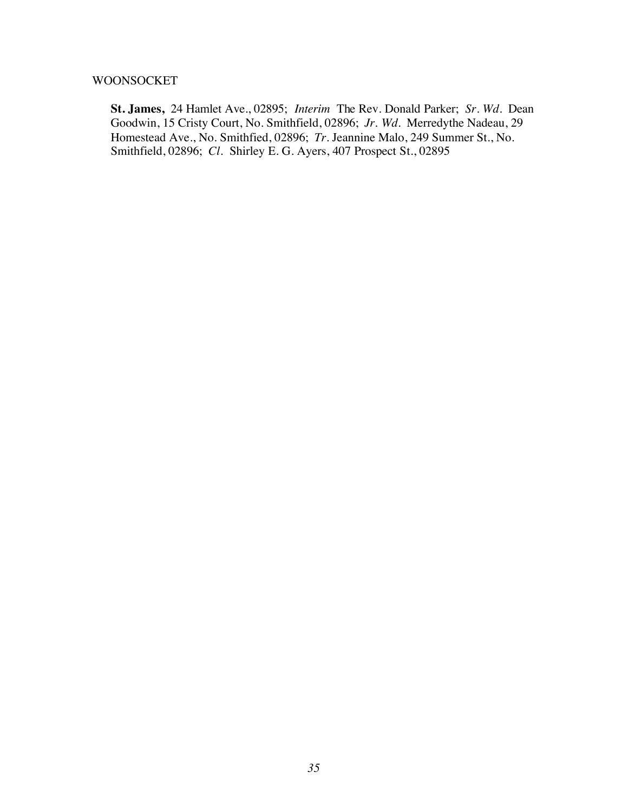#### WOONSOCKET

**St. James,** 24 Hamlet Ave., 02895; *Interim* The Rev. Donald Parker; *Sr. Wd.* Dean Goodwin, 15 Cristy Court, No. Smithfield, 02896; *Jr. Wd.* Merredythe Nadeau, 29 Homestead Ave., No. Smithfied, 02896; *Tr.* Jeannine Malo, 249 Summer St., No. Smithfield, 02896; *Cl.* Shirley E. G. Ayers, 407 Prospect St., 02895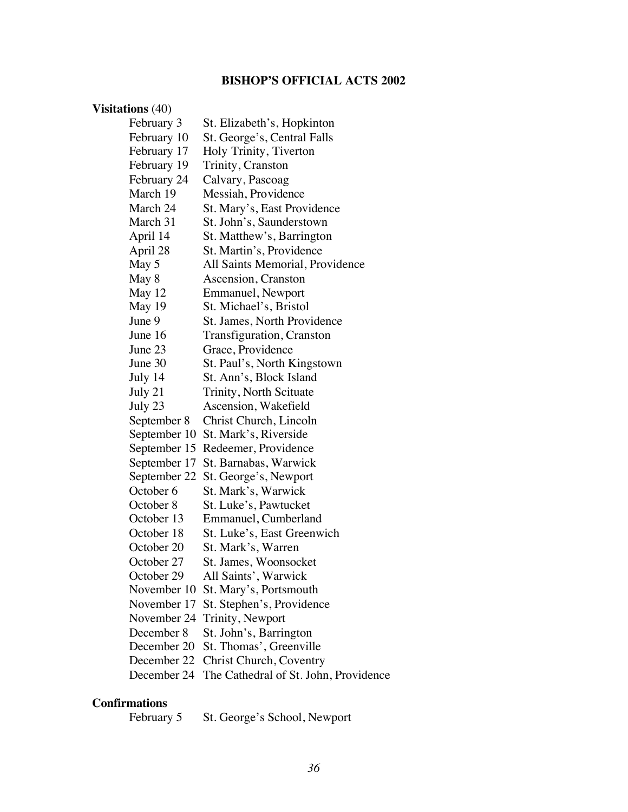## **BISHOP'S OFFICIAL ACTS 2002**

### **Visitations** (40)

| February 3   | St. Elizabeth's, Hopkinton            |
|--------------|---------------------------------------|
| February 10  | St. George's, Central Falls           |
| February 17  | Holy Trinity, Tiverton                |
| February 19  | Trinity, Cranston                     |
| February 24  | Calvary, Pascoag                      |
| March 19     | Messiah, Providence                   |
| March 24     | St. Mary's, East Providence           |
| March 31     | St. John's, Saunderstown              |
| April 14     | St. Matthew's, Barrington             |
| April 28     | St. Martin's, Providence              |
| May 5        | All Saints Memorial, Providence       |
| May 8        | Ascension, Cranston                   |
| May 12       | Emmanuel, Newport                     |
| May 19       | St. Michael's, Bristol                |
| June 9       | St. James, North Providence           |
| June 16      | Transfiguration, Cranston             |
| June 23      | Grace, Providence                     |
| June 30      | St. Paul's, North Kingstown           |
| July 14      | St. Ann's, Block Island               |
| July 21      | Trinity, North Scituate               |
| July 23      | Ascension, Wakefield                  |
| September 8  | Christ Church, Lincoln                |
| September 10 | St. Mark's, Riverside                 |
| September 15 | Redeemer, Providence                  |
| September 17 | St. Barnabas, Warwick                 |
| September 22 | St. George's, Newport                 |
| October 6    | St. Mark's, Warwick                   |
| October 8    | St. Luke's, Pawtucket                 |
| October 13   | Emmanuel, Cumberland                  |
| October 18   | St. Luke's, East Greenwich            |
| October 20   | St. Mark's, Warren                    |
| October 27   | St. James, Woonsocket                 |
| October 29   | All Saints', Warwick                  |
| November 10  | St. Mary's, Portsmouth                |
| November 17  | St. Stephen's, Providence             |
| November 24  | Trinity, Newport                      |
| December 8   | St. John's, Barrington                |
| December 20  | St. Thomas', Greenville               |
| December 22  | Christ Church, Coventry               |
| December 24  | The Cathedral of St. John, Providence |

# **Confirmations**

St. George's School, Newport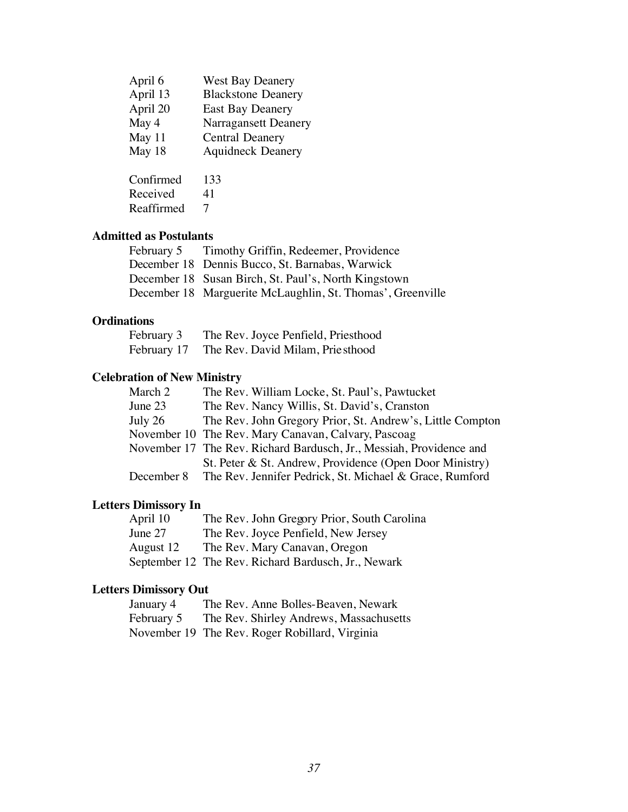| April 6    | <b>West Bay Deanery</b>   |
|------------|---------------------------|
| April 13   | <b>Blackstone Deanery</b> |
| April 20   | <b>East Bay Deanery</b>   |
| May 4      | Narragansett Deanery      |
| May 11     | <b>Central Deanery</b>    |
| May 18     | <b>Aquidneck Deanery</b>  |
| Confirmed  | 133                       |
|            |                           |
| Received   | 41                        |
| Reaffirmed | 7                         |
|            |                           |

### **Admitted as Postulants**

| February 5 Timothy Griffin, Redeemer, Providence           |
|------------------------------------------------------------|
| December 18 Dennis Bucco, St. Barnabas, Warwick            |
| December 18 Susan Birch, St. Paul's, North Kingstown       |
| December 18 Marguerite McLaughlin, St. Thomas', Greenville |

### **Ordinations**

| February 3  | The Rev. Joyce Penfield, Priesthood |
|-------------|-------------------------------------|
| February 17 | The Rev. David Milam, Priesthood    |

### **Celebration of New Ministry**

| The Rev. William Locke, St. Paul's, Pawtucket                       |
|---------------------------------------------------------------------|
| The Rev. Nancy Willis, St. David's, Cranston                        |
| The Rev. John Gregory Prior, St. Andrew's, Little Compton           |
| November 10 The Rev. Mary Canavan, Calvary, Pascoag                 |
| November 17 The Rev. Richard Bardusch, Jr., Messiah, Providence and |
| St. Peter & St. Andrew, Providence (Open Door Ministry)             |
| The Rev. Jennifer Pedrick, St. Michael & Grace, Rumford             |
|                                                                     |

## **Letters Dimissory In**

| April 10  | The Rev. John Gregory Prior, South Carolina         |
|-----------|-----------------------------------------------------|
| June 27   | The Rev. Joyce Penfield, New Jersey                 |
| August 12 | The Rev. Mary Canavan, Oregon                       |
|           | September 12 The Rev. Richard Bardusch, Jr., Newark |

## **Letters Dimissory Out**

| January 4  | The Rev. Anne Bolles-Beaven, Newark            |
|------------|------------------------------------------------|
| February 5 | The Rev. Shirley Andrews, Massachusetts        |
|            | November 19 The Rev. Roger Robillard, Virginia |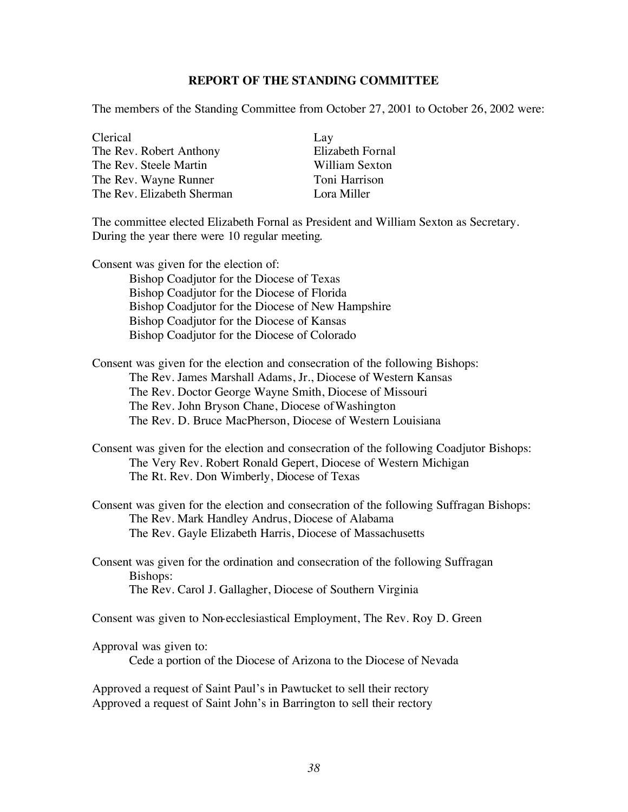#### **REPORT OF THE STANDING COMMITTEE**

The members of the Standing Committee from October 27, 2001 to October 26, 2002 were:

Clerical Lay The Rev. Robert Anthony Elizabeth Fornal The Rev. Steele Martin William Sexton The Rev. Wayne Runner Toni Harrison The Rev. Elizabeth Sherman Lora Miller

The committee elected Elizabeth Fornal as President and William Sexton as Secretary. During the year there were 10 regular meeting.

Consent was given for the election of: Bishop Coadjutor for the Diocese of Texas Bishop Coadjutor for the Diocese of Florida Bishop Coadjutor for the Diocese of New Hampshire Bishop Coadjutor for the Diocese of Kansas Bishop Coadjutor for the Diocese of Colorado

Consent was given for the election and consecration of the following Bishops: The Rev. James Marshall Adams, Jr., Diocese of Western Kansas The Rev. Doctor George Wayne Smith, Diocese of Missouri The Rev. John Bryson Chane, Diocese of Washington The Rev. D. Bruce MacPherson, Diocese of Western Louisiana

Consent was given for the election and consecration of the following Coadjutor Bishops: The Very Rev. Robert Ronald Gepert, Diocese of Western Michigan The Rt. Rev. Don Wimberly, Diocese of Texas

Consent was given for the election and consecration of the following Suffragan Bishops: The Rev. Mark Handley Andrus, Diocese of Alabama The Rev. Gayle Elizabeth Harris, Diocese of Massachusetts

Consent was given for the ordination and consecration of the following Suffragan Bishops: The Rev. Carol J. Gallagher, Diocese of Southern Virginia

Consent was given to Non-ecclesiastical Employment, The Rev. Roy D. Green

Approval was given to:

Cede a portion of the Diocese of Arizona to the Diocese of Nevada

Approved a request of Saint Paul's in Pawtucket to sell their rectory Approved a request of Saint John's in Barrington to sell their rectory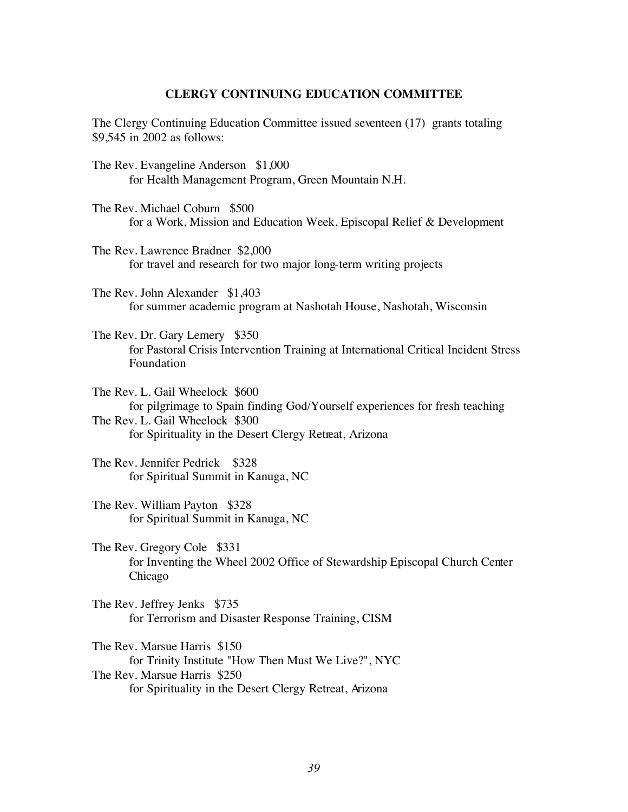#### **CLERGY CONTINUING EDUCATION COMMITTEE**

The Clergy Continuing Education Committee issued seventeen (17) grants totaling \$9,545 in 2002 as follows:

- The Rev. Evangeline Anderson \$1,000 for Health Management Program, Green Mountain N.H.
- The Rev. Michael Coburn \$500 for a Work, Mission and Education Week, Episcopal Relief & Development
- The Rev. Lawrence Bradner \$2,000 for travel and research for two major long-term writing projects
- The Rev. John Alexander \$1,403 for summer academic program at Nashotah House, Nashotah, Wisconsin
- The Rev. Dr. Gary Lemery \$350 for Pastoral Crisis Intervention Training at International Critical Incident Stress Foundation
- The Rev. L. Gail Wheelock \$600 for pilgrimage to Spain finding God/Yourself experiences for fresh teaching The Rev. L. Gail Wheelock \$300 for Spirituality in the Desert Clergy Retreat, Arizona
- The Rev. Jennifer Pedrick \$328 for Spiritual Summit in Kanuga, NC
- The Rev. William Payton \$328 for Spiritual Summit in Kanuga, NC
- The Rev. Gregory Cole \$331 for Inventing the Wheel 2002 Office of Stewardship Episcopal Church Center Chicago
- The Rev. Jeffrey Jenks \$735 for Terrorism and Disaster Response Training, CISM

The Rev. Marsue Harris \$150 for Trinity Institute "How Then Must We Live?", NYC The Rev. Marsue Harris \$250 for Spirituality in the Desert Clergy Retreat, Arizona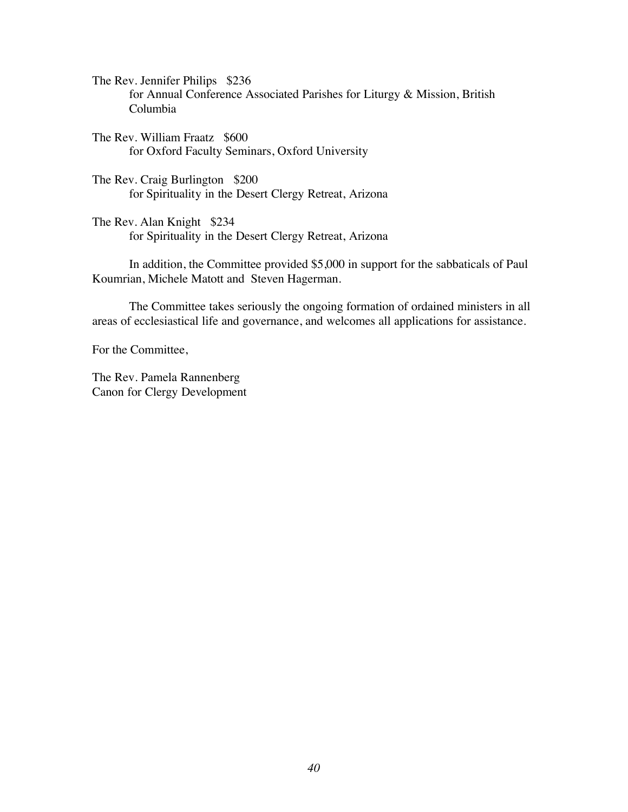The Rev. Jennifer Philips \$236 for Annual Conference Associated Parishes for Liturgy & Mission, British Columbia

The Rev. William Fraatz \$600 for Oxford Faculty Seminars, Oxford University

The Rev. Craig Burlington \$200 for Spirituality in the Desert Clergy Retreat, Arizona

The Rev. Alan Knight \$234 for Spirituality in the Desert Clergy Retreat, Arizona

In addition, the Committee provided \$5,000 in support for the sabbaticals of Paul Koumrian, Michele Matott and Steven Hagerman.

The Committee takes seriously the ongoing formation of ordained ministers in all areas of ecclesiastical life and governance, and welcomes all applications for assistance.

For the Committee,

The Rev. Pamela Rannenberg Canon for Clergy Development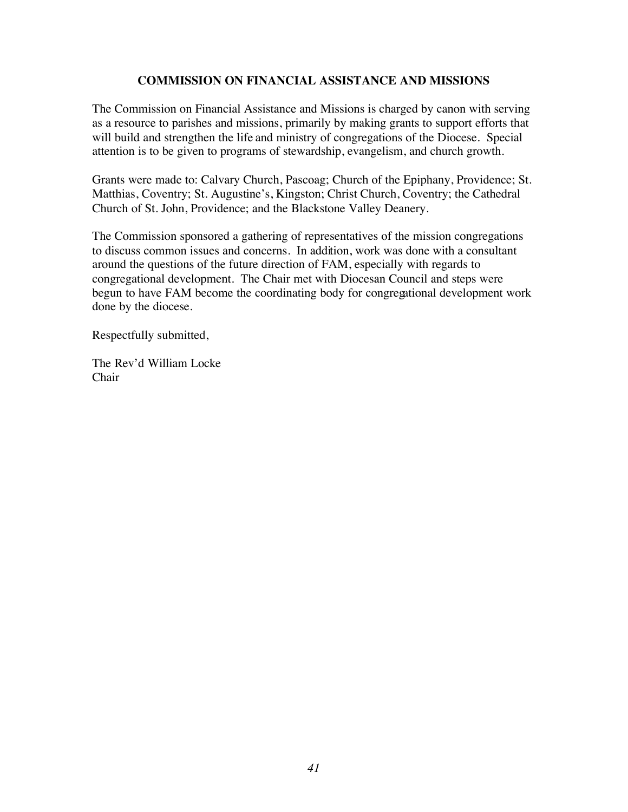#### **COMMISSION ON FINANCIAL ASSISTANCE AND MISSIONS**

The Commission on Financial Assistance and Missions is charged by canon with serving as a resource to parishes and missions, primarily by making grants to support efforts that will build and strengthen the life and ministry of congregations of the Diocese. Special attention is to be given to programs of stewardship, evangelism, and church growth.

Grants were made to: Calvary Church, Pascoag; Church of the Epiphany, Providence; St. Matthias, Coventry; St. Augustine's, Kingston; Christ Church, Coventry; the Cathedral Church of St. John, Providence; and the Blackstone Valley Deanery.

The Commission sponsored a gathering of representatives of the mission congregations to discuss common issues and concerns. In addition, work was done with a consultant around the questions of the future direction of FAM, especially with regards to congregational development. The Chair met with Diocesan Council and steps were begun to have FAM become the coordinating body for congregational development work done by the diocese.

Respectfully submitted,

The Rev'd William Locke Chair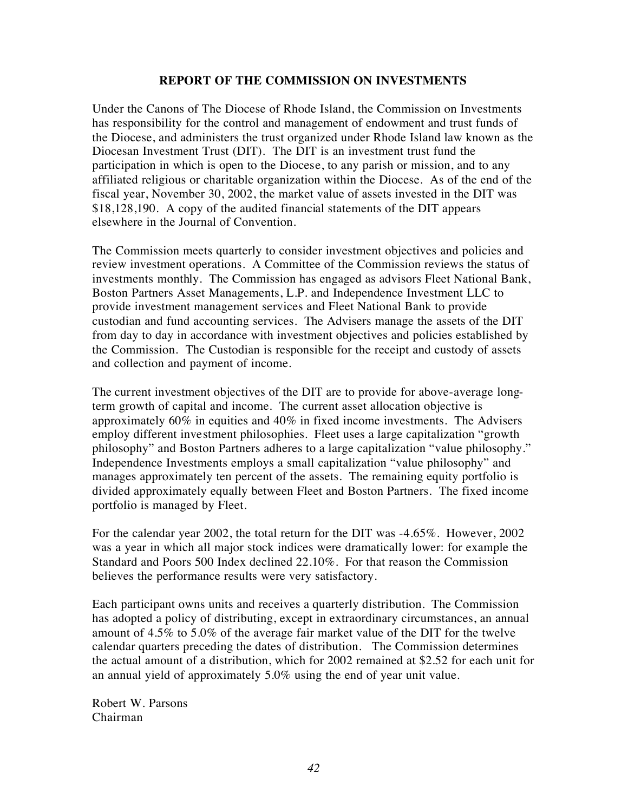#### **REPORT OF THE COMMISSION ON INVESTMENTS**

Under the Canons of The Diocese of Rhode Island, the Commission on Investments has responsibility for the control and management of endowment and trust funds of the Diocese, and administers the trust organized under Rhode Island law known as the Diocesan Investment Trust (DIT). The DIT is an investment trust fund the participation in which is open to the Diocese, to any parish or mission, and to any affiliated religious or charitable organization within the Diocese. As of the end of the fiscal year, November 30, 2002, the market value of assets invested in the DIT was \$18,128,190. A copy of the audited financial statements of the DIT appears elsewhere in the Journal of Convention.

The Commission meets quarterly to consider investment objectives and policies and review investment operations. A Committee of the Commission reviews the status of investments monthly. The Commission has engaged as advisors Fleet National Bank, Boston Partners Asset Managements, L.P. and Independence Investment LLC to provide investment management services and Fleet National Bank to provide custodian and fund accounting services. The Advisers manage the assets of the DIT from day to day in accordance with investment objectives and policies established by the Commission. The Custodian is responsible for the receipt and custody of assets and collection and payment of income.

The current investment objectives of the DIT are to provide for above-average longterm growth of capital and income. The current asset allocation objective is approximately 60% in equities and 40% in fixed income investments. The Advisers employ different investment philosophies. Fleet uses a large capitalization "growth philosophy" and Boston Partners adheres to a large capitalization "value philosophy." Independence Investments employs a small capitalization "value philosophy" and manages approximately ten percent of the assets. The remaining equity portfolio is divided approximately equally between Fleet and Boston Partners. The fixed income portfolio is managed by Fleet.

For the calendar year 2002, the total return for the DIT was -4.65%. However, 2002 was a year in which all major stock indices were dramatically lower: for example the Standard and Poors 500 Index declined 22.10%. For that reason the Commission believes the performance results were very satisfactory.

Each participant owns units and receives a quarterly distribution. The Commission has adopted a policy of distributing, except in extraordinary circumstances, an annual amount of 4.5% to 5.0% of the average fair market value of the DIT for the twelve calendar quarters preceding the dates of distribution. The Commission determines the actual amount of a distribution, which for 2002 remained at \$2.52 for each unit for an annual yield of approximately 5.0% using the end of year unit value.

Robert W. Parsons Chairman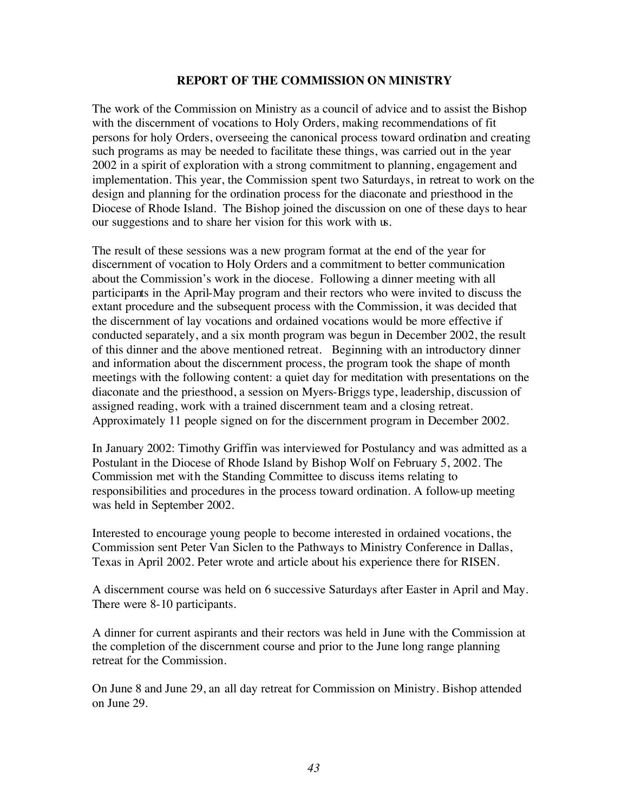#### **REPORT OF THE COMMISSION ON MINISTRY**

The work of the Commission on Ministry as a council of advice and to assist the Bishop with the discernment of vocations to Holy Orders, making recommendations of fit persons for holy Orders, overseeing the canonical process toward ordination and creating such programs as may be needed to facilitate these things, was carried out in the year 2002 in a spirit of exploration with a strong commitment to planning, engagement and implementation. This year, the Commission spent two Saturdays, in retreat to work on the design and planning for the ordination process for the diaconate and priesthood in the Diocese of Rhode Island. The Bishop joined the discussion on one of these days to hear our suggestions and to share her vision for this work with us.

The result of these sessions was a new program format at the end of the year for discernment of vocation to Holy Orders and a commitment to better communication about the Commission's work in the diocese. Following a dinner meeting with all participants in the April-May program and their rectors who were invited to discuss the extant procedure and the subsequent process with the Commission, it was decided that the discernment of lay vocations and ordained vocations would be more effective if conducted separately, and a six month program was begun in December 2002, the result of this dinner and the above mentioned retreat. Beginning with an introductory dinner and information about the discernment process, the program took the shape of month meetings with the following content: a quiet day for meditation with presentations on the diaconate and the priesthood, a session on Myers-Briggs type, leadership, discussion of assigned reading, work with a trained discernment team and a closing retreat. Approximately 11 people signed on for the discernment program in December 2002.

In January 2002: Timothy Griffin was interviewed for Postulancy and was admitted as a Postulant in the Diocese of Rhode Island by Bishop Wolf on February 5, 2002. The Commission met with the Standing Committee to discuss items relating to responsibilities and procedures in the process toward ordination. A follow-up meeting was held in September 2002.

Interested to encourage young people to become interested in ordained vocations, the Commission sent Peter Van Siclen to the Pathways to Ministry Conference in Dallas, Texas in April 2002. Peter wrote and article about his experience there for RISEN.

A discernment course was held on 6 successive Saturdays after Easter in April and May. There were 8-10 participants.

A dinner for current aspirants and their rectors was held in June with the Commission at the completion of the discernment course and prior to the June long range planning retreat for the Commission.

On June 8 and June 29, an all day retreat for Commission on Ministry. Bishop attended on June 29.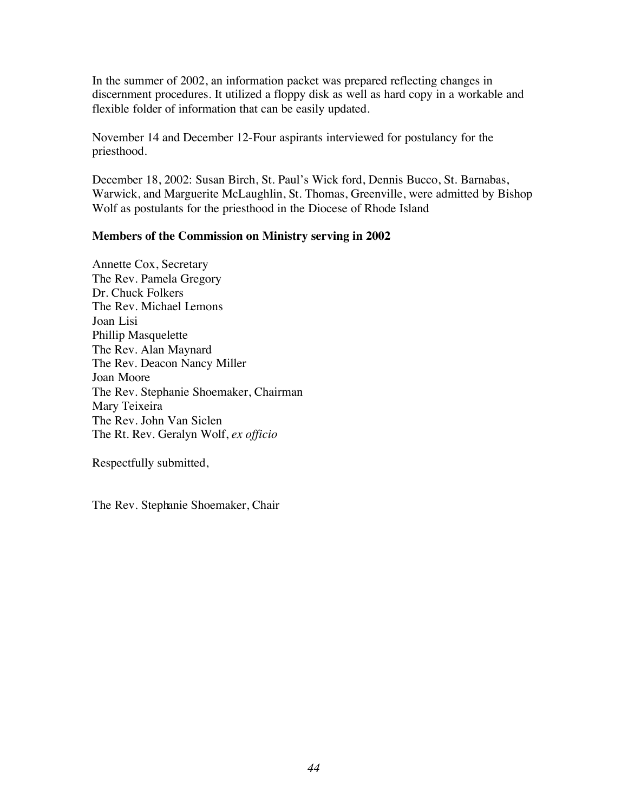In the summer of 2002, an information packet was prepared reflecting changes in discernment procedures. It utilized a floppy disk as well as hard copy in a workable and flexible folder of information that can be easily updated.

November 14 and December 12-Four aspirants interviewed for postulancy for the priesthood.

December 18, 2002: Susan Birch, St. Paul's Wick ford, Dennis Bucco, St. Barnabas, Warwick, and Marguerite McLaughlin, St. Thomas, Greenville, were admitted by Bishop Wolf as postulants for the priesthood in the Diocese of Rhode Island

#### **Members of the Commission on Ministry serving in 2002**

Annette Cox, Secretary The Rev. Pamela Gregory Dr. Chuck Folkers The Rev. Michael Lemons Joan Lisi Phillip Masquelette The Rev. Alan Maynard The Rev. Deacon Nancy Miller Joan Moore The Rev. Stephanie Shoemaker, Chairman Mary Teixeira The Rev. John Van Siclen The Rt. Rev. Geralyn Wolf, *ex officio*

Respectfully submitted,

The Rev. Stephanie Shoemaker, Chair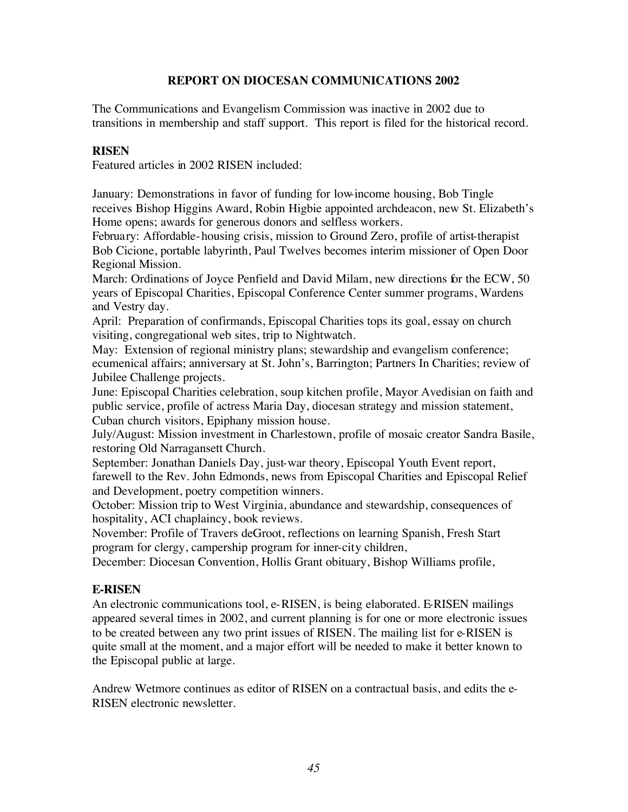#### **REPORT ON DIOCESAN COMMUNICATIONS 2002**

The Communications and Evangelism Commission was inactive in 2002 due to transitions in membership and staff support. This report is filed for the historical record.

#### **RISEN**

Featured articles in 2002 RISEN included:

January: Demonstrations in favor of funding for low-income housing, Bob Tingle receives Bishop Higgins Award, Robin Higbie appointed archdeacon, new St. Elizabeth's Home opens; awards for generous donors and selfless workers.

February: Affordable-housing crisis, mission to Ground Zero, profile of artist-therapist Bob Cicione, portable labyrinth, Paul Twelves becomes interim missioner of Open Door Regional Mission.

March: Ordinations of Joyce Penfield and David Milam, new directions for the ECW, 50 years of Episcopal Charities, Episcopal Conference Center summer programs, Wardens and Vestry day.

April: Preparation of confirmands, Episcopal Charities tops its goal, essay on church visiting, congregational web sites, trip to Nightwatch.

May: Extension of regional ministry plans; stewardship and evangelism conference; ecumenical affairs; anniversary at St. John's, Barrington; Partners In Charities; review of Jubilee Challenge projects.

June: Episcopal Charities celebration, soup kitchen profile, Mayor Avedisian on faith and public service, profile of actress Maria Day, diocesan strategy and mission statement, Cuban church visitors, Epiphany mission house.

July/August: Mission investment in Charlestown, profile of mosaic creator Sandra Basile, restoring Old Narragansett Church.

September: Jonathan Daniels Day, just-war theory, Episcopal Youth Event report, farewell to the Rev. John Edmonds, news from Episcopal Charities and Episcopal Relief and Development, poetry competition winners.

October: Mission trip to West Virginia, abundance and stewardship, consequences of hospitality, ACI chaplaincy, book reviews.

November: Profile of Travers deGroot, reflections on learning Spanish, Fresh Start program for clergy, campership program for inner-city children,

December: Diocesan Convention, Hollis Grant obituary, Bishop Williams profile,

### **E-RISEN**

An electronic communications tool, e-RISEN, is being elaborated. E-RISEN mailings appeared several times in 2002, and current planning is for one or more electronic issues to be created between any two print issues of RISEN. The mailing list for e-RISEN is quite small at the moment, and a major effort will be needed to make it better known to the Episcopal public at large.

Andrew Wetmore continues as editor of RISEN on a contractual basis, and edits the e-RISEN electronic newsletter.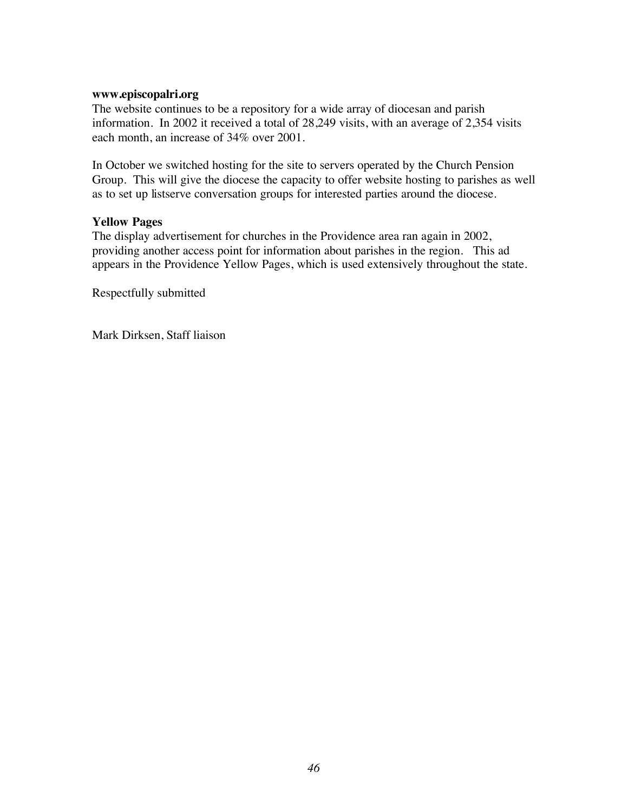#### **www.episcopalri.org**

The website continues to be a repository for a wide array of diocesan and parish information. In 2002 it received a total of 28,249 visits, with an average of 2,354 visits each month, an increase of 34% over 2001.

In October we switched hosting for the site to servers operated by the Church Pension Group. This will give the diocese the capacity to offer website hosting to parishes as well as to set up listserve conversation groups for interested parties around the diocese.

#### **Yellow Pages**

The display advertisement for churches in the Providence area ran again in 2002, providing another access point for information about parishes in the region. This ad appears in the Providence Yellow Pages, which is used extensively throughout the state.

Respectfully submitted

Mark Dirksen, Staff liaison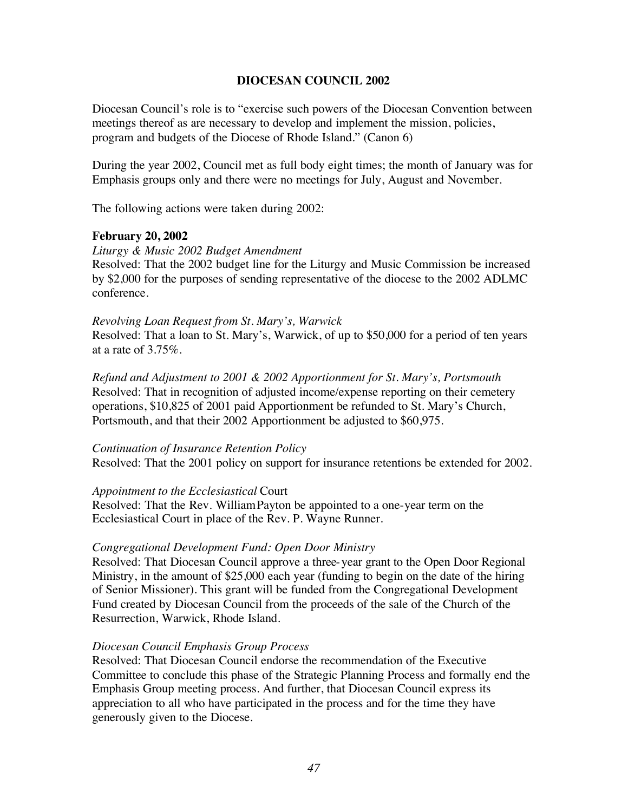#### **DIOCESAN COUNCIL 2002**

Diocesan Council's role is to "exercise such powers of the Diocesan Convention between meetings thereof as are necessary to develop and implement the mission, policies, program and budgets of the Diocese of Rhode Island." (Canon 6)

During the year 2002, Council met as full body eight times; the month of January was for Emphasis groups only and there were no meetings for July, August and November.

The following actions were taken during 2002:

#### **February 20, 2002**

*Liturgy & Music 2002 Budget Amendment*

Resolved: That the 2002 budget line for the Liturgy and Music Commission be increased by \$2,000 for the purposes of sending representative of the diocese to the 2002 ADLMC conference.

#### *Revolving Loan Request from St. Mary's, Warwick*

Resolved: That a loan to St. Mary's, Warwick, of up to \$50,000 for a period of ten years at a rate of 3.75%.

*Refund and Adjustment to 2001 & 2002 Apportionment for St. Mary's, Portsmouth* Resolved: That in recognition of adjusted income/expense reporting on their cemetery operations, \$10,825 of 2001 paid Apportionment be refunded to St. Mary's Church, Portsmouth, and that their 2002 Apportionment be adjusted to \$60,975.

#### *Continuation of Insurance Retention Policy*

Resolved: That the 2001 policy on support for insurance retentions be extended for 2002.

#### *Appointment to the Ecclesiastical* Court

Resolved: That the Rev. William Payton be appointed to a one-year term on the Ecclesiastical Court in place of the Rev. P. Wayne Runner.

#### *Congregational Development Fund: Open Door Ministry*

Resolved: That Diocesan Council approve a three-year grant to the Open Door Regional Ministry, in the amount of \$25,000 each year (funding to begin on the date of the hiring of Senior Missioner). This grant will be funded from the Congregational Development Fund created by Diocesan Council from the proceeds of the sale of the Church of the Resurrection, Warwick, Rhode Island.

#### *Diocesan Council Emphasis Group Process*

Resolved: That Diocesan Council endorse the recommendation of the Executive Committee to conclude this phase of the Strategic Planning Process and formally end the Emphasis Group meeting process. And further, that Diocesan Council express its appreciation to all who have participated in the process and for the time they have generously given to the Diocese.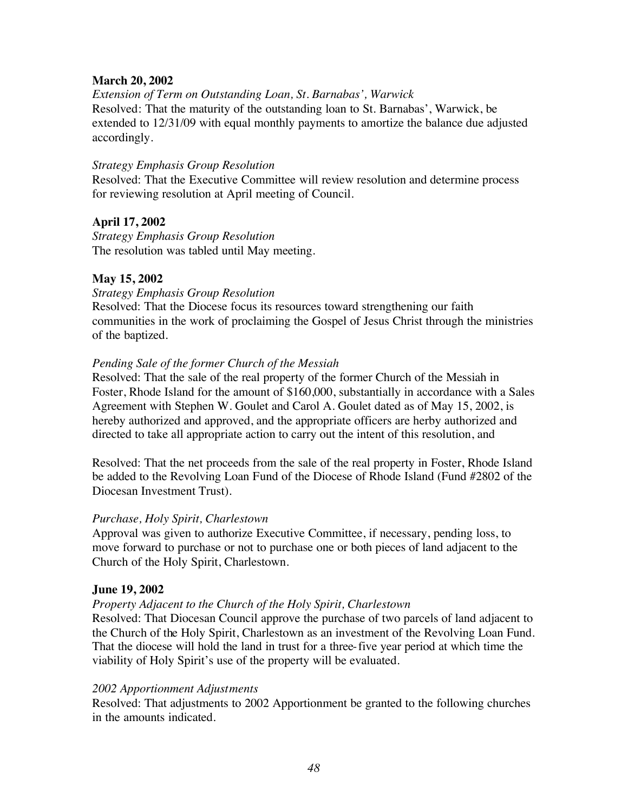#### **March 20, 2002**

*Extension of Term on Outstanding Loan, St. Barnabas', Warwick* Resolved: That the maturity of the outstanding loan to St. Barnabas', Warwick, be extended to 12/31/09 with equal monthly payments to amortize the balance due adjusted accordingly.

#### *Strategy Emphasis Group Resolution*

Resolved: That the Executive Committee will review resolution and determine process for reviewing resolution at April meeting of Council.

### **April 17, 2002**

*Strategy Emphasis Group Resolution* The resolution was tabled until May meeting.

### **May 15, 2002**

#### *Strategy Emphasis Group Resolution*

Resolved: That the Diocese focus its resources toward strengthening our faith communities in the work of proclaiming the Gospel of Jesus Christ through the ministries of the baptized.

#### *Pending Sale of the former Church of the Messiah*

Resolved: That the sale of the real property of the former Church of the Messiah in Foster, Rhode Island for the amount of \$160,000, substantially in accordance with a Sales Agreement with Stephen W. Goulet and Carol A. Goulet dated as of May 15, 2002, is hereby authorized and approved, and the appropriate officers are herby authorized and directed to take all appropriate action to carry out the intent of this resolution, and

Resolved: That the net proceeds from the sale of the real property in Foster, Rhode Island be added to the Revolving Loan Fund of the Diocese of Rhode Island (Fund #2802 of the Diocesan Investment Trust).

#### *Purchase, Holy Spirit, Charlestown*

Approval was given to authorize Executive Committee, if necessary, pending loss, to move forward to purchase or not to purchase one or both pieces of land adjacent to the Church of the Holy Spirit, Charlestown.

#### **June 19, 2002**

### *Property Adjacent to the Church of the Holy Spirit, Charlestown*

Resolved: That Diocesan Council approve the purchase of two parcels of land adjacent to the Church of the Holy Spirit, Charlestown as an investment of the Revolving Loan Fund. That the diocese will hold the land in trust for a three-five year period at which time the viability of Holy Spirit's use of the property will be evaluated.

#### *2002 Apportionment Adjustments*

Resolved: That adjustments to 2002 Apportionment be granted to the following churches in the amounts indicated.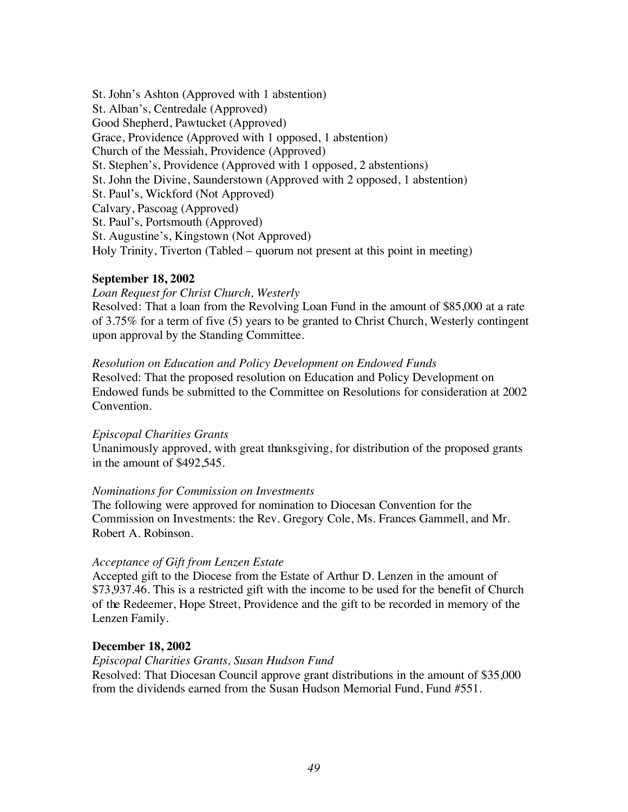St. John's Ashton (Approved with 1 abstention) St. Alban's, Centredale (Approved) Good Shepherd, Pawtucket (Approved) Grace, Providence (Approved with 1 opposed, 1 abstention) Church of the Messiah, Providence (Approved) St. Stephen's, Providence (Approved with 1 opposed, 2 abstentions) St. John the Divine, Saunderstown (Approved with 2 opposed, 1 abstention) St. Paul's, Wickford (Not Approved) Calvary, Pascoag (Approved) St. Paul's, Portsmouth (Approved) St. Augustine's, Kingstown (Not Approved) Holy Trinity, Tiverton (Tabled – quorum not present at this point in meeting)

#### **September 18, 2002**

*Loan Request for Christ Church, Westerly* Resolved: That a loan from the Revolving Loan Fund in the amount of \$85,000 at a rate of 3.75% for a term of five (5) years to be granted to Christ Church, Westerly contingent upon approval by the Standing Committee.

*Resolution on Education and Policy Development on Endowed Funds* Resolved: That the proposed resolution on Education and Policy Development on Endowed funds be submitted to the Committee on Resolutions for consideration at 2002 Convention.

#### *Episcopal Charities Grants*

Unanimously approved, with great thanksgiving, for distribution of the proposed grants in the amount of \$492,545.

#### *Nominations for Commission on Investments*

The following were approved for nomination to Diocesan Convention for the Commission on Investments: the Rev. Gregory Cole, Ms. Frances Gammell, and Mr. Robert A. Robinson.

#### *Acceptance of Gift from Lenzen Estate*

Accepted gift to the Diocese from the Estate of Arthur D. Lenzen in the amount of \$73,937.46. This is a restricted gift with the income to be used for the benefit of Church of the Redeemer, Hope Street, Providence and the gift to be recorded in memory of the Lenzen Family.

#### **December 18, 2002**

*Episcopal Charities Grants, Susan Hudson Fund* Resolved: That Diocesan Council approve grant distributions in the amount of \$35,000 from the dividends earned from the Susan Hudson Memorial Fund, Fund #551.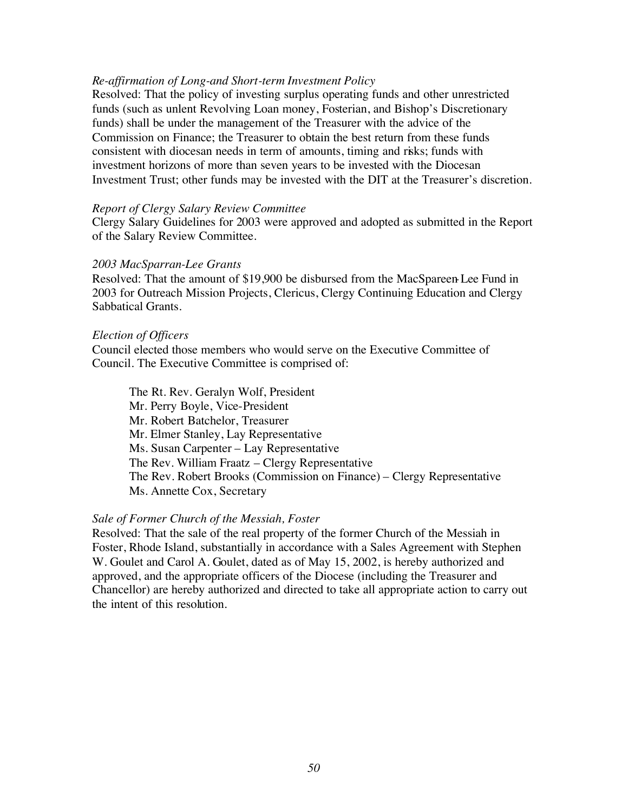#### *Re-affirmation of Long-and Short-term Investment Policy*

Resolved: That the policy of investing surplus operating funds and other unrestricted funds (such as unlent Revolving Loan money, Fosterian, and Bishop's Discretionary funds) shall be under the management of the Treasurer with the advice of the Commission on Finance; the Treasurer to obtain the best return from these funds consistent with diocesan needs in term of amounts, timing and risks; funds with investment horizons of more than seven years to be invested with the Diocesan Investment Trust; other funds may be invested with the DIT at the Treasurer's discretion.

#### *Report of Clergy Salary Review Committee*

Clergy Salary Guidelines for 2003 were approved and adopted as submitted in the Report of the Salary Review Committee.

#### *2003 MacSparran-Lee Grants*

Resolved: That the amount of \$19,900 be disbursed from the MacSpareen-Lee Fund in 2003 for Outreach Mission Projects, Clericus, Clergy Continuing Education and Clergy Sabbatical Grants.

#### *Election of Officers*

Council elected those members who would serve on the Executive Committee of Council. The Executive Committee is comprised of:

The Rt. Rev. Geralyn Wolf, President Mr. Perry Boyle, Vice-President Mr. Robert Batchelor, Treasurer Mr. Elmer Stanley, Lay Representative Ms. Susan Carpenter – Lay Representative The Rev. William Fraatz – Clergy Representative The Rev. Robert Brooks (Commission on Finance) – Clergy Representative Ms. Annette Cox, Secretary

#### *Sale of Former Church of the Messiah, Foster*

Resolved: That the sale of the real property of the former Church of the Messiah in Foster, Rhode Island, substantially in accordance with a Sales Agreement with Stephen W. Goulet and Carol A. Goulet, dated as of May 15, 2002, is hereby authorized and approved, and the appropriate officers of the Diocese (including the Treasurer and Chancellor) are hereby authorized and directed to take all appropriate action to carry out the intent of this resolution.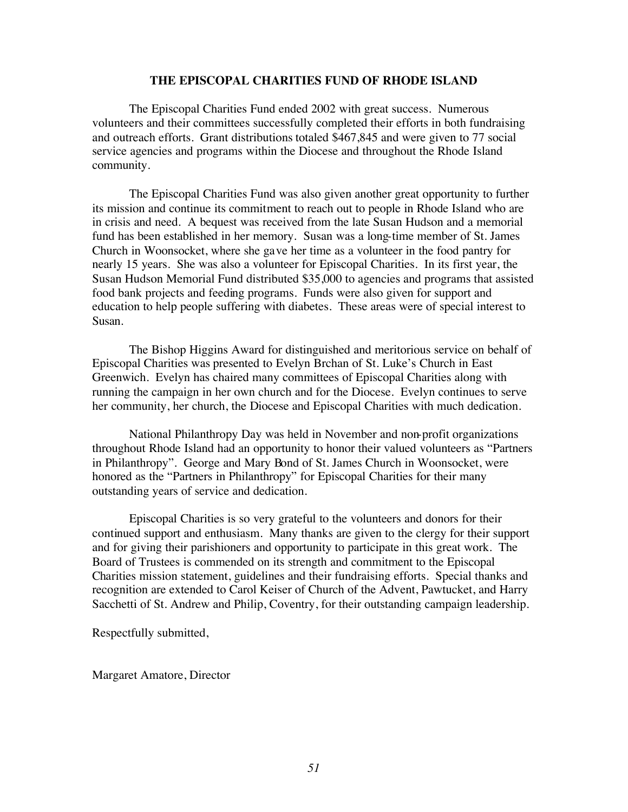#### **THE EPISCOPAL CHARITIES FUND OF RHODE ISLAND**

The Episcopal Charities Fund ended 2002 with great success. Numerous volunteers and their committees successfully completed their efforts in both fundraising and outreach efforts. Grant distributions totaled \$467,845 and were given to 77 social service agencies and programs within the Diocese and throughout the Rhode Island community.

The Episcopal Charities Fund was also given another great opportunity to further its mission and continue its commitment to reach out to people in Rhode Island who are in crisis and need. A bequest was received from the late Susan Hudson and a memorial fund has been established in her memory. Susan was a long-time member of St. James Church in Woonsocket, where she gave her time as a volunteer in the food pantry for nearly 15 years. She was also a volunteer for Episcopal Charities. In its first year, the Susan Hudson Memorial Fund distributed \$35,000 to agencies and programs that assisted food bank projects and feeding programs. Funds were also given for support and education to help people suffering with diabetes. These areas were of special interest to Susan.

The Bishop Higgins Award for distinguished and meritorious service on behalf of Episcopal Charities was presented to Evelyn Brchan of St. Luke's Church in East Greenwich. Evelyn has chaired many committees of Episcopal Charities along with running the campaign in her own church and for the Diocese. Evelyn continues to serve her community, her church, the Diocese and Episcopal Charities with much dedication.

National Philanthropy Day was held in November and non-profit organizations throughout Rhode Island had an opportunity to honor their valued volunteers as "Partners in Philanthropy". George and Mary Bond of St. James Church in Woonsocket, were honored as the "Partners in Philanthropy" for Episcopal Charities for their many outstanding years of service and dedication.

Episcopal Charities is so very grateful to the volunteers and donors for their continued support and enthusiasm. Many thanks are given to the clergy for their support and for giving their parishioners and opportunity to participate in this great work. The Board of Trustees is commended on its strength and commitment to the Episcopal Charities mission statement, guidelines and their fundraising efforts. Special thanks and recognition are extended to Carol Keiser of Church of the Advent, Pawtucket, and Harry Sacchetti of St. Andrew and Philip, Coventry, for their outstanding campaign leadership.

Respectfully submitted,

Margaret Amatore, Director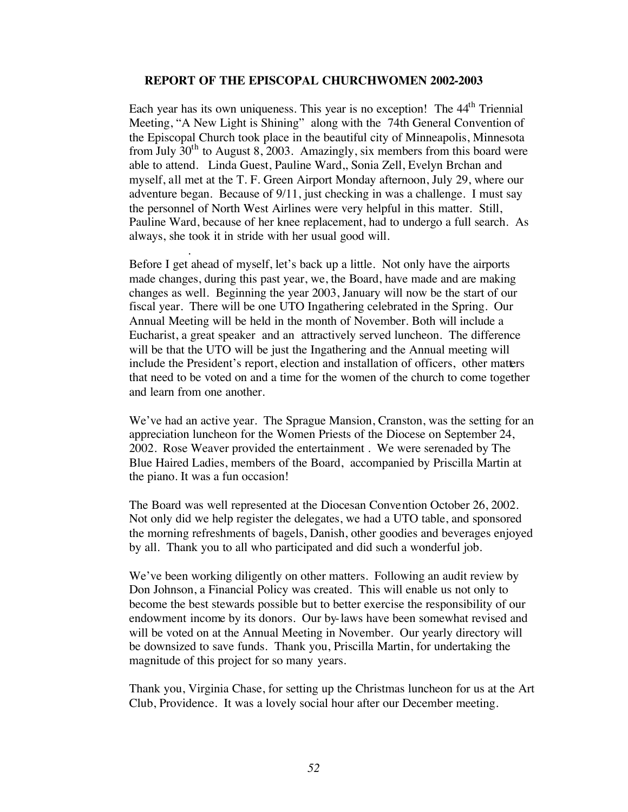#### **REPORT OF THE EPISCOPAL CHURCHWOMEN 2002-2003**

Each year has its own uniqueness. This year is no exception! The  $44<sup>th</sup>$  Triennial Meeting, "A New Light is Shining" along with the 74th General Convention of the Episcopal Church took place in the beautiful city of Minneapolis, Minnesota from July  $30<sup>th</sup>$  to August 8, 2003. Amazingly, six members from this board were able to attend. Linda Guest, Pauline Ward,, Sonia Zell, Evelyn Brchan and myself, all met at the T. F. Green Airport Monday afternoon, July 29, where our adventure began. Because of 9/11, just checking in was a challenge. I must say the personnel of North West Airlines were very helpful in this matter. Still, Pauline Ward, because of her knee replacement, had to undergo a full search. As always, she took it in stride with her usual good will.

Before I get ahead of myself, let's back up a little. Not only have the airports made changes, during this past year, we, the Board, have made and are making changes as well. Beginning the year 2003, January will now be the start of our fiscal year. There will be one UTO Ingathering celebrated in the Spring. Our Annual Meeting will be held in the month of November. Both will include a Eucharist, a great speaker and an attractively served luncheon. The difference will be that the UTO will be just the Ingathering and the Annual meeting will include the President's report, election and installation of officers, other matters that need to be voted on and a time for the women of the church to come together and learn from one another.

.

We've had an active year. The Sprague Mansion, Cranston, was the setting for an appreciation luncheon for the Women Priests of the Diocese on September 24, 2002. Rose Weaver provided the entertainment . We were serenaded by The Blue Haired Ladies, members of the Board, accompanied by Priscilla Martin at the piano. It was a fun occasion!

The Board was well represented at the Diocesan Convention October 26, 2002. Not only did we help register the delegates, we had a UTO table, and sponsored the morning refreshments of bagels, Danish, other goodies and beverages enjoyed by all. Thank you to all who participated and did such a wonderful job.

We've been working diligently on other matters. Following an audit review by Don Johnson, a Financial Policy was created. This will enable us not only to become the best stewards possible but to better exercise the responsibility of our endowment income by its donors. Our by-laws have been somewhat revised and will be voted on at the Annual Meeting in November. Our yearly directory will be downsized to save funds. Thank you, Priscilla Martin, for undertaking the magnitude of this project for so many years.

Thank you, Virginia Chase, for setting up the Christmas luncheon for us at the Art Club, Providence. It was a lovely social hour after our December meeting.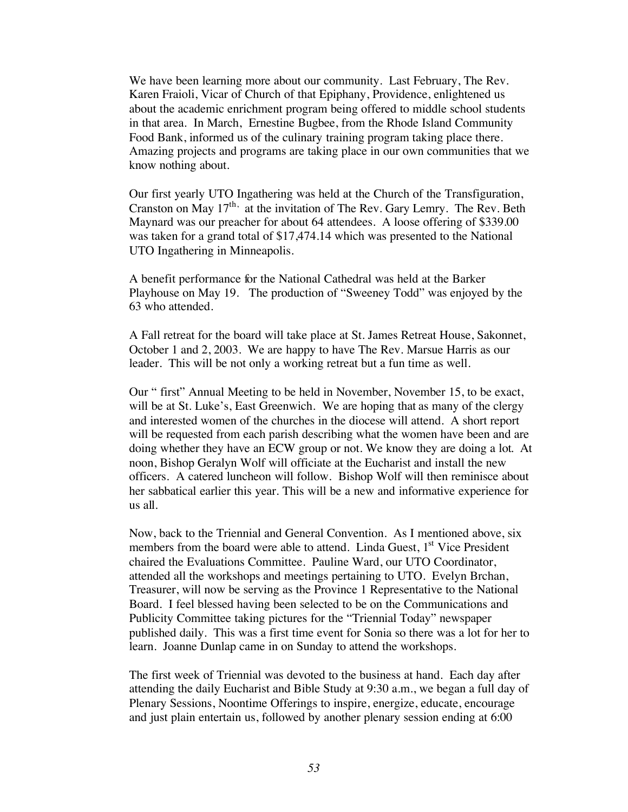We have been learning more about our community. Last February, The Rev. Karen Fraioli, Vicar of Church of that Epiphany, Providence, enlightened us about the academic enrichment program being offered to middle school students in that area. In March, Ernestine Bugbee, from the Rhode Island Community Food Bank, informed us of the culinary training program taking place there. Amazing projects and programs are taking place in our own communities that we know nothing about.

Our first yearly UTO Ingathering was held at the Church of the Transfiguration, Cranston on May  $17<sup>th</sup>$ , at the invitation of The Rev. Gary Lemry. The Rev. Beth Maynard was our preacher for about 64 attendees. A loose offering of \$339.00 was taken for a grand total of \$17,474.14 which was presented to the National UTO Ingathering in Minneapolis.

A benefit performance for the National Cathedral was held at the Barker Playhouse on May 19. The production of "Sweeney Todd" was enjoyed by the 63 who attended.

A Fall retreat for the board will take place at St. James Retreat House, Sakonnet, October 1 and 2, 2003. We are happy to have The Rev. Marsue Harris as our leader. This will be not only a working retreat but a fun time as well.

Our " first" Annual Meeting to be held in November, November 15, to be exact, will be at St. Luke's, East Greenwich. We are hoping that as many of the clergy and interested women of the churches in the diocese will attend. A short report will be requested from each parish describing what the women have been and are doing whether they have an ECW group or not. We know they are doing a lot. At noon, Bishop Geralyn Wolf will officiate at the Eucharist and install the new officers. A catered luncheon will follow. Bishop Wolf will then reminisce about her sabbatical earlier this year. This will be a new and informative experience for us all.

Now, back to the Triennial and General Convention. As I mentioned above, six members from the board were able to attend. Linda Guest,  $1<sup>st</sup>$  Vice President chaired the Evaluations Committee. Pauline Ward, our UTO Coordinator, attended all the workshops and meetings pertaining to UTO. Evelyn Brchan, Treasurer, will now be serving as the Province 1 Representative to the National Board. I feel blessed having been selected to be on the Communications and Publicity Committee taking pictures for the "Triennial Today" newspaper published daily. This was a first time event for Sonia so there was a lot for her to learn. Joanne Dunlap came in on Sunday to attend the workshops.

The first week of Triennial was devoted to the business at hand. Each day after attending the daily Eucharist and Bible Study at 9:30 a.m., we began a full day of Plenary Sessions, Noontime Offerings to inspire, energize, educate, encourage and just plain entertain us, followed by another plenary session ending at 6:00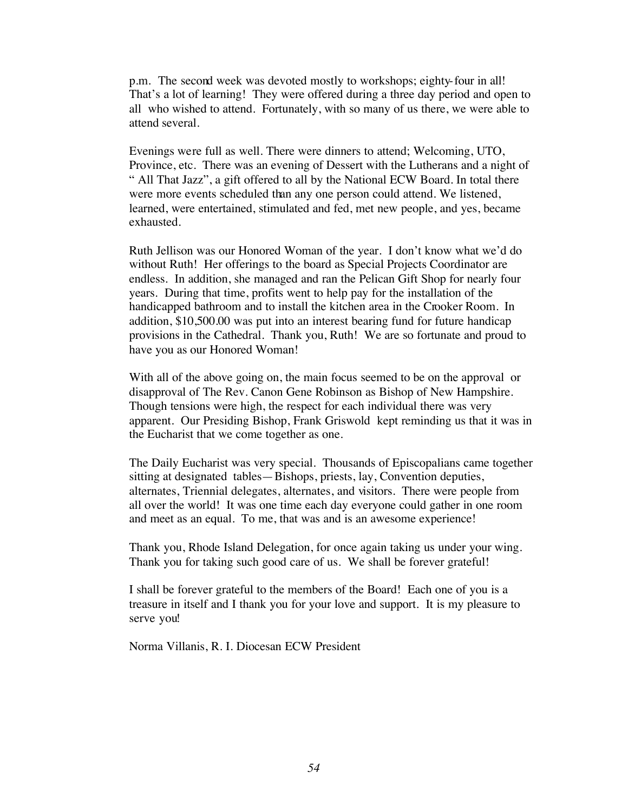p.m. The second week was devoted mostly to workshops; eighty-four in all! That's a lot of learning! They were offered during a three day period and open to all who wished to attend. Fortunately, with so many of us there, we were able to attend several.

Evenings were full as well. There were dinners to attend; Welcoming, UTO, Province, etc. There was an evening of Dessert with the Lutherans and a night of " All That Jazz", a gift offered to all by the National ECW Board. In total there were more events scheduled than any one person could attend. We listened, learned, were entertained, stimulated and fed, met new people, and yes, became exhausted.

Ruth Jellison was our Honored Woman of the year. I don't know what we'd do without Ruth! Her offerings to the board as Special Projects Coordinator are endless. In addition, she managed and ran the Pelican Gift Shop for nearly four years. During that time, profits went to help pay for the installation of the handicapped bathroom and to install the kitchen area in the Crooker Room. In addition, \$10,500.00 was put into an interest bearing fund for future handicap provisions in the Cathedral. Thank you, Ruth! We are so fortunate and proud to have you as our Honored Woman!

With all of the above going on, the main focus seemed to be on the approval or disapproval of The Rev. Canon Gene Robinson as Bishop of New Hampshire. Though tensions were high, the respect for each individual there was very apparent. Our Presiding Bishop, Frank Griswold kept reminding us that it was in the Eucharist that we come together as one.

The Daily Eucharist was very special. Thousands of Episcopalians came together sitting at designated tables—Bishops, priests, lay, Convention deputies, alternates, Triennial delegates, alternates, and visitors. There were people from all over the world! It was one time each day everyone could gather in one room and meet as an equal. To me, that was and is an awesome experience!

Thank you, Rhode Island Delegation, for once again taking us under your wing. Thank you for taking such good care of us. We shall be forever grateful!

I shall be forever grateful to the members of the Board! Each one of you is a treasure in itself and I thank you for your love and support. It is my pleasure to serve you!

Norma Villanis, R. I. Diocesan ECW President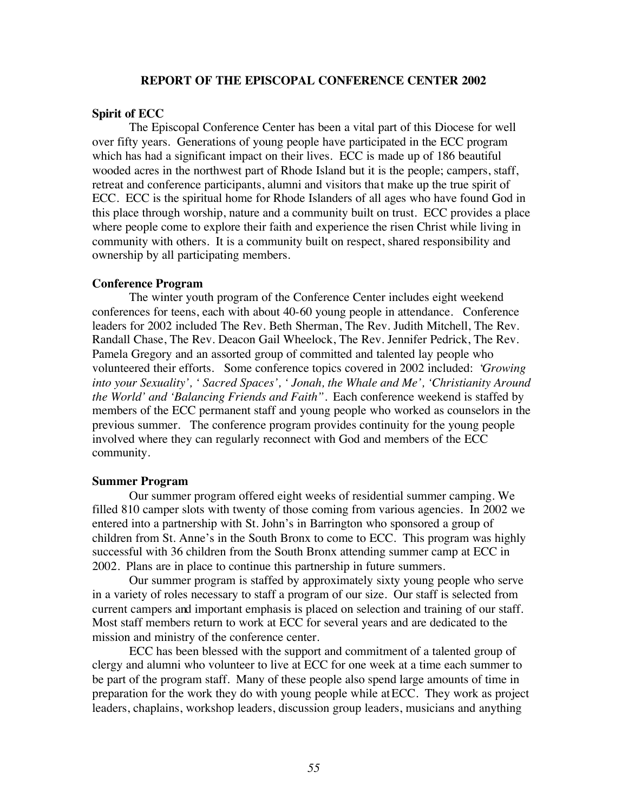#### **REPORT OF THE EPISCOPAL CONFERENCE CENTER 2002**

#### **Spirit of ECC**

The Episcopal Conference Center has been a vital part of this Diocese for well over fifty years. Generations of young people have participated in the ECC program which has had a significant impact on their lives. ECC is made up of 186 beautiful wooded acres in the northwest part of Rhode Island but it is the people; campers, staff, retreat and conference participants, alumni and visitors that make up the true spirit of ECC. ECC is the spiritual home for Rhode Islanders of all ages who have found God in this place through worship, nature and a community built on trust. ECC provides a place where people come to explore their faith and experience the risen Christ while living in community with others. It is a community built on respect, shared responsibility and ownership by all participating members.

#### **Conference Program**

The winter youth program of the Conference Center includes eight weekend conferences for teens, each with about 40-60 young people in attendance. Conference leaders for 2002 included The Rev. Beth Sherman, The Rev. Judith Mitchell, The Rev. Randall Chase, The Rev. Deacon Gail Wheelock, The Rev. Jennifer Pedrick, The Rev. Pamela Gregory and an assorted group of committed and talented lay people who volunteered their efforts. Some conference topics covered in 2002 included: '*Growing into your Sexuality', ' Sacred Spaces', ' Jonah, the Whale and Me', 'Christianity Around the World' and 'Balancing Friends and Faith".* Each conference weekend is staffed by members of the ECC permanent staff and young people who worked as counselors in the previous summer. The conference program provides continuity for the young people involved where they can regularly reconnect with God and members of the ECC community.

#### **Summer Program**

Our summer program offered eight weeks of residential summer camping. We filled 810 camper slots with twenty of those coming from various agencies. In 2002 we entered into a partnership with St. John's in Barrington who sponsored a group of children from St. Anne's in the South Bronx to come to ECC. This program was highly successful with 36 children from the South Bronx attending summer camp at ECC in 2002. Plans are in place to continue this partnership in future summers.

Our summer program is staffed by approximately sixty young people who serve in a variety of roles necessary to staff a program of our size. Our staff is selected from current campers and important emphasis is placed on selection and training of our staff. Most staff members return to work at ECC for several years and are dedicated to the mission and ministry of the conference center.

ECC has been blessed with the support and commitment of a talented group of clergy and alumni who volunteer to live at ECC for one week at a time each summer to be part of the program staff. Many of these people also spend large amounts of time in preparation for the work they do with young people while at ECC. They work as project leaders, chaplains, workshop leaders, discussion group leaders, musicians and anything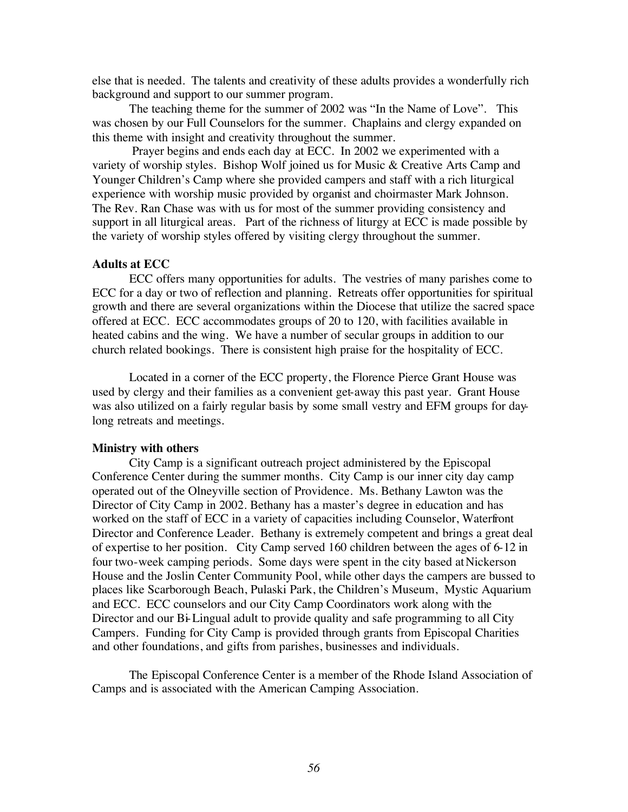else that is needed. The talents and creativity of these adults provides a wonderfully rich background and support to our summer program.

The teaching theme for the summer of 2002 was "In the Name of Love". This was chosen by our Full Counselors for the summer. Chaplains and clergy expanded on this theme with insight and creativity throughout the summer.

 Prayer begins and ends each day at ECC. In 2002 we experimented with a variety of worship styles. Bishop Wolf joined us for Music & Creative Arts Camp and Younger Children's Camp where she provided campers and staff with a rich liturgical experience with worship music provided by organist and choirmaster Mark Johnson. The Rev. Ran Chase was with us for most of the summer providing consistency and support in all liturgical areas. Part of the richness of liturgy at ECC is made possible by the variety of worship styles offered by visiting clergy throughout the summer.

#### **Adults at ECC**

ECC offers many opportunities for adults. The vestries of many parishes come to ECC for a day or two of reflection and planning. Retreats offer opportunities for spiritual growth and there are several organizations within the Diocese that utilize the sacred space offered at ECC. ECC accommodates groups of 20 to 120, with facilities available in heated cabins and the wing. We have a number of secular groups in addition to our church related bookings. There is consistent high praise for the hospitality of ECC.

Located in a corner of the ECC property, the Florence Pierce Grant House was used by clergy and their families as a convenient get-away this past year. Grant House was also utilized on a fairly regular basis by some small vestry and EFM groups for daylong retreats and meetings.

#### **Ministry with others**

City Camp is a significant outreach project administered by the Episcopal Conference Center during the summer months. City Camp is our inner city day camp operated out of the Olneyville section of Providence. Ms. Bethany Lawton was the Director of City Camp in 2002. Bethany has a master's degree in education and has worked on the staff of ECC in a variety of capacities including Counselor, Waterfront Director and Conference Leader. Bethany is extremely competent and brings a great deal of expertise to her position. City Camp served 160 children between the ages of 6-12 in four two-week camping periods. Some days were spent in the city based at Nickerson House and the Joslin Center Community Pool, while other days the campers are bussed to places like Scarborough Beach, Pulaski Park, the Children's Museum, Mystic Aquarium and ECC. ECC counselors and our City Camp Coordinators work along with the Director and our Bi-Lingual adult to provide quality and safe programming to all City Campers. Funding for City Camp is provided through grants from Episcopal Charities and other foundations, and gifts from parishes, businesses and individuals.

The Episcopal Conference Center is a member of the Rhode Island Association of Camps and is associated with the American Camping Association.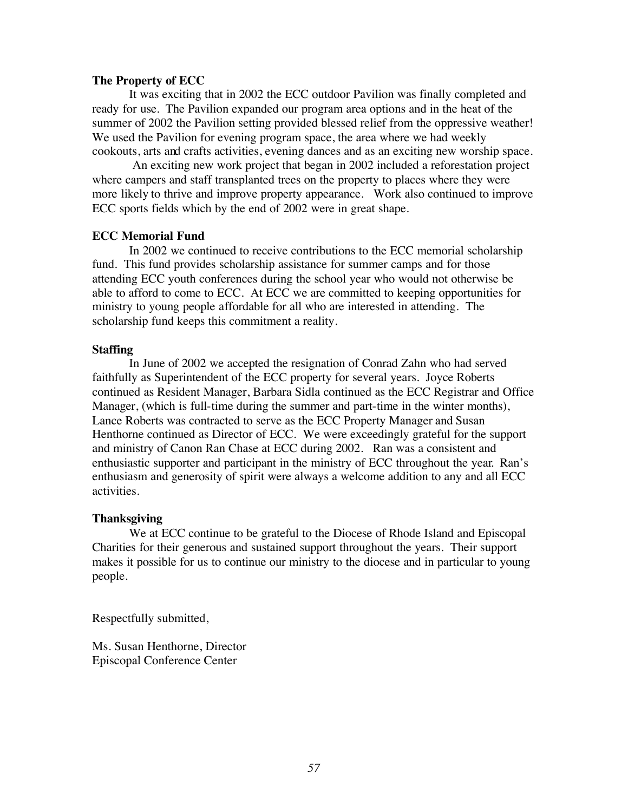#### **The Property of ECC**

It was exciting that in 2002 the ECC outdoor Pavilion was finally completed and ready for use. The Pavilion expanded our program area options and in the heat of the summer of 2002 the Pavilion setting provided blessed relief from the oppressive weather! We used the Pavilion for evening program space, the area where we had weekly cookouts, arts and crafts activities, evening dances and as an exciting new worship space.

 An exciting new work project that began in 2002 included a reforestation project where campers and staff transplanted trees on the property to places where they were more likely to thrive and improve property appearance. Work also continued to improve ECC sports fields which by the end of 2002 were in great shape.

#### **ECC Memorial Fund**

In 2002 we continued to receive contributions to the ECC memorial scholarship fund. This fund provides scholarship assistance for summer camps and for those attending ECC youth conferences during the school year who would not otherwise be able to afford to come to ECC. At ECC we are committed to keeping opportunities for ministry to young people affordable for all who are interested in attending. The scholarship fund keeps this commitment a reality.

#### **Staffing**

In June of 2002 we accepted the resignation of Conrad Zahn who had served faithfully as Superintendent of the ECC property for several years. Joyce Roberts continued as Resident Manager, Barbara Sidla continued as the ECC Registrar and Office Manager, (which is full-time during the summer and part-time in the winter months), Lance Roberts was contracted to serve as the ECC Property Manager and Susan Henthorne continued as Director of ECC. We were exceedingly grateful for the support and ministry of Canon Ran Chase at ECC during 2002. Ran was a consistent and enthusiastic supporter and participant in the ministry of ECC throughout the year. Ran's enthusiasm and generosity of spirit were always a welcome addition to any and all ECC activities.

#### **Thanksgiving**

We at ECC continue to be grateful to the Diocese of Rhode Island and Episcopal Charities for their generous and sustained support throughout the years. Their support makes it possible for us to continue our ministry to the diocese and in particular to young people.

Respectfully submitted,

Ms. Susan Henthorne, Director Episcopal Conference Center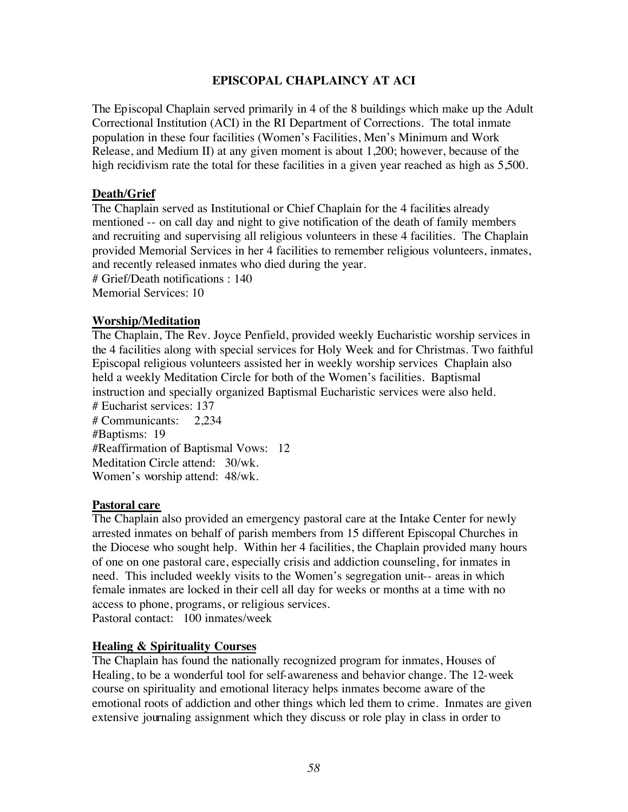#### **EPISCOPAL CHAPLAINCY AT ACI**

The Episcopal Chaplain served primarily in 4 of the 8 buildings which make up the Adult Correctional Institution (ACI) in the RI Department of Corrections. The total inmate population in these four facilities (Women's Facilities, Men's Minimum and Work Release, and Medium II) at any given moment is about 1,200; however, because of the high recidivism rate the total for these facilities in a given year reached as high as 5,500.

#### **Death/Grief**

The Chaplain served as Institutional or Chief Chaplain for the 4 facilities already mentioned -- on call day and night to give notification of the death of family members and recruiting and supervising all religious volunteers in these 4 facilities. The Chaplain provided Memorial Services in her 4 facilities to remember religious volunteers, inmates, and recently released inmates who died during the year.

# Grief/Death notifications : 140 Memorial Services: 10

#### **Worship/Meditation**

The Chaplain, The Rev. Joyce Penfield, provided weekly Eucharistic worship services in the 4 facilities along with special services for Holy Week and for Christmas. Two faithful Episcopal religious volunteers assisted her in weekly worship services Chaplain also held a weekly Meditation Circle for both of the Women's facilities. Baptismal instruction and specially organized Baptismal Eucharistic services were also held. # Eucharist services: 137

# Communicants: 2,234 #Baptisms: 19 #Reaffirmation of Baptismal Vows: 12 Meditation Circle attend: 30/wk. Women's worship attend: 48/wk.

#### **Pastoral care**

The Chaplain also provided an emergency pastoral care at the Intake Center for newly arrested inmates on behalf of parish members from 15 different Episcopal Churches in the Diocese who sought help. Within her 4 facilities, the Chaplain provided many hours of one on one pastoral care, especially crisis and addiction counseling, for inmates in need. This included weekly visits to the Women's segregation unit-- areas in which female inmates are locked in their cell all day for weeks or months at a time with no access to phone, programs, or religious services. Pastoral contact: 100 inmates/week

#### **Healing & Spirituality Courses**

The Chaplain has found the nationally recognized program for inmates, Houses of Healing, to be a wonderful tool for self-awareness and behavior change. The 12-week course on spirituality and emotional literacy helps inmates become aware of the emotional roots of addiction and other things which led them to crime. Inmates are given extensive journaling assignment which they discuss or role play in class in order to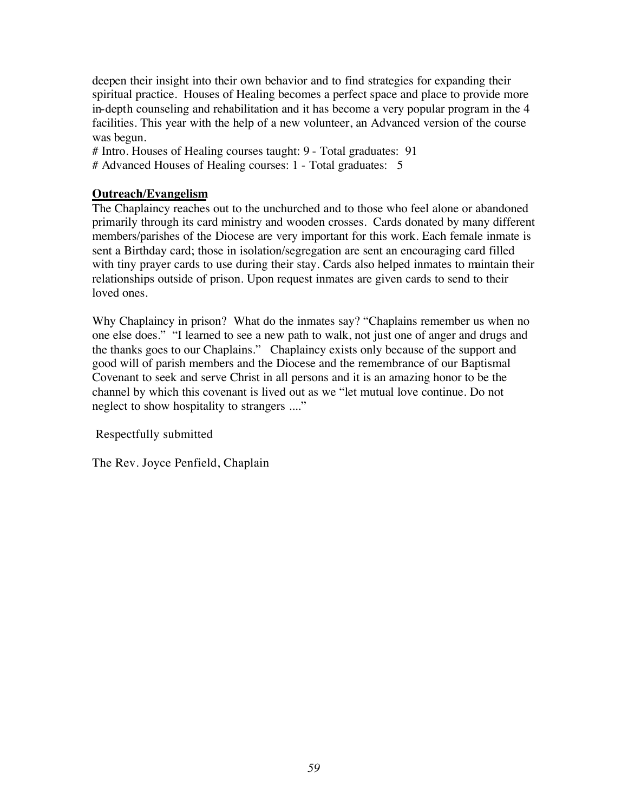deepen their insight into their own behavior and to find strategies for expanding their spiritual practice. Houses of Healing becomes a perfect space and place to provide more in-depth counseling and rehabilitation and it has become a very popular program in the 4 facilities. This year with the help of a new volunteer, an Advanced version of the course was begun.

# Intro. Houses of Healing courses taught: 9 - Total graduates: 91 # Advanced Houses of Healing courses: 1 - Total graduates: 5

#### **Outreach/Evangelism**

The Chaplaincy reaches out to the unchurched and to those who feel alone or abandoned primarily through its card ministry and wooden crosses. Cards donated by many different members/parishes of the Diocese are very important for this work. Each female inmate is sent a Birthday card; those in isolation/segregation are sent an encouraging card filled with tiny prayer cards to use during their stay. Cards also helped inmates to maintain their relationships outside of prison. Upon request inmates are given cards to send to their loved ones.

Why Chaplaincy in prison? What do the inmates say? "Chaplains remember us when no one else does." "I learned to see a new path to walk, not just one of anger and drugs and the thanks goes to our Chaplains." Chaplaincy exists only because of the support and good will of parish members and the Diocese and the remembrance of our Baptismal Covenant to seek and serve Christ in all persons and it is an amazing honor to be the channel by which this covenant is lived out as we "let mutual love continue. Do not neglect to show hospitality to strangers ...."

Respectfully submitted

The Rev. Joyce Penfield, Chaplain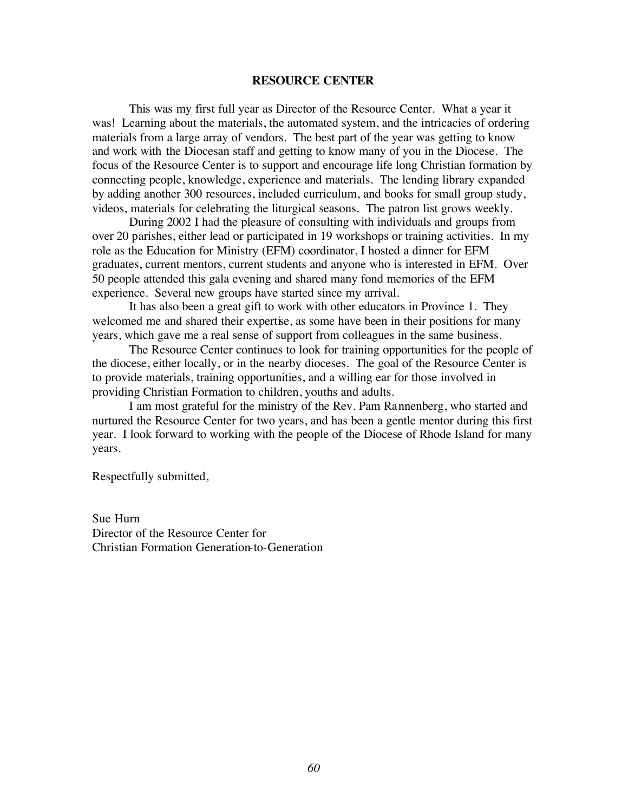#### **RESOURCE CENTER**

This was my first full year as Director of the Resource Center. What a year it was! Learning about the materials, the automated system, and the intricacies of ordering materials from a large array of vendors. The best part of the year was getting to know and work with the Diocesan staff and getting to know many of you in the Diocese. The focus of the Resource Center is to support and encourage life long Christian formation by connecting people, knowledge, experience and materials. The lending library expanded by adding another 300 resources, included curriculum, and books for small group study, videos, materials for celebrating the liturgical seasons. The patron list grows weekly.

During 2002 I had the pleasure of consulting with individuals and groups from over 20 parishes, either lead or participated in 19 workshops or training activities. In my role as the Education for Ministry (EFM) coordinator, I hosted a dinner for EFM graduates, current mentors, current students and anyone who is interested in EFM. Over 50 people attended this gala evening and shared many fond memories of the EFM experience. Several new groups have started since my arrival.

It has also been a great gift to work with other educators in Province 1. They welcomed me and shared their expertise, as some have been in their positions for many years, which gave me a real sense of support from colleagues in the same business.

The Resource Center continues to look for training opportunities for the people of the diocese, either locally, or in the nearby dioceses. The goal of the Resource Center is to provide materials, training opportunities, and a willing ear for those involved in providing Christian Formation to children, youths and adults.

I am most grateful for the ministry of the Rev. Pam Rannenberg, who started and nurtured the Resource Center for two years, and has been a gentle mentor during this first year. I look forward to working with the people of the Diocese of Rhode Island for many years.

Respectfully submitted,

Sue Hurn Director of the Resource Center for Christian Formation Generation-to-Generation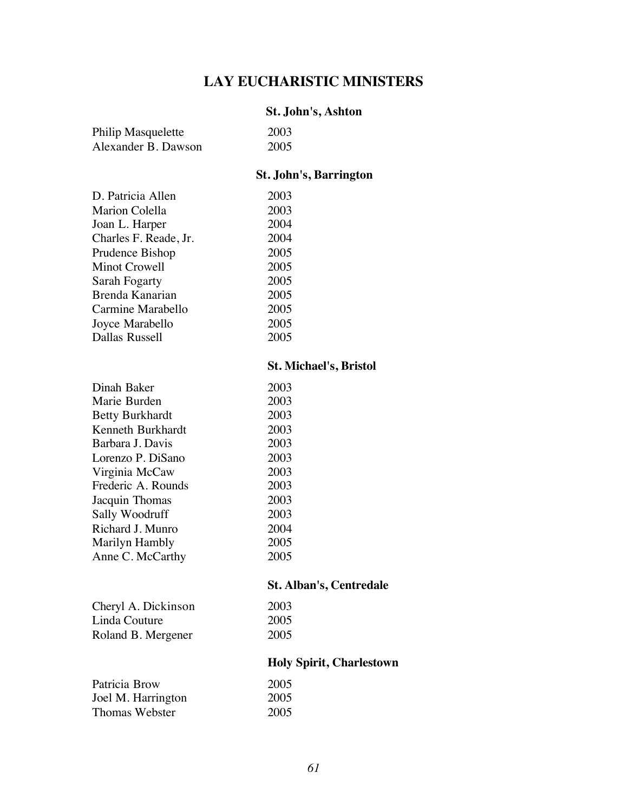## **LAY EUCHARISTIC MINISTERS**

#### **St. John's, Ashton**

| Philip Masquelette  | 2003 |
|---------------------|------|
| Alexander B. Dawson | 2005 |

#### **St. John's, Barrington**

| D. Patricia Allen     | 2003 |
|-----------------------|------|
| Marion Colella        | 2003 |
| Joan L. Harper        | 2004 |
| Charles F. Reade, Jr. | 2004 |
| Prudence Bishop       | 2005 |
| Minot Crowell         | 2005 |
| Sarah Fogarty         | 2005 |
| Brenda Kanarian       | 2005 |
| Carmine Marabello     | 2005 |
| Joyce Marabello       | 2005 |
| Dallas Russell        | 2005 |
|                       |      |

#### **St. Michael's, Bristol**

| 2003 |
|------|
| 2003 |
| 2003 |
| 2003 |
| 2003 |
| 2003 |
| 2003 |
| 2003 |
| 2003 |
| 2003 |
| 2004 |
| 2005 |
| 2005 |
|      |

### **St. Alban's, Centredale**

2003 2005 2005

| Cheryl A. Dickinson |  |
|---------------------|--|
| Linda Couture       |  |
| Roland B. Mergener  |  |

### **Holy Spirit, Charlestown**

| Patricia Brow      | 2005 |
|--------------------|------|
| Joel M. Harrington | 2005 |
| Thomas Webster     | 2005 |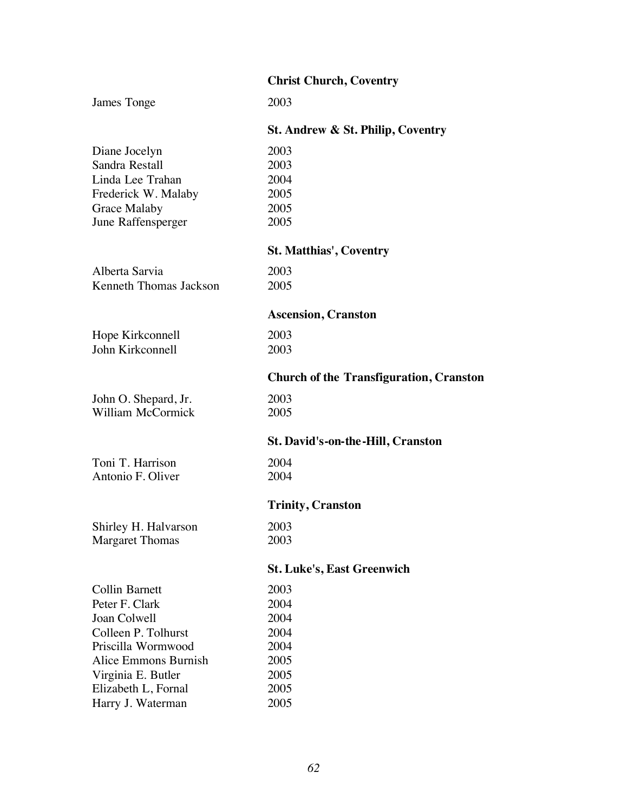|                          | <b>Christ Church, Coventry</b>                 |
|--------------------------|------------------------------------------------|
| James Tonge              | 2003                                           |
|                          | St. Andrew & St. Philip, Coventry              |
| Diane Jocelyn            | 2003                                           |
| Sandra Restall           | 2003                                           |
| Linda Lee Trahan         | 2004                                           |
| Frederick W. Malaby      | 2005                                           |
| Grace Malaby             | 2005                                           |
| June Raffensperger       | 2005                                           |
|                          | <b>St. Matthias', Coventry</b>                 |
| Alberta Sarvia           | 2003                                           |
| Kenneth Thomas Jackson   | 2005                                           |
|                          | <b>Ascension, Cranston</b>                     |
| Hope Kirkconnell         | 2003                                           |
| John Kirkconnell         | 2003                                           |
|                          | <b>Church of the Transfiguration, Cranston</b> |
| John O. Shepard, Jr.     | 2003                                           |
| <b>William McCormick</b> | 2005                                           |
|                          | St. David's-on-the-Hill, Cranston              |
| Toni T. Harrison         | 2004                                           |
| Antonio F. Oliver        | 2004                                           |
|                          | <b>Trinity, Cranston</b>                       |
| Shirley H. Halvarson     | 2003                                           |
| <b>Margaret Thomas</b>   | 2003                                           |
|                          | <b>St. Luke's, East Greenwich</b>              |
| <b>Collin Barnett</b>    | 2003                                           |
| Peter F. Clark           | 2004                                           |
| Joan Colwell             | 2004                                           |
| Colleen P. Tolhurst      | 2004                                           |
| Priscilla Wormwood       | 2004                                           |
| Alice Emmons Burnish     | 2005                                           |
| Virginia E. Butler       | 2005                                           |
| Elizabeth L, Fornal      | 2005                                           |
| Harry J. Waterman        | 2005                                           |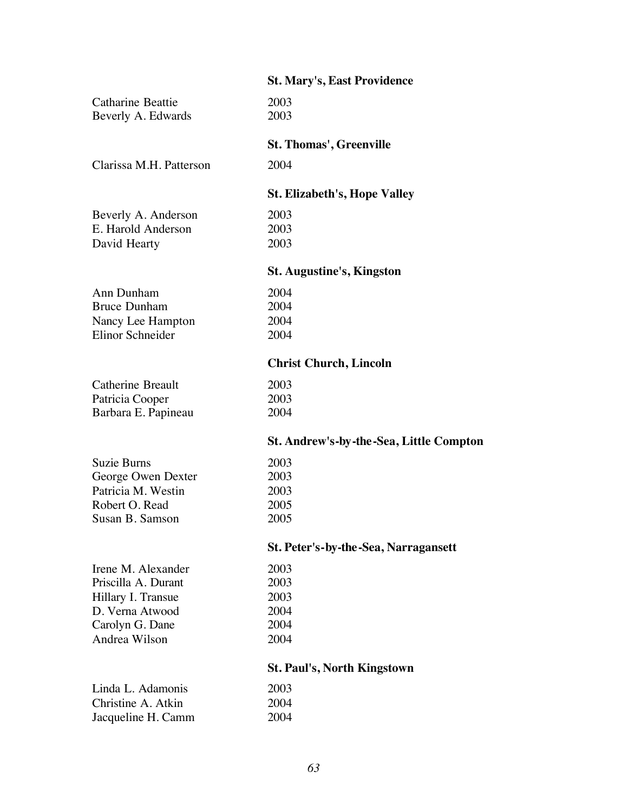|                          | <b>St. Mary's, East Providence</b>      |
|--------------------------|-----------------------------------------|
| <b>Catharine Beattie</b> | 2003                                    |
| Beverly A. Edwards       | 2003                                    |
|                          | <b>St. Thomas', Greenville</b>          |
| Clarissa M.H. Patterson  | 2004                                    |
|                          | <b>St. Elizabeth's, Hope Valley</b>     |
| Beverly A. Anderson      | 2003                                    |
| E. Harold Anderson       | 2003                                    |
| David Hearty             | 2003                                    |
|                          | <b>St. Augustine's, Kingston</b>        |
| Ann Dunham               | 2004                                    |
| <b>Bruce Dunham</b>      | 2004                                    |
| Nancy Lee Hampton        | 2004                                    |
| Elinor Schneider         | 2004                                    |
|                          | <b>Christ Church, Lincoln</b>           |
| Catherine Breault        | 2003                                    |
| Patricia Cooper          | 2003                                    |
| Barbara E. Papineau      | 2004                                    |
|                          | St. Andrew's-by-the-Sea, Little Compton |
| <b>Suzie Burns</b>       | 2003                                    |
| George Owen Dexter       | 2003                                    |
| Patricia M. Westin       | 2003                                    |
| Robert O. Read           | 2005                                    |
| Susan B. Samson          | 2005                                    |
|                          | St. Peter's-by-the-Sea, Narragansett    |
| Irene M. Alexander       | 2003                                    |
| Priscilla A. Durant      | 2003                                    |
| Hillary I. Transue       | 2003                                    |
| D. Verna Atwood          | 2004                                    |
| Carolyn G. Dane          | 2004                                    |
| Andrea Wilson            | 2004                                    |
|                          | <b>St. Paul's, North Kingstown</b>      |
| Linda L. Adamonis        | 2003                                    |
| Christine A. Atkin       | 2004                                    |
| Jacqueline H. Camm       | 2004                                    |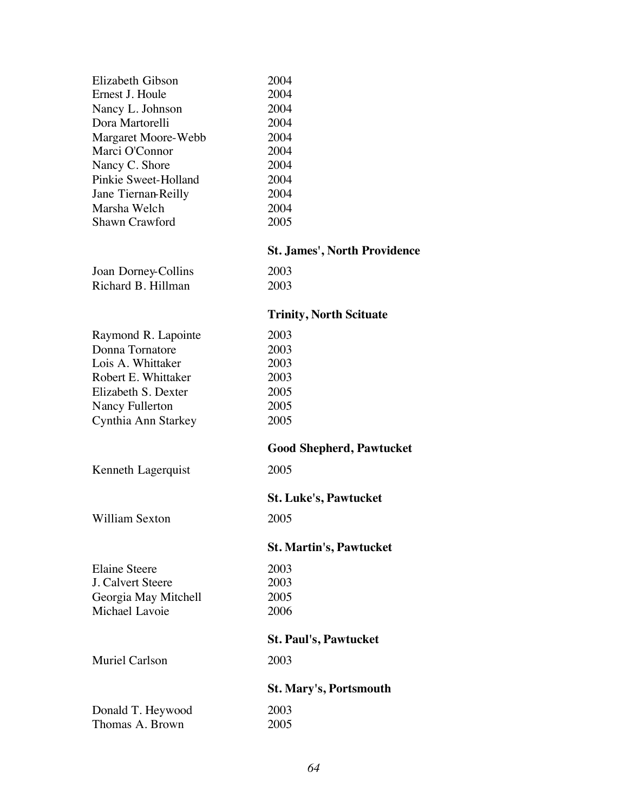| Elizabeth Gibson     | 2004 |
|----------------------|------|
| Ernest J. Houle      | 2004 |
| Nancy L. Johnson     | 2004 |
| Dora Martorelli      | 2004 |
| Margaret Moore-Webb  | 2004 |
| Marci O'Connor       | 2004 |
| Nancy C. Shore       | 2004 |
| Pinkie Sweet-Holland | 2004 |
| Jane Tiernan-Reilly  | 2004 |
| Marsha Welch         | 2004 |
| Shawn Crawford       | 2005 |
|                      |      |

## **St. James', North Providence**

| Joan Dorney-Collins |  |
|---------------------|--|
| Richard B. Hillman  |  |

2003 2003

## **Trinity, North Scituate**

| Raymond R. Lapointe   | 2003                            |
|-----------------------|---------------------------------|
| Donna Tornatore       | 2003                            |
| Lois A. Whittaker     | 2003                            |
| Robert E. Whittaker   | 2003                            |
| Elizabeth S. Dexter   | 2005                            |
| Nancy Fullerton       | 2005                            |
| Cynthia Ann Starkey   | 2005                            |
|                       | <b>Good Shepherd, Pawtucket</b> |
| Kenneth Lagerquist    | 2005                            |
|                       | <b>St. Luke's, Pawtucket</b>    |
| William Sexton        | 2005                            |
|                       | <b>St. Martin's, Pawtucket</b>  |
| Elaine Steere         | 2003                            |
| J. Calvert Steere     | 2003                            |
| Georgia May Mitchell  | 2005                            |
| Michael Lavoie        | 2006                            |
|                       | <b>St. Paul's, Pawtucket</b>    |
| <b>Muriel Carlson</b> | 2003                            |
|                       | <b>St. Mary's, Portsmouth</b>   |
| Donald T. Heywood     | 2003                            |
| Thomas A. Brown       | 2005                            |
|                       |                                 |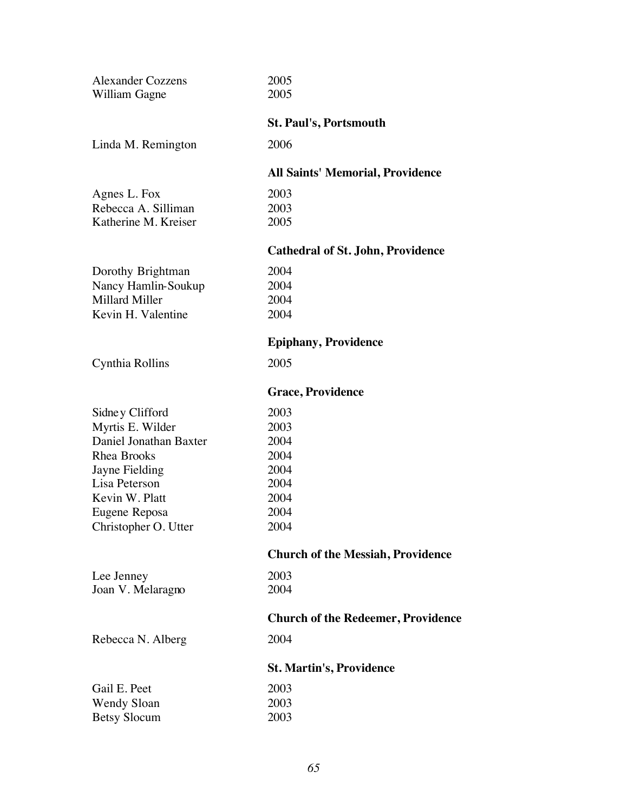| 2005                                      |
|-------------------------------------------|
| 2005                                      |
| <b>St. Paul's, Portsmouth</b>             |
| 2006                                      |
| <b>All Saints' Memorial, Providence</b>   |
| 2003                                      |
| 2003                                      |
| 2005                                      |
| <b>Cathedral of St. John, Providence</b>  |
| 2004                                      |
| 2004                                      |
| 2004                                      |
| 2004                                      |
| <b>Epiphany, Providence</b>               |
| 2005                                      |
| <b>Grace, Providence</b>                  |
| 2003                                      |
| 2003                                      |
| 2004                                      |
| 2004                                      |
| 2004                                      |
| 2004                                      |
| 2004                                      |
| 2004                                      |
| 2004                                      |
| <b>Church of the Messiah, Providence</b>  |
| 2003                                      |
| 2004                                      |
| <b>Church of the Redeemer, Providence</b> |
| 2004                                      |
| <b>St. Martin's, Providence</b>           |
| 2003                                      |
| 2003                                      |
| 2003                                      |
|                                           |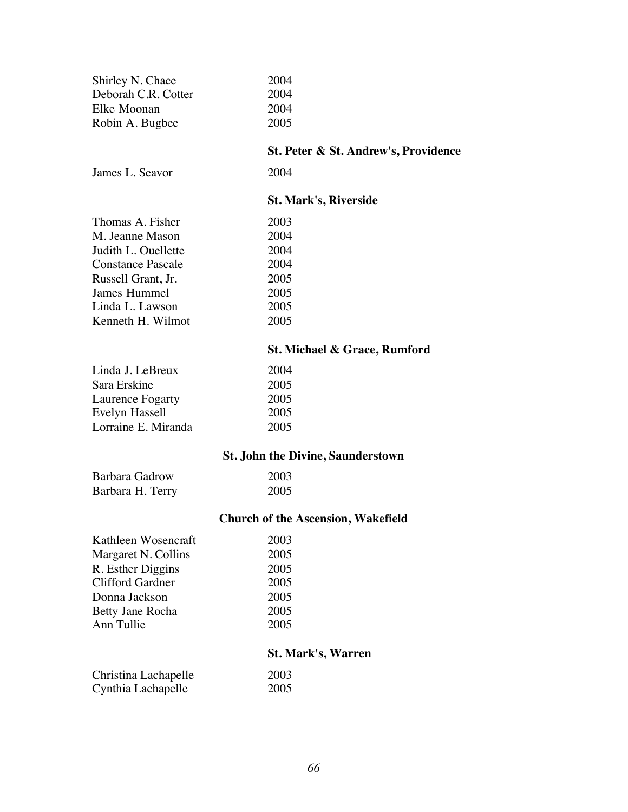| Shirley N. Chace         | 2004                                      |  |
|--------------------------|-------------------------------------------|--|
| Deborah C.R. Cotter      | 2004                                      |  |
| Elke Moonan              | 2004                                      |  |
| Robin A. Bugbee          | 2005                                      |  |
|                          | St. Peter & St. Andrew's, Providence      |  |
| James L. Seavor          | 2004                                      |  |
|                          | <b>St. Mark's, Riverside</b>              |  |
| Thomas A. Fisher         | 2003                                      |  |
| M. Jeanne Mason          | 2004                                      |  |
| Judith L. Ouellette      | 2004                                      |  |
| <b>Constance Pascale</b> | 2004                                      |  |
| Russell Grant, Jr.       | 2005                                      |  |
| James Hummel             | 2005                                      |  |
| Linda L. Lawson          | 2005                                      |  |
| Kenneth H. Wilmot        | 2005                                      |  |
|                          | St. Michael & Grace, Rumford              |  |
| Linda J. LeBreux         | 2004                                      |  |
| Sara Erskine             | 2005                                      |  |
| Laurence Fogarty         | 2005                                      |  |
| Evelyn Hassell           | 2005                                      |  |
| Lorraine E. Miranda      | 2005                                      |  |
|                          | <b>St. John the Divine, Saunderstown</b>  |  |
| Barbara Gadrow           | 2003                                      |  |
| Barbara H. Terry         | 2005                                      |  |
|                          | <b>Church of the Ascension, Wakefield</b> |  |
| Kathleen Wosencraft      | 2003                                      |  |
| Margaret N. Collins      | 2005                                      |  |
| R. Esther Diggins        | 2005                                      |  |
| <b>Clifford Gardner</b>  | 2005                                      |  |
| Donna Jackson            | 2005                                      |  |
| Betty Jane Rocha         | 2005                                      |  |
| Ann Tullie               | 2005                                      |  |
|                          | <b>St. Mark's, Warren</b>                 |  |
| Christina Lachapelle     | 2003                                      |  |
| Cynthia Lachapelle       | 2005                                      |  |
|                          |                                           |  |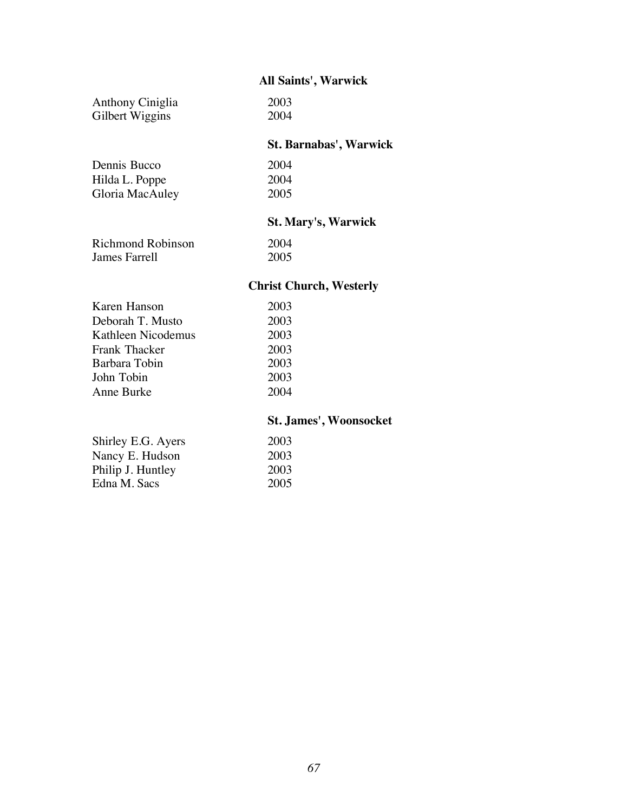### **All Saints', Warwick**

| Anthony Ciniglia | 2003 |
|------------------|------|
| Gilbert Wiggins  | 2004 |

### **St. Barnabas', Warwick**

| 2004 |
|------|
| 2004 |
| 2005 |
|      |

## **St. Mary's, Warwick**

| Richmond Robinson | 2004 |
|-------------------|------|
| James Farrell     | 2005 |

### **Christ Church, Westerly**

| Karen Hanson       | 2003 |
|--------------------|------|
| Deborah T. Musto   | 2003 |
| Kathleen Nicodemus | 2003 |
| Frank Thacker      | 2003 |
| Barbara Tobin      | 2003 |
| John Tobin         | 2003 |
| Anne Burke         | 2004 |
|                    |      |

### **St. James', Woonsocket**

| Shirley E.G. Ayers | 2003 |
|--------------------|------|
| Nancy E. Hudson    | 2003 |
| Philip J. Huntley  | 2003 |
| Edna M. Sacs       | 2005 |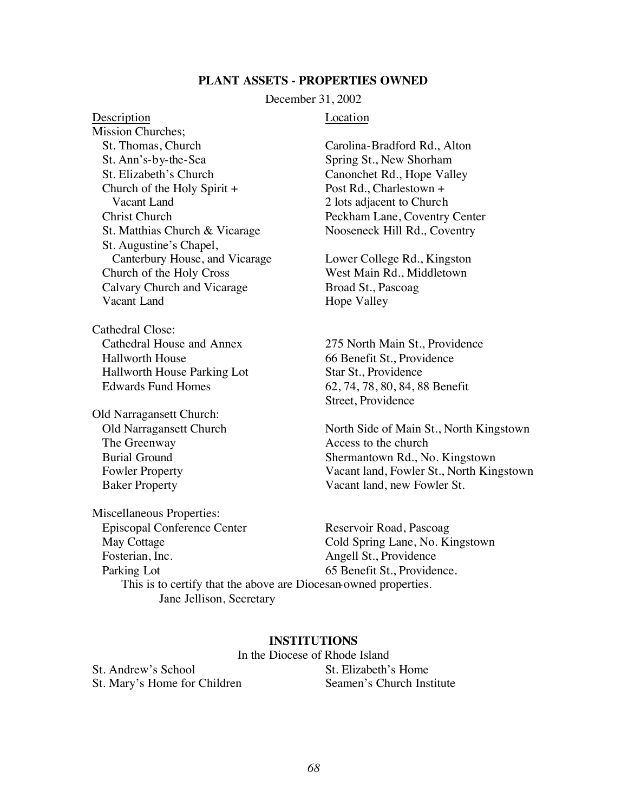#### **PLANT ASSETS - PROPERTIES OWNED**

December 31, 2002

#### Description Location

Mission Churches; St. Thomas, Church Carolina-Bradford Rd., Alton St. Ann's-by-the-Sea Spring St., New Shorham St. Elizabeth's Church Canonchet Rd., Hope Valley Church of the Holy Spirit + Post Rd., Charlestown + Vacant Land 2 lots adjacent to Church Christ Church Peckham Lane, Coventry Center St. Matthias Church & Vicarage Nooseneck Hill Rd., Coventry St. Augustine's Chapel, Canterbury House, and Vicarage Lower College Rd., Kingston Church of the Holy Cross West Main Rd., Middletown Calvary Church and Vicarage Broad St., Pascoag Vacant Land Hope Valley

Cathedral Close: Cathedral House and Annex 275 North Main St., Providence Hallworth House 66 Benefit St., Providence Hallworth House Parking Lot Star St., Providence Edwards Fund Homes 62, 74, 78, 80, 84, 88 Benefit

Old Narragansett Church: The Greenway **Access** to the church

Street, Providence

Old Narragansett Church North Side of Main St., North Kingstown Burial Ground Shermantown Rd., No. Kingstown Fowler Property Vacant land, Fowler St., North Kingstown Baker Property Vacant land, new Fowler St.

Miscellaneous Properties: Episcopal Conference Center Reservoir Road, Pascoag<br>May Cottage Cold Spring Lane, No. K Cold Spring Lane, No. Kingstown Fosterian, Inc. Angell St., Providence Parking Lot 65 Benefit St., Providence. This is to certify that the above are Diocesan-owned properties. Jane Jellison, Secretary

#### **INSTITUTIONS**

In the Diocese of Rhode Island St. Andrew's School St. Elizabeth's Home

St. Mary's Home for Children Seamen's Church Institute

#### *68*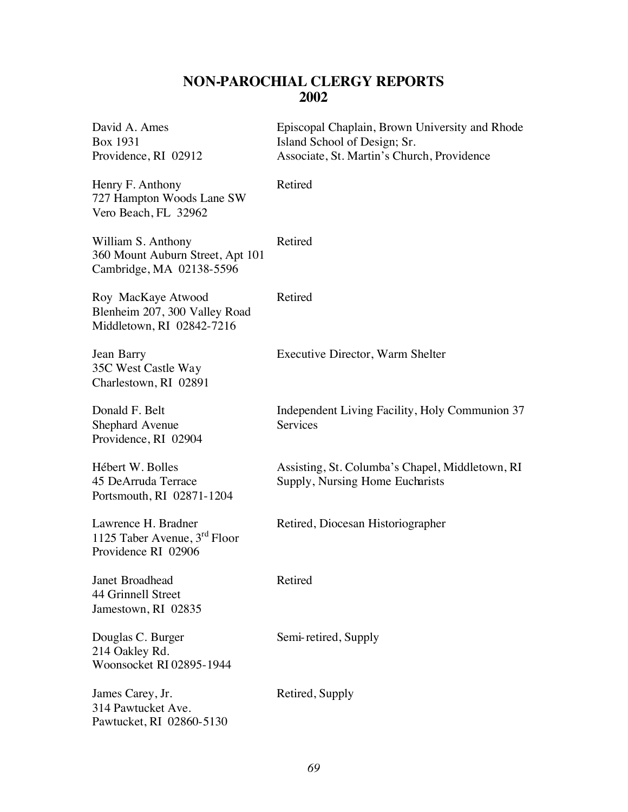### **NON-PAROCHIAL CLERGY REPORTS 2002**

| David A. Ames<br>Box 1931<br>Providence, RI 02912                                      | Episcopal Chaplain, Brown University and Rhode<br>Island School of Design; Sr.<br>Associate, St. Martin's Church, Providence |
|----------------------------------------------------------------------------------------|------------------------------------------------------------------------------------------------------------------------------|
| Henry F. Anthony<br>727 Hampton Woods Lane SW<br>Vero Beach, FL 32962                  | Retired                                                                                                                      |
| William S. Anthony<br>360 Mount Auburn Street, Apt 101<br>Cambridge, MA 02138-5596     | Retired                                                                                                                      |
| Roy MacKaye Atwood<br>Blenheim 207, 300 Valley Road<br>Middletown, RI 02842-7216       | Retired                                                                                                                      |
| Jean Barry<br>35C West Castle Way<br>Charlestown, RI 02891                             | Executive Director, Warm Shelter                                                                                             |
| Donald F. Belt<br>Shephard Avenue<br>Providence, RI 02904                              | Independent Living Facility, Holy Communion 37<br><b>Services</b>                                                            |
| Hébert W. Bolles<br>45 DeArruda Terrace<br>Portsmouth, RI 02871-1204                   | Assisting, St. Columba's Chapel, Middletown, RI<br>Supply, Nursing Home Eucharists                                           |
| Lawrence H. Bradner<br>1125 Taber Avenue, 3 <sup>rd</sup> Floor<br>Providence RI 02906 | Retired, Diocesan Historiographer                                                                                            |
| <b>Janet Broadhead</b><br>44 Grinnell Street<br>Jamestown, RI 02835                    | Retired                                                                                                                      |
| Douglas C. Burger<br>214 Oakley Rd.<br>Woonsocket RI 02895-1944                        | Semi-retired, Supply                                                                                                         |
| James Carey, Jr.<br>314 Pawtucket Ave.<br>Pawtucket, RI 02860-5130                     | Retired, Supply                                                                                                              |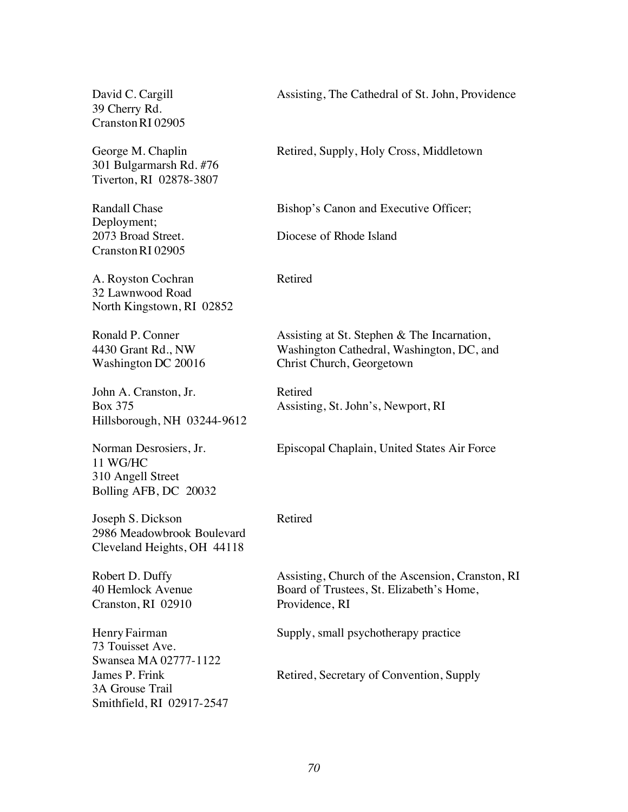39 Cherry Rd. CranstonRI 02905

301 Bulgarmarsh Rd. #76 Tiverton, RI 02878-3807

Deployment; CranstonRI 02905

A. Royston Cochran Retired 32 Lawnwood Road North Kingstown, RI 02852

John A. Cranston, Jr. Retired Hillsborough, NH 03244-9612

11 WG/HC 310 Angell Street Bolling AFB, DC 20032

Joseph S. Dickson Retired 2986 Meadowbrook Boulevard Cleveland Heights, OH 44118

Cranston, RI 02910 Providence, RI

73 Touisset Ave. Swansea MA 02777-1122 3A Grouse Trail Smithfield, RI 02917-2547

David C. Cargill **Assisting**, The Cathedral of St. John, Providence

George M. Chaplin Retired, Supply, Holy Cross, Middletown

Randall Chase Bishop's Canon and Executive Officer;

2073 Broad Street. Diocese of Rhode Island

Ronald P. Conner Assisting at St. Stephen & The Incarnation, 4430 Grant Rd., NW Washington Cathedral, Washington, DC, and Washington DC 20016 Christ Church, Georgetown

Box 375 Assisting, St. John's, Newport, RI

Norman Desrosiers, Jr. Episcopal Chaplain, United States Air Force

Robert D. Duffy **Assisting, Church of the Ascension, Cranston, RI** 40 Hemlock Avenue Board of Trustees, St. Elizabeth's Home,

HenryFairman Supply, small psychotherapy practice

James P. Frink Retired, Secretary of Convention, Supply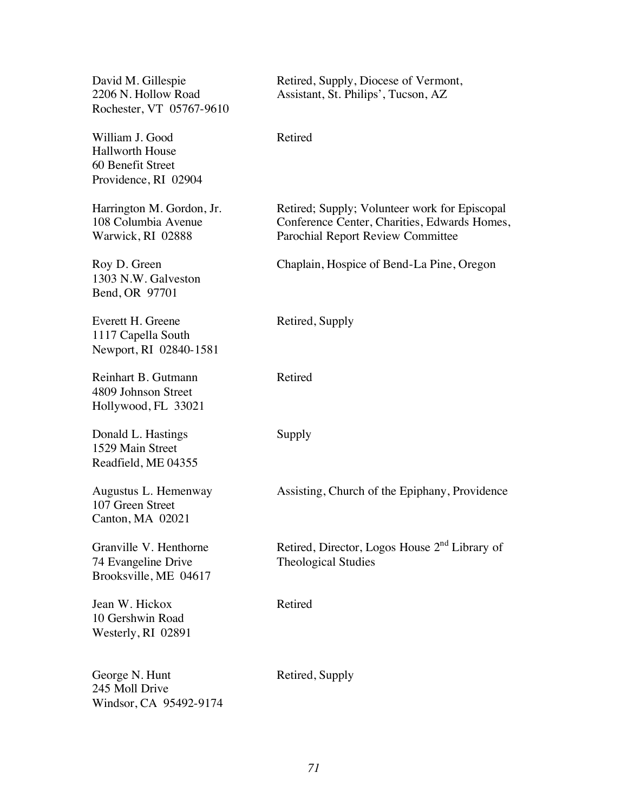Rochester, VT 05767-9610

William J. Good Retired Hallworth House 60 Benefit Street Providence, RI 02904

1303 N.W. Galveston Bend, OR 97701

Everett H. Greene Retired, Supply 1117 Capella South Newport, RI 02840-1581

Reinhart B. Gutmann Retired 4809 Johnson Street Hollywood, FL 33021

Donald L. Hastings Supply 1529 Main Street Readfield, ME 04355

107 Green Street Canton, MA 02021

74 Evangeline Drive Theological Studies Brooksville, ME 04617

Jean W. Hickox Retired 10 Gershwin Road Westerly, RI 02891

George N. Hunt Retired, Supply 245 Moll Drive Windsor, CA 95492-9174

David M. Gillespie Retired, Supply, Diocese of Vermont, 2206 N. Hollow Road Assistant, St. Philips', Tucson, AZ

Harrington M. Gordon, Jr. Retired; Supply; Volunteer work for Episcopal 108 Columbia Avenue Conference Center, Charities, Edwards Homes, Warwick, RI 02888 Parochial Report Review Committee

Roy D. Green Chaplain, Hospice of Bend-La Pine, Oregon

Augustus L. Hemenway Assisting, Church of the Epiphany, Providence

Granville V. Henthorne Retired, Director, Logos House 2<sup>nd</sup> Library of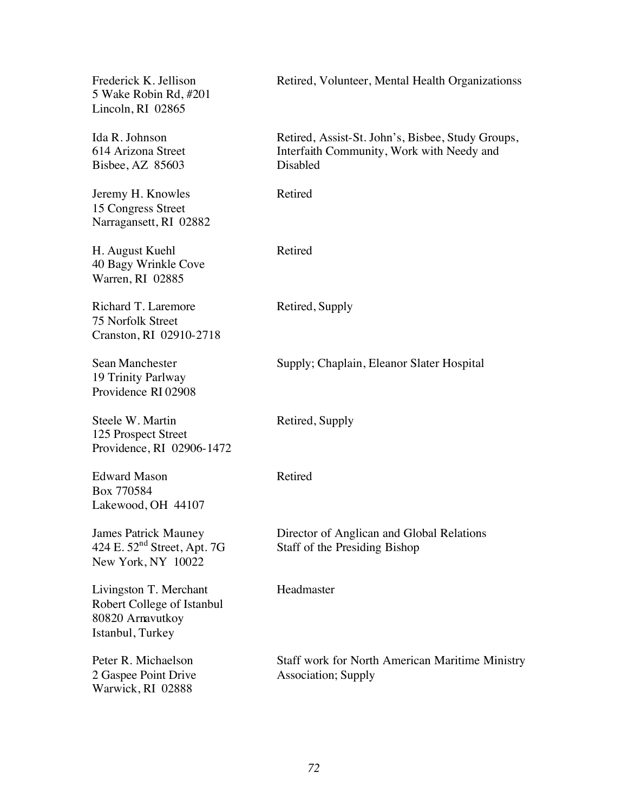| Frederick K. Jellison<br>5 Wake Robin Rd, #201<br>Lincoln, RI 02865                          | Retired, Volunteer, Mental Health Organizationss                                                           |
|----------------------------------------------------------------------------------------------|------------------------------------------------------------------------------------------------------------|
| Ida R. Johnson<br>614 Arizona Street<br>Bisbee, AZ 85603                                     | Retired, Assist-St. John's, Bisbee, Study Groups,<br>Interfaith Community, Work with Needy and<br>Disabled |
| Jeremy H. Knowles<br>15 Congress Street<br>Narragansett, RI 02882                            | Retired                                                                                                    |
| H. August Kuehl<br>40 Bagy Wrinkle Cove<br>Warren, RI 02885                                  | Retired                                                                                                    |
| Richard T. Laremore<br>75 Norfolk Street<br>Cranston, RI 02910-2718                          | Retired, Supply                                                                                            |
| Sean Manchester<br>19 Trinity Parlway<br>Providence RI 02908                                 | Supply; Chaplain, Eleanor Slater Hospital                                                                  |
| Steele W. Martin<br>125 Prospect Street<br>Providence, RI 02906-1472                         | Retired, Supply                                                                                            |
| <b>Edward Mason</b><br>Box 770584<br>Lakewood, OH 44107                                      | Retired                                                                                                    |
| <b>James Patrick Mauney</b><br>424 E. $52nd$ Street, Apt. 7G<br>New York, NY 10022           | Director of Anglican and Global Relations<br>Staff of the Presiding Bishop                                 |
| Livingston T. Merchant<br>Robert College of Istanbul<br>80820 Arnavutkoy<br>Istanbul, Turkey | Headmaster                                                                                                 |
| Peter R. Michaelson<br>2 Gaspee Point Drive<br>Warwick, RI 02888                             | <b>Staff work for North American Maritime Ministry</b><br><b>Association</b> ; Supply                      |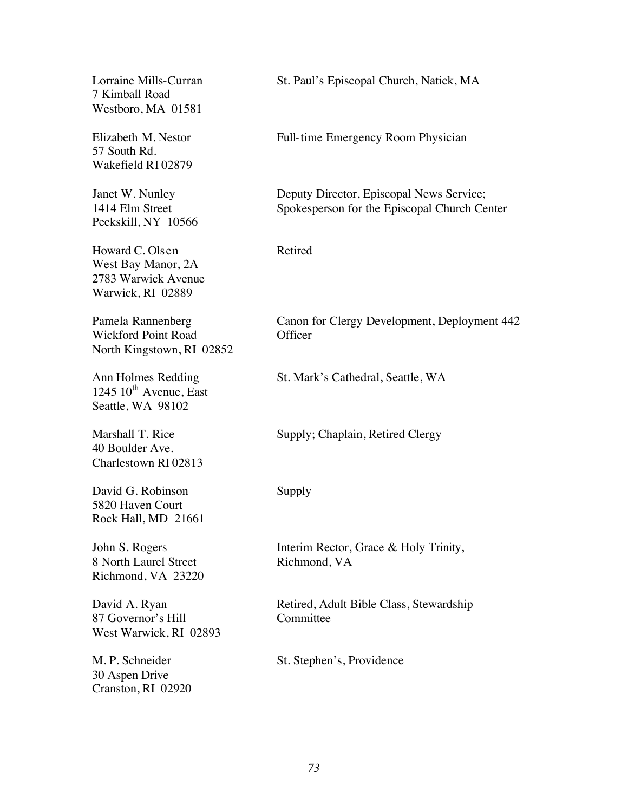7 Kimball Road Westboro, MA 01581

57 South Rd. Wakefield RI 02879

Peekskill, NY 10566

Howard C. Olsen Retired West Bay Manor, 2A 2783 Warwick Avenue Warwick, RI 02889

Wickford Point Road **Officer** North Kingstown, RI 02852

 $1245$   $10^{th}$  Avenue, East Seattle, WA 98102

40 Boulder Ave. Charlestown RI 02813

David G. Robinson Supply 5820 Haven Court Rock Hall, MD 21661

8 North Laurel Street Richmond, VA Richmond, VA 23220

87 Governor's Hill Committee West Warwick, RI 02893

30 Aspen Drive Cranston, RI 02920

Lorraine Mills-Curran St. Paul's Episcopal Church, Natick, MA

Elizabeth M. Nestor Full-time Emergency Room Physician

Janet W. Nunley Deputy Director, Episcopal News Service; 1414 Elm Street Spokesperson for the Episcopal Church Center

Pamela Rannenberg Canon for Clergy Development, Deployment 442

Ann Holmes Redding St. Mark's Cathedral, Seattle, WA

Marshall T. Rice Supply; Chaplain, Retired Clergy

John S. Rogers Interim Rector, Grace & Holy Trinity,

David A. Ryan Retired, Adult Bible Class, Stewardship

M. P. Schneider St. Stephen's, Providence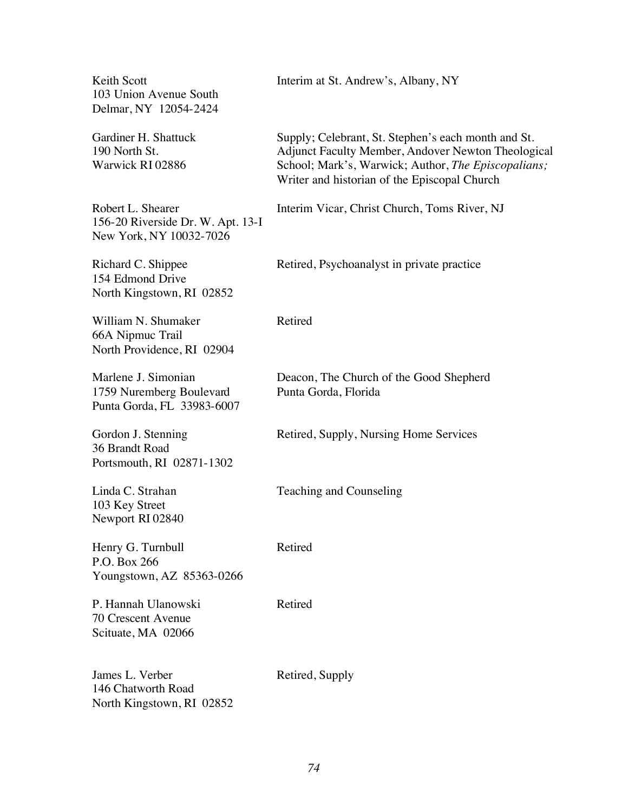103 Union Avenue South Delmar, NY 12054-2424

156-20 Riverside Dr. W. Apt. 13-I New York, NY 10032-7026

154 Edmond Drive North Kingstown, RI 02852

William N. Shumaker Retired 66A Nipmuc Trail North Providence, RI 02904

1759 Nuremberg Boulevard Punta Gorda, Florida Punta Gorda, FL 33983-6007

36 Brandt Road Portsmouth, RI 02871-1302

103 Key Street Newport RI 02840

Henry G. Turnbull Retired P.O. Box 266 Youngstown, AZ 85363-0266

P. Hannah Ulanowski Retired 70 Crescent Avenue Scituate, MA 02066

James L. Verber Retired, Supply 146 Chatworth Road North Kingstown, RI 02852

Keith Scott Interim at St. Andrew's, Albany, NY

Gardiner H. Shattuck Supply; Celebrant, St. Stephen's each month and St. 190 North St. Adjunct Faculty Member, Andover Newton Theological Warwick RI 02886 School; Mark's, Warwick; Author, *The Episcopalians;* Writer and historian of the Episcopal Church

Robert L. Shearer Interim Vicar, Christ Church, Toms River, NJ

Richard C. Shippee Retired, Psychoanalyst in private practice

Marlene J. Simonian Deacon, The Church of the Good Shepherd

Gordon J. Stenning Retired, Supply, Nursing Home Services

Linda C. Strahan Teaching and Counseling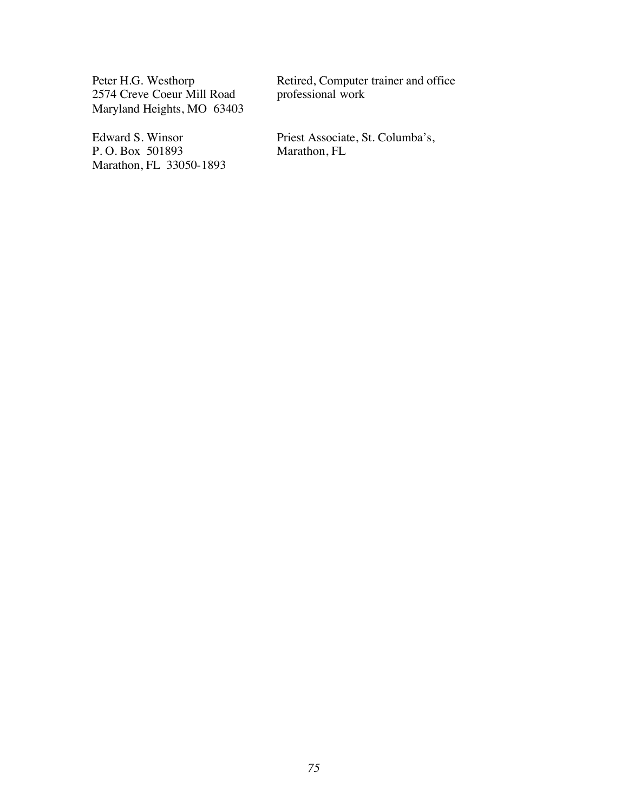2574 Creve Coeur Mill Road Maryland Heights, MO 63403

P. O. Box 501893 Marathon, FL 33050-1893

Peter H.G. Westhorp Retired, Computer trainer and office<br>
2574 Creve Coeur Mill Road professional work

Edward S. Winsor<br>
Priest Associate, St. Columba's,<br>
P. O. Box 501893<br>
Marathon, FL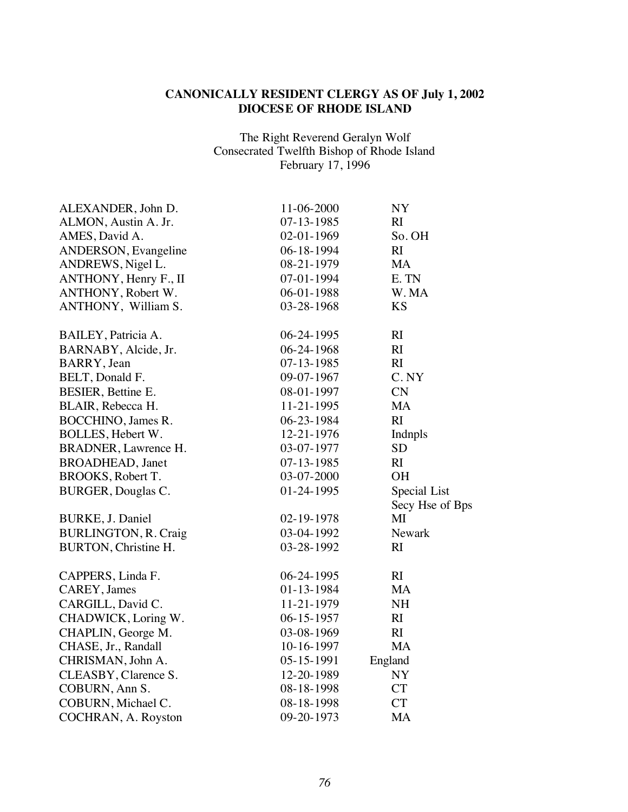## **CANONICALLY RESIDENT CLERGY AS OF July 1, 2002 DIOCESE OF RHODE ISLAND**

The Right Reverend Geralyn Wolf Consecrated Twelfth Bishop of Rhode Island February 17, 1996

| ALEXANDER, John D.          | 11-06-2000       | NY              |
|-----------------------------|------------------|-----------------|
| ALMON, Austin A. Jr.        | 07-13-1985       | RI              |
| AMES, David A.              | $02-01-1969$     | So. OH          |
| ANDERSON, Evangeline        | 06-18-1994       | RI              |
| ANDREWS, Nigel L.           | 08-21-1979       | <b>MA</b>       |
| ANTHONY, Henry F., II       | 07-01-1994       | E. TN           |
| ANTHONY, Robert W.          | 06-01-1988       | W. MA           |
| ANTHONY, William S.         | 03-28-1968       | <b>KS</b>       |
| BAILEY, Patricia A.         | 06-24-1995       | RI              |
| BARNABY, Alcide, Jr.        | 06-24-1968       | RI              |
| BARRY, Jean                 | $07 - 13 - 1985$ | RI              |
| BELT, Donald F.             | 09-07-1967       | C. NY           |
| BESIER, Bettine E.          | 08-01-1997       | CN              |
| BLAIR, Rebecca H.           | 11-21-1995       | <b>MA</b>       |
| BOCCHINO, James R.          | 06-23-1984       | RI              |
| BOLLES, Hebert W.           | 12-21-1976       | Indnpls         |
| BRADNER, Lawrence H.        | 03-07-1977       | <b>SD</b>       |
| <b>BROADHEAD</b> , Janet    | $07 - 13 - 1985$ | RI              |
| BROOKS, Robert T.           | 03-07-2000       | <b>OH</b>       |
| <b>BURGER, Douglas C.</b>   | 01-24-1995       | Special List    |
|                             |                  | Secy Hse of Bps |
| BURKE, J. Daniel            | 02-19-1978       | MI              |
| <b>BURLINGTON, R. Craig</b> | 03-04-1992       | Newark          |
| BURTON, Christine H.        | 03-28-1992       | RI              |
| CAPPERS, Linda F.           | 06-24-1995       | RI              |
| CAREY, James                | 01-13-1984       | MA              |
| CARGILL, David C.           | 11-21-1979       | <b>NH</b>       |
| CHADWICK, Loring W.         | $06 - 15 - 1957$ | RI              |
| CHAPLIN, George M.          | 03-08-1969       | RI              |
| CHASE, Jr., Randall         | 10-16-1997       | <b>MA</b>       |
| CHRISMAN, John A.           | $05 - 15 - 1991$ | England         |
| CLEASBY, Clarence S.        | 12-20-1989       | NY              |
| COBURN, Ann S.              | 08-18-1998       | <b>CT</b>       |
| COBURN, Michael C.          | 08-18-1998       | <b>CT</b>       |
| COCHRAN, A. Royston         | 09-20-1973       | MA              |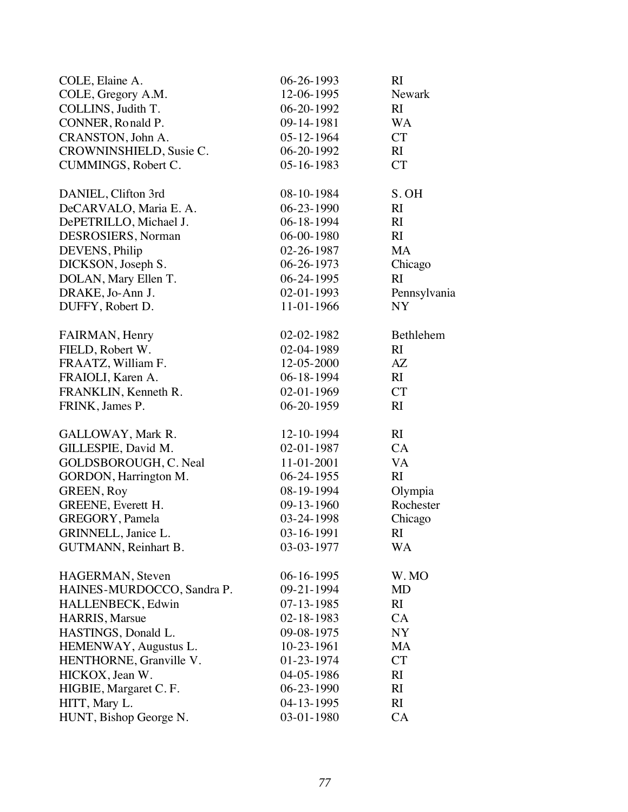| COLE, Elaine A.              | 06-26-1993       | RI           |
|------------------------------|------------------|--------------|
| COLE, Gregory A.M.           | 12-06-1995       | Newark       |
| COLLINS, Judith T.           | $06-20-1992$     | RI           |
| CONNER, Ronald P.            | 09-14-1981       | <b>WA</b>    |
| CRANSTON, John A.            | 05-12-1964       | <b>CT</b>    |
| CROWNINSHIELD, Susie C.      | 06-20-1992       | RI           |
| CUMMINGS, Robert C.          | $05 - 16 - 1983$ | <b>CT</b>    |
| DANIEL, Clifton 3rd          | 08-10-1984       | S. OH        |
| DeCARVALO, Maria E. A.       | 06-23-1990       | RI           |
| DePETRILLO, Michael J.       | 06-18-1994       | RI           |
| DESROSIERS, Norman           | 06-00-1980       | RI           |
| DEVENS, Philip               | 02-26-1987       | <b>MA</b>    |
| DICKSON, Joseph S.           | 06-26-1973       | Chicago      |
| DOLAN, Mary Ellen T.         | 06-24-1995       | RI           |
| DRAKE, Jo-Ann J.             | 02-01-1993       | Pennsylvania |
| DUFFY, Robert D.             | 11-01-1966       | <b>NY</b>    |
| FAIRMAN, Henry               | 02-02-1982       | Bethlehem    |
| FIELD, Robert W.             | 02-04-1989       | RI           |
| FRAATZ, William F.           | 12-05-2000       | AZ           |
| FRAIOLI, Karen A.            | 06-18-1994       | RI           |
| FRANKLIN, Kenneth R.         | $02-01-1969$     | <b>CT</b>    |
| FRINK, James P.              | 06-20-1959       | RI           |
| GALLOWAY, Mark R.            | 12-10-1994       | RI           |
| GILLESPIE, David M.          | 02-01-1987       | CA           |
| GOLDSBOROUGH, C. Neal        | 11-01-2001       | <b>VA</b>    |
| GORDON, Harrington M.        | 06-24-1955       | RI           |
| <b>GREEN, Roy</b>            | 08-19-1994       | Olympia      |
| GREENE, Everett H.           | 09-13-1960       | Rochester    |
| GREGORY, Pamela              | 03-24-1998       | Chicago      |
| GRINNELL, Janice L.          | 03-16-1991       | RI           |
| <b>GUTMANN</b> , Reinhart B. | 03-03-1977       | WA           |
| HAGERMAN, Steven             | 06-16-1995       | W. MO        |
| HAINES-MURDOCCO, Sandra P.   | 09-21-1994       | MD           |
| HALLENBECK, Edwin            | 07-13-1985       | RI           |
| <b>HARRIS</b> , Marsue       | $02 - 18 - 1983$ | <b>CA</b>    |
| HASTINGS, Donald L.          | 09-08-1975       | NY           |
| HEMENWAY, Augustus L.        | 10-23-1961       | MA           |
| HENTHORNE, Granville V.      | 01-23-1974       | <b>CT</b>    |
| HICKOX, Jean W.              | 04-05-1986       | RI           |
| HIGBIE, Margaret C.F.        | 06-23-1990       | RI           |
| HITT, Mary L.                | 04-13-1995       | RI           |
| HUNT, Bishop George N.       | 03-01-1980       | CA           |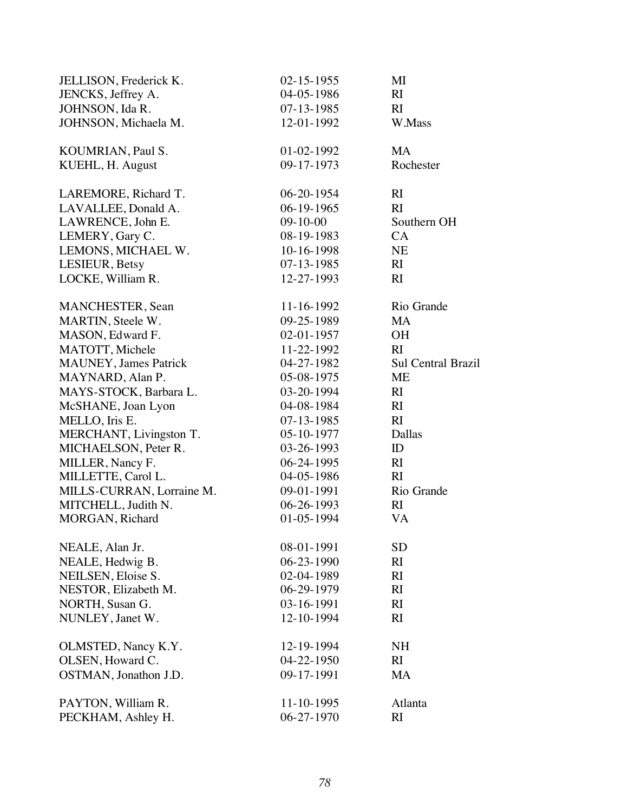| JELLISON, Frederick K.        | $02 - 15 - 1955$ | MI                        |
|-------------------------------|------------------|---------------------------|
| JENCKS, Jeffrey A.            | 04-05-1986       | RI                        |
| JOHNSON, Ida R.               | $07 - 13 - 1985$ | RI                        |
| JOHNSON, Michaela M.          | 12-01-1992       | W.Mass                    |
| KOUMRIAN, Paul S.             | 01-02-1992       | <b>MA</b>                 |
| KUEHL, H. August              | 09-17-1973       | Rochester                 |
| LAREMORE, Richard T.          | 06-20-1954       | RI                        |
| LAVALLEE, Donald A.           | $06-19-1965$     | RI                        |
| LAWRENCE, John E.             | $09 - 10 - 00$   | Southern OH               |
| LEMERY, Gary C.               | 08-19-1983       | CA                        |
| LEMONS, MICHAEL W.            | 10-16-1998       | <b>NE</b>                 |
| LESIEUR, Betsy                | $07 - 13 - 1985$ | RI                        |
| LOCKE, William R.             | 12-27-1993       | RI                        |
| MANCHESTER, Sean              | 11-16-1992       | Rio Grande                |
| <b>MARTIN, Steele W.</b>      | 09-25-1989       | <b>MA</b>                 |
| MASON, Edward F.              | 02-01-1957       | <b>OH</b>                 |
| MATOTT, Michele               | 11-22-1992       | RI                        |
| <b>MAUNEY</b> , James Patrick | 04-27-1982       | <b>Sul Central Brazil</b> |
| MAYNARD, Alan P.              | 05-08-1975       | ME                        |
| MAYS-STOCK, Barbara L.        | 03-20-1994       | RI                        |
| McSHANE, Joan Lyon            | 04-08-1984       | RI                        |
| MELLO, Iris E.                | $07 - 13 - 1985$ | RI                        |
| MERCHANT, Livingston T.       | 05-10-1977       | Dallas                    |
| MICHAELSON, Peter R.          | 03-26-1993       | ID                        |
| MILLER, Nancy F.              | 06-24-1995       | RI                        |
| MILLETTE, Carol L.            | 04-05-1986       | RI                        |
| MILLS-CURRAN, Lorraine M.     | 09-01-1991       | Rio Grande                |
| MITCHELL, Judith N.           | 06-26-1993       | RI                        |
| MORGAN, Richard               | 01-05-1994       | <b>VA</b>                 |
| NEALE, Alan Jr.               | 08-01-1991       | <b>SD</b>                 |
| NEALE, Hedwig B.              | 06-23-1990       | RI                        |
| NEILSEN, Eloise S.            | 02-04-1989       | RI                        |
| NESTOR, Elizabeth M.          | 06-29-1979       | RI                        |
| NORTH, Susan G.               | 03-16-1991       | RI                        |
| NUNLEY, Janet W.              | 12-10-1994       | RI                        |
| OLMSTED, Nancy K.Y.           | 12-19-1994       | <b>NH</b>                 |
| OLSEN, Howard C.              | 04-22-1950       | RI                        |
| OSTMAN, Jonathon J.D.         | 09-17-1991       | <b>MA</b>                 |
| PAYTON, William R.            | 11-10-1995       | Atlanta                   |
| PECKHAM, Ashley H.            | 06-27-1970       | RI                        |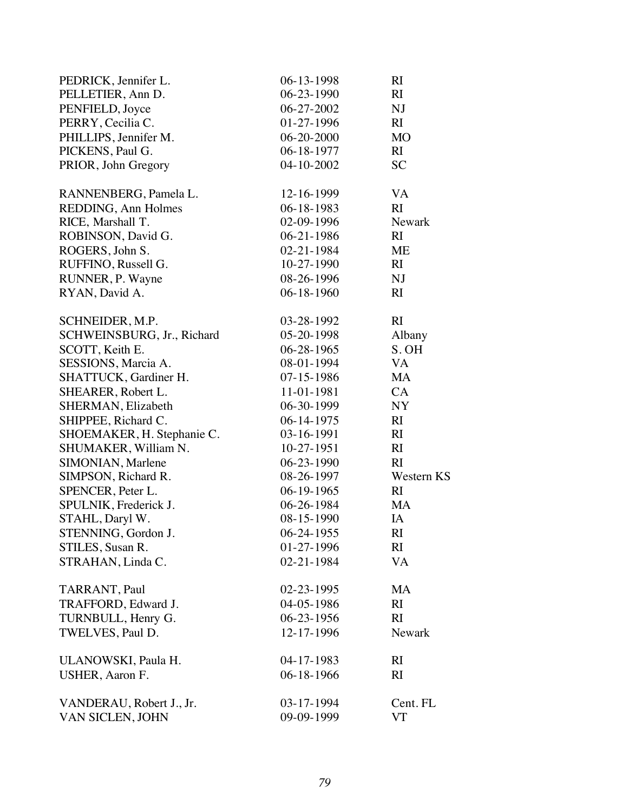| PEDRICK, Jennifer L.       | 06-13-1998       | RI            |
|----------------------------|------------------|---------------|
| PELLETIER, Ann D.          | $06 - 23 - 1990$ | RI            |
| PENFIELD, Joyce            | 06-27-2002       | NJ            |
| PERRY, Cecilia C.          | 01-27-1996       | RI            |
| PHILLIPS, Jennifer M.      | $06 - 20 - 2000$ | <b>MO</b>     |
| PICKENS, Paul G.           | 06-18-1977       | RI            |
| PRIOR, John Gregory        | 04-10-2002       | <b>SC</b>     |
| RANNENBERG, Pamela L.      | 12-16-1999       | VA            |
| REDDING, Ann Holmes        | $06 - 18 - 1983$ | RI            |
| RICE, Marshall T.          | 02-09-1996       | <b>Newark</b> |
| ROBINSON, David G.         | $06-21-1986$     | RI            |
| ROGERS, John S.            | 02-21-1984       | <b>ME</b>     |
| RUFFINO, Russell G.        | $10-27-1990$     | RI            |
| RUNNER, P. Wayne           | 08-26-1996       | NJ            |
| RYAN, David A.             | $06 - 18 - 1960$ | RI            |
| SCHNEIDER, M.P.            | 03-28-1992       | RI            |
| SCHWEINSBURG, Jr., Richard | 05-20-1998       | Albany        |
| SCOTT, Keith E.            | $06 - 28 - 1965$ | S. OH         |
| SESSIONS, Marcia A.        | 08-01-1994       | VA            |
| SHATTUCK, Gardiner H.      | 07-15-1986       | MA            |
| SHEARER, Robert L.         | 11-01-1981       | CA            |
| SHERMAN, Elizabeth         | 06-30-1999       | NY            |
| SHIPPEE, Richard C.        | $06-14-1975$     | RI            |
| SHOEMAKER, H. Stephanie C. | 03-16-1991       | RI            |
| SHUMAKER, William N.       | $10-27-1951$     | RI            |
| SIMONIAN, Marlene          | $06 - 23 - 1990$ | RI            |
| SIMPSON, Richard R.        | 08-26-1997       | Western KS    |
| SPENCER, Peter L.          | $06-19-1965$     | RI            |
| SPULNIK, Frederick J.      | 06-26-1984       | <b>MA</b>     |
| STAHL, Daryl W.            | 08-15-1990       | IA            |
| STENNING, Gordon J.        | 06-24-1955       | RI            |
| STILES, Susan R.           | 01-27-1996       | RI.           |
| STRAHAN, Linda C.          | 02-21-1984       | <b>VA</b>     |
| TARRANT, Paul              | 02-23-1995       | MA            |
| TRAFFORD, Edward J.        | 04-05-1986       | RI            |
| TURNBULL, Henry G.         | $06-23-1956$     | RI            |
| TWELVES, Paul D.           | 12-17-1996       | <b>Newark</b> |
| ULANOWSKI, Paula H.        | 04-17-1983       | RI            |
| USHER, Aaron F.            | 06-18-1966       | RI            |
| VANDERAU, Robert J., Jr.   | 03-17-1994       | Cent. FL      |
| VAN SICLEN, JOHN           | 09-09-1999       | VT            |
|                            |                  |               |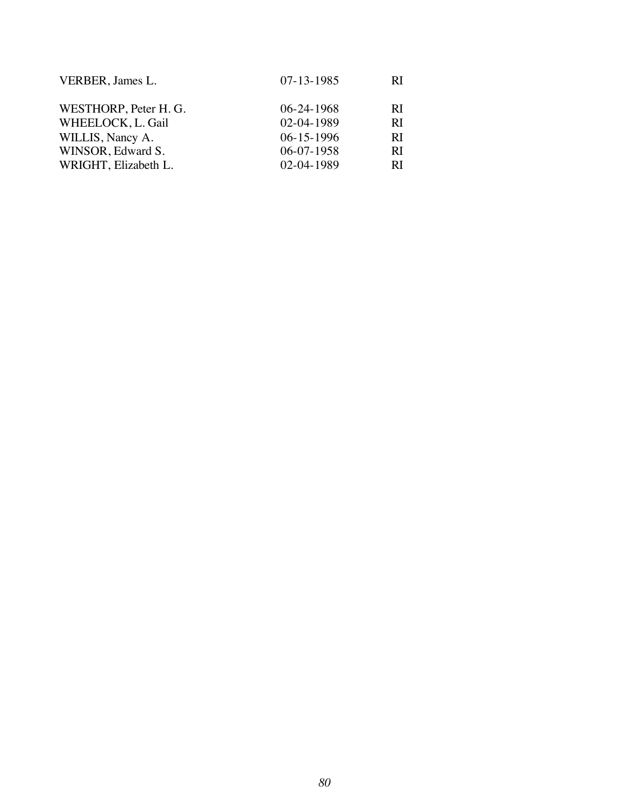| $07 - 13 - 1985$ | RI        |
|------------------|-----------|
| $06 - 24 - 1968$ | <b>RI</b> |
| 02-04-1989       | RI        |
| $06 - 15 - 1996$ | RI        |
| $06-07-1958$     | RI        |
| 02-04-1989       | RI        |
|                  |           |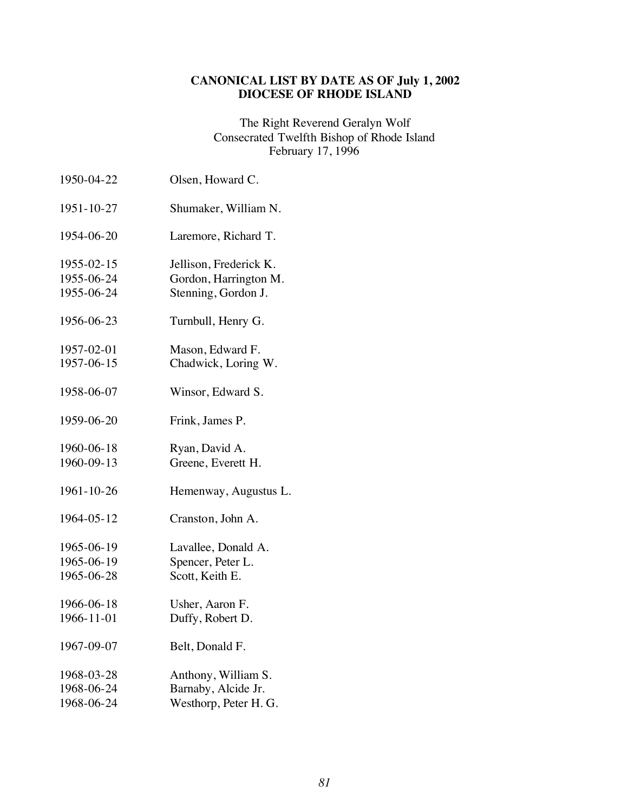# **CANONICAL LIST BY DATE AS OF July 1, 2002 DIOCESE OF RHODE ISLAND**

The Right Reverend Geralyn Wolf Consecrated Twelfth Bishop of Rhode Island February 17, 1996

| 1950-04-22 | Olsen, Howard C.       |
|------------|------------------------|
| 1951-10-27 | Shumaker, William N.   |
| 1954-06-20 | Laremore, Richard T.   |
| 1955-02-15 | Jellison, Frederick K. |
| 1955-06-24 | Gordon, Harrington M.  |
| 1955-06-24 | Stenning, Gordon J.    |
| 1956-06-23 | Turnbull, Henry G.     |
| 1957-02-01 | Mason, Edward F.       |
| 1957-06-15 | Chadwick, Loring W.    |
| 1958-06-07 | Winsor, Edward S.      |
| 1959-06-20 | Frink, James P.        |
| 1960-06-18 | Ryan, David A.         |
| 1960-09-13 | Greene, Everett H.     |
| 1961-10-26 | Hemenway, Augustus L.  |
| 1964-05-12 | Cranston, John A.      |
| 1965-06-19 | Lavallee, Donald A.    |
| 1965-06-19 | Spencer, Peter L.      |
| 1965-06-28 | Scott, Keith E.        |
| 1966-06-18 | Usher, Aaron F.        |
| 1966-11-01 | Duffy, Robert D.       |
| 1967-09-07 | Belt, Donald F.        |
| 1968-03-28 | Anthony, William S.    |
| 1968-06-24 | Barnaby, Alcide Jr.    |
| 1968-06-24 | Westhorp, Peter H. G.  |
|            |                        |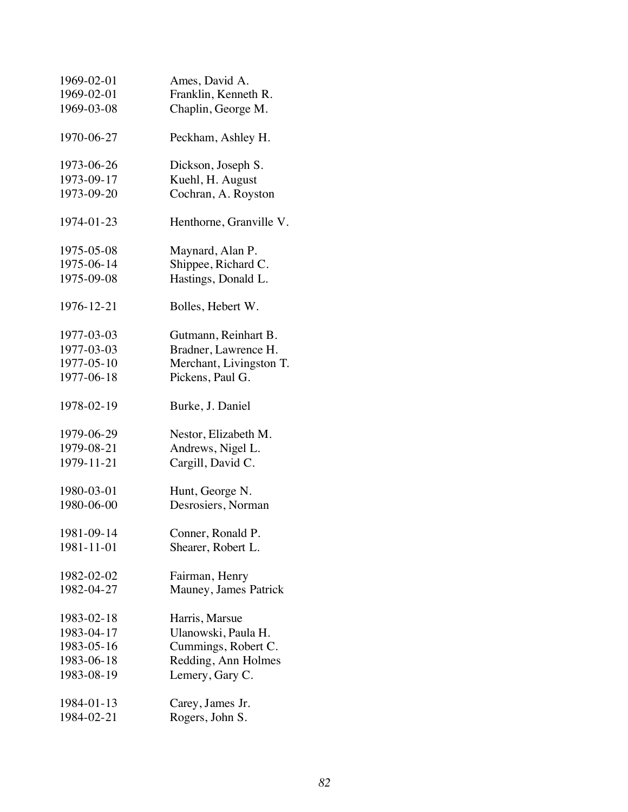| 1969-02-01 | Ames, David A.          |
|------------|-------------------------|
| 1969-02-01 | Franklin, Kenneth R.    |
| 1969-03-08 | Chaplin, George M.      |
| 1970-06-27 | Peckham, Ashley H.      |
| 1973-06-26 | Dickson, Joseph S.      |
| 1973-09-17 | Kuehl, H. August        |
| 1973-09-20 | Cochran, A. Royston     |
| 1974-01-23 | Henthorne, Granville V. |
| 1975-05-08 | Maynard, Alan P.        |
| 1975-06-14 | Shippee, Richard C.     |
| 1975-09-08 | Hastings, Donald L.     |
| 1976-12-21 | Bolles, Hebert W.       |
| 1977-03-03 | Gutmann, Reinhart B.    |
| 1977-03-03 | Bradner, Lawrence H.    |
| 1977-05-10 | Merchant, Livingston T. |
| 1977-06-18 | Pickens, Paul G.        |
| 1978-02-19 | Burke, J. Daniel        |
| 1979-06-29 | Nestor, Elizabeth M.    |
| 1979-08-21 | Andrews, Nigel L.       |
| 1979-11-21 | Cargill, David C.       |
| 1980-03-01 | Hunt, George N.         |
| 1980-06-00 | Desrosiers, Norman      |
| 1981-09-14 | Conner, Ronald P.       |
| 1981-11-01 | Shearer, Robert L.      |
| 1982-02-02 | Fairman, Henry          |
| 1982-04-27 | Mauney, James Patrick   |
| 1983-02-18 | Harris, Marsue          |
| 1983-04-17 | Ulanowski, Paula H.     |
| 1983-05-16 | Cummings, Robert C.     |
| 1983-06-18 | Redding, Ann Holmes     |
| 1983-08-19 | Lemery, Gary C.         |
| 1984-01-13 | Carey, James Jr.        |
| 1984-02-21 | Rogers, John S.         |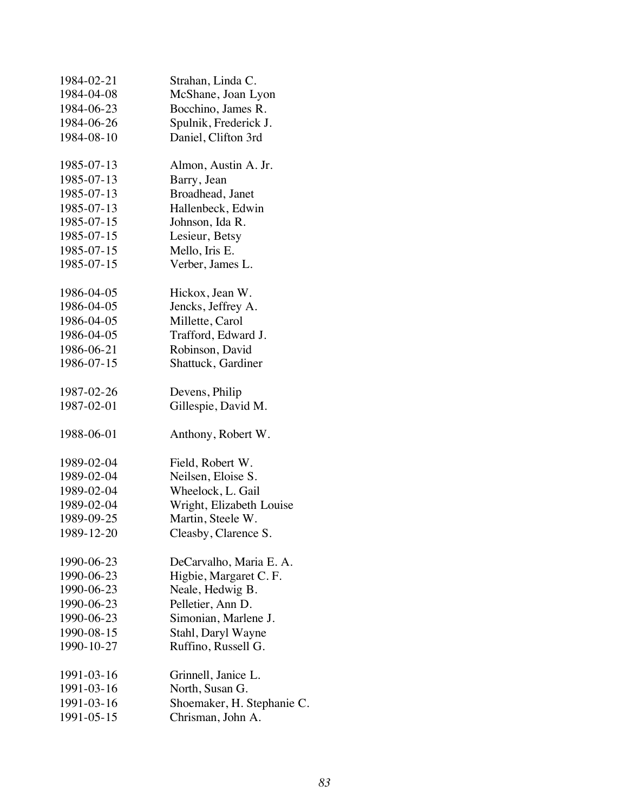| 1984-02-21 | Strahan, Linda C.          |
|------------|----------------------------|
| 1984-04-08 | McShane, Joan Lyon         |
| 1984-06-23 | Bocchino, James R.         |
| 1984-06-26 | Spulnik, Frederick J.      |
| 1984-08-10 | Daniel, Clifton 3rd        |
| 1985-07-13 | Almon, Austin A. Jr.       |
| 1985-07-13 | Barry, Jean                |
| 1985-07-13 | Broadhead, Janet           |
| 1985-07-13 | Hallenbeck, Edwin          |
| 1985-07-15 | Johnson, Ida R.            |
| 1985-07-15 | Lesieur, Betsy             |
| 1985-07-15 | Mello, Iris E.             |
| 1985-07-15 | Verber, James L.           |
| 1986-04-05 | Hickox, Jean W.            |
| 1986-04-05 | Jencks, Jeffrey A.         |
| 1986-04-05 | Millette, Carol            |
| 1986-04-05 | Trafford, Edward J.        |
| 1986-06-21 | Robinson, David            |
| 1986-07-15 | Shattuck, Gardiner         |
| 1987-02-26 | Devens, Philip             |
| 1987-02-01 | Gillespie, David M.        |
| 1988-06-01 | Anthony, Robert W.         |
| 1989-02-04 | Field, Robert W.           |
| 1989-02-04 | Neilsen, Eloise S.         |
| 1989-02-04 | Wheelock, L. Gail          |
| 1989-02-04 | Wright, Elizabeth Louise   |
| 1989-09-25 | Martin, Steele W.          |
| 1989-12-20 | Cleasby, Clarence S.       |
| 1990-06-23 | DeCarvalho, Maria E. A.    |
| 1990-06-23 | Higbie, Margaret C.F.      |
| 1990-06-23 | Neale, Hedwig B.           |
| 1990-06-23 | Pelletier, Ann D.          |
| 1990-06-23 | Simonian, Marlene J.       |
| 1990-08-15 | Stahl, Daryl Wayne         |
| 1990-10-27 | Ruffino, Russell G.        |
| 1991-03-16 | Grinnell, Janice L.        |
| 1991-03-16 | North, Susan G.            |
| 1991-03-16 | Shoemaker, H. Stephanie C. |
| 1991-05-15 | Chrisman, John A.          |
|            |                            |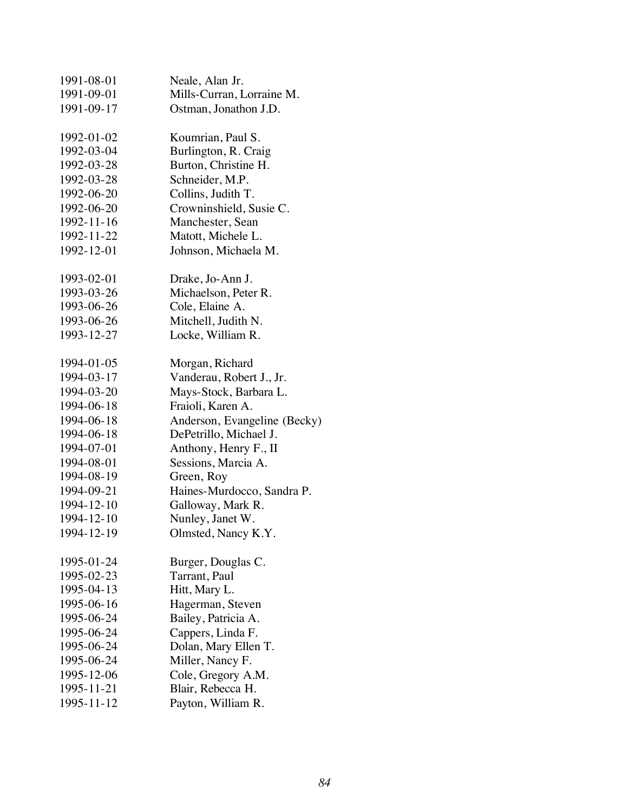| 1991-08-01 | Neale, Alan Jr.              |
|------------|------------------------------|
| 1991-09-01 | Mills-Curran, Lorraine M.    |
| 1991-09-17 | Ostman, Jonathon J.D.        |
| 1992-01-02 | Koumrian, Paul S.            |
| 1992-03-04 | Burlington, R. Craig         |
| 1992-03-28 | Burton, Christine H.         |
| 1992-03-28 | Schneider, M.P.              |
| 1992-06-20 | Collins, Judith T.           |
| 1992-06-20 | Crowninshield, Susie C.      |
| 1992-11-16 | Manchester, Sean             |
| 1992-11-22 | Matott, Michele L.           |
| 1992-12-01 | Johnson, Michaela M.         |
| 1993-02-01 | Drake, Jo-Ann J.             |
| 1993-03-26 | Michaelson, Peter R.         |
| 1993-06-26 | Cole, Elaine A.              |
| 1993-06-26 | Mitchell, Judith N.          |
| 1993-12-27 | Locke, William R.            |
| 1994-01-05 | Morgan, Richard              |
| 1994-03-17 | Vanderau, Robert J., Jr.     |
| 1994-03-20 | Mays-Stock, Barbara L.       |
| 1994-06-18 | Fraioli, Karen A.            |
| 1994-06-18 | Anderson, Evangeline (Becky) |
| 1994-06-18 | DePetrillo, Michael J.       |
| 1994-07-01 | Anthony, Henry F., II        |
| 1994-08-01 | Sessions, Marcia A.          |
| 1994-08-19 | Green, Roy                   |
| 1994-09-21 | Haines-Murdocco, Sandra P.   |
| 1994-12-10 | Galloway, Mark R.            |
| 1994-12-10 | Nunley, Janet W.             |
| 1994-12-19 | Olmsted, Nancy K.Y.          |
| 1995-01-24 | Burger, Douglas C.           |
| 1995-02-23 | Tarrant, Paul                |
| 1995-04-13 | Hitt, Mary L.                |
| 1995-06-16 | Hagerman, Steven             |
| 1995-06-24 | Bailey, Patricia A.          |
| 1995-06-24 | Cappers, Linda F.            |
| 1995-06-24 | Dolan, Mary Ellen T.         |
| 1995-06-24 | Miller, Nancy F.             |
| 1995-12-06 | Cole, Gregory A.M.           |
| 1995-11-21 | Blair, Rebecca H.            |
| 1995-11-12 | Payton, William R.           |
|            |                              |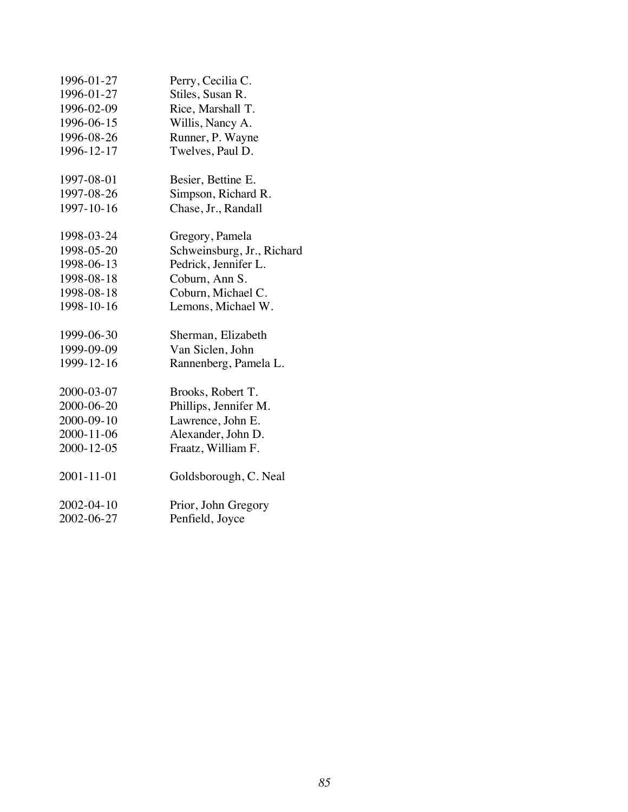| 1996-01-27 | Perry, Cecilia C.          |
|------------|----------------------------|
| 1996-01-27 | Stiles, Susan R.           |
| 1996-02-09 | Rice, Marshall T.          |
| 1996-06-15 | Willis, Nancy A.           |
| 1996-08-26 | Runner, P. Wayne           |
| 1996-12-17 | Twelves, Paul D.           |
| 1997-08-01 | Besier, Bettine E.         |
| 1997-08-26 | Simpson, Richard R.        |
| 1997-10-16 | Chase, Jr., Randall        |
| 1998-03-24 | Gregory, Pamela            |
| 1998-05-20 | Schweinsburg, Jr., Richard |
| 1998-06-13 | Pedrick, Jennifer L.       |
| 1998-08-18 | Coburn, Ann S.             |
| 1998-08-18 | Coburn, Michael C.         |
| 1998-10-16 | Lemons, Michael W.         |
| 1999-06-30 | Sherman, Elizabeth         |
| 1999-09-09 | Van Siclen, John           |
| 1999-12-16 | Rannenberg, Pamela L.      |
| 2000-03-07 | Brooks, Robert T.          |
| 2000-06-20 | Phillips, Jennifer M.      |
| 2000-09-10 | Lawrence, John E.          |
| 2000-11-06 | Alexander, John D.         |
| 2000-12-05 | Fraatz, William F.         |
| 2001-11-01 | Goldsborough, C. Neal      |
| 2002-04-10 | Prior, John Gregory        |
| 2002-06-27 | Penfield, Joyce            |
|            |                            |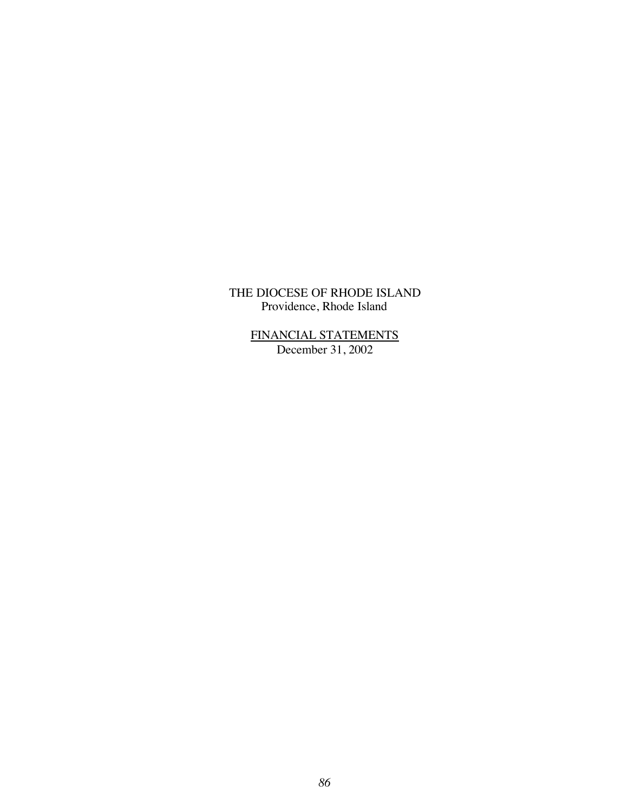> FINANCIAL STATEMENTS December 31, 2002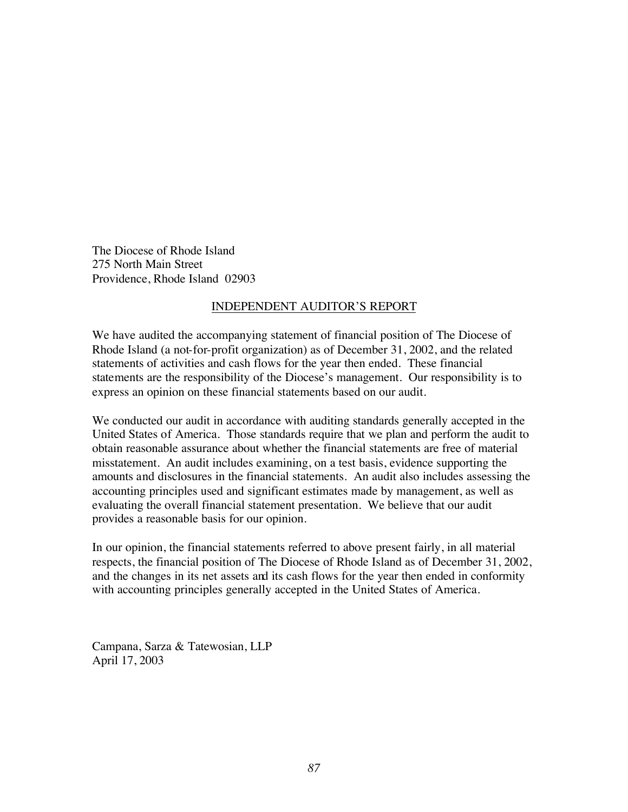The Diocese of Rhode Island 275 North Main Street Providence, Rhode Island 02903

#### INDEPENDENT AUDITOR'S REPORT

We have audited the accompanying statement of financial position of The Diocese of Rhode Island (a not-for-profit organization) as of December 31, 2002, and the related statements of activities and cash flows for the year then ended. These financial statements are the responsibility of the Diocese's management. Our responsibility is to express an opinion on these financial statements based on our audit.

We conducted our audit in accordance with auditing standards generally accepted in the United States of America. Those standards require that we plan and perform the audit to obtain reasonable assurance about whether the financial statements are free of material misstatement. An audit includes examining, on a test basis, evidence supporting the amounts and disclosures in the financial statements. An audit also includes assessing the accounting principles used and significant estimates made by management, as well as evaluating the overall financial statement presentation. We believe that our audit provides a reasonable basis for our opinion.

In our opinion, the financial statements referred to above present fairly, in all material respects, the financial position of The Diocese of Rhode Island as of December 31, 2002, and the changes in its net assets and its cash flows for the year then ended in conformity with accounting principles generally accepted in the United States of America.

Campana, Sarza & Tatewosian, LLP April 17, 2003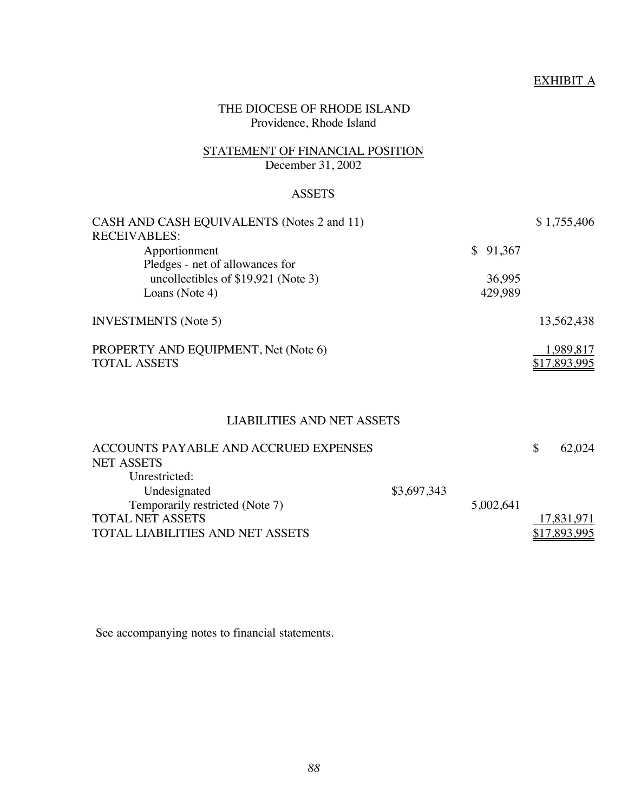# EXHIBIT A

# THE DIOCESE OF RHODE ISLAND Providence, Rhode Island

## STATEMENT OF FINANCIAL POSITION December 31, 2002

## **ASSETS**

| CASH AND CASH EQUIVALENTS (Notes 2 and 11)<br><b>RECEIVABLES:</b>      |          | \$1,755,406               |
|------------------------------------------------------------------------|----------|---------------------------|
| Apportionment                                                          | \$91,367 |                           |
| Pledges - net of allowances for<br>uncollectibles of \$19,921 (Note 3) | 36,995   |                           |
| Loans (Note 4)                                                         | 429,989  |                           |
| <b>INVESTMENTS</b> (Note 5)                                            |          | 13,562,438                |
| PROPERTY AND EQUIPMENT, Net (Note 6)<br><b>TOTAL ASSETS</b>            |          | 1,989,817<br>\$17,893,995 |

# LIABILITIES AND NET ASSETS

| ACCOUNTS PAYABLE AND ACCRUED EXPENSES |             |           | 62,024       |
|---------------------------------------|-------------|-----------|--------------|
| <b>NET ASSETS</b>                     |             |           |              |
| Unrestricted:                         |             |           |              |
| Undesignated                          | \$3,697,343 |           |              |
| Temporarily restricted (Note 7)       |             | 5,002,641 |              |
| <b>TOTAL NET ASSETS</b>               |             |           | 17,831,971   |
| TOTAL LIABILITIES AND NET ASSETS      |             |           | \$17,893,995 |
|                                       |             |           |              |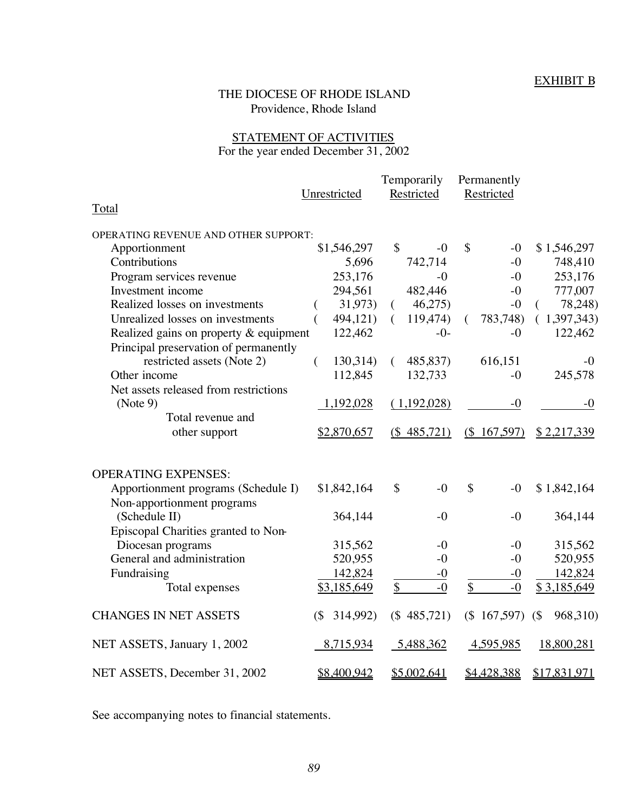# EXHIBIT B

# THE DIOCESE OF RHODE ISLAND Providence, Rhode Island

# STATEMENT OF ACTIVITIES For the year ended December 31, 2002

|                                        |                    | Temporarily                | Permanently                |                    |
|----------------------------------------|--------------------|----------------------------|----------------------------|--------------------|
|                                        | Unrestricted       | Restricted                 | Restricted                 |                    |
| Total                                  |                    |                            |                            |                    |
| OPERATING REVENUE AND OTHER SUPPORT:   |                    |                            |                            |                    |
| Apportionment                          | \$1,546,297        | \$<br>$-0$                 | \$<br>$-0$                 | \$1,546,297        |
| Contributions                          | 5,696              | 742,714                    | $-0$                       | 748,410            |
| Program services revenue               | 253,176            | $-0$                       | $-0$                       | 253,176            |
| Investment income                      | 294,561            | 482,446                    | $-0$                       | 777,007            |
| Realized losses on investments         | 31,973)            | 46,275<br>$\left($         | $-0$                       | 78,248)            |
| Unrealized losses on investments       | 494,121)           | 119,474)<br>€              | 783,748)<br>€              | (1,397,343)        |
| Realized gains on property & equipment | 122,462            | $-0-$                      | $-0$                       | 122,462            |
| Principal preservation of permanently  |                    |                            |                            |                    |
| restricted assets (Note 2)             | 130,314)<br>€      | 485,837)<br>$\left($       | 616,151                    | $-()$              |
| Other income                           | 112,845            | 132,733                    | $-0$                       | 245,578            |
| Net assets released from restrictions  |                    |                            |                            |                    |
| (Note 9)                               | 1,192,028          | (1,192,028)                | $-0$                       | $-0$               |
| Total revenue and                      |                    |                            |                            |                    |
| other support                          | \$2,870,657        | $(\$485,721)$              | $(\$ 167,597)$             | \$2,217,339        |
| <b>OPERATING EXPENSES:</b>             |                    |                            |                            |                    |
| Apportionment programs (Schedule I)    | \$1,842,164        | $\mathbf{\hat{S}}$<br>$-0$ | $\mathbf{\hat{S}}$<br>$-0$ | \$1,842,164        |
| Non-apportionment programs             |                    |                            |                            |                    |
| (Schedule II)                          | 364,144            | $-0$                       | $-0$                       | 364,144            |
| Episcopal Charities granted to Non-    |                    |                            |                            |                    |
| Diocesan programs                      | 315,562            | $-0$                       | $-0$                       | 315,562            |
| General and administration             | 520,955            | $-0$                       | $-0$                       | 520,955            |
| Fundraising                            | 142,824            | $-0$                       | $-0$                       | 142,824            |
| Total expenses                         | \$3,185,649        | \$<br>$-0$                 | \$<br>$-0$                 | \$3,185,649        |
|                                        |                    |                            |                            |                    |
| <b>CHANGES IN NET ASSETS</b>           | 314,992)<br>$($ \$ | $(\$485,721)$              | (\$167,597)                | $($ \$<br>968,310) |
| NET ASSETS, January 1, 2002            | 8,715,934          | 5,488,362                  | 4,595,985                  | 18,800,281         |
| NET ASSETS, December 31, 2002          | <u>\$8,400,942</u> | \$5,002,641                | \$4,428,388                | \$17,831,971       |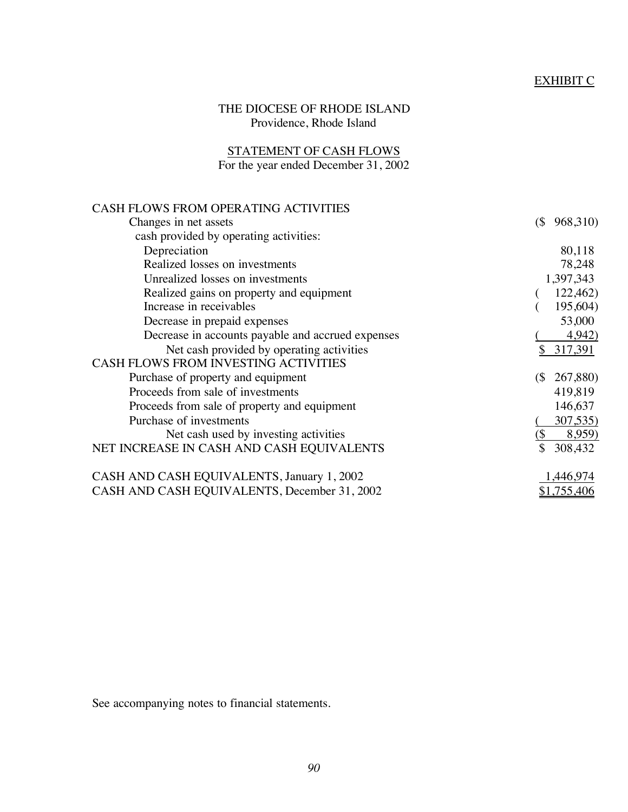# EXHIBIT C

# THE DIOCESE OF RHODE ISLAND Providence, Rhode Island

#### STATEMENT OF CASH FLOWS For the year ended December 31, 2002

| <b>CASH FLOWS FROM OPERATING ACTIVITIES</b>       |                                        |
|---------------------------------------------------|----------------------------------------|
| Changes in net assets                             | 968,310)<br>$($ \$                     |
| cash provided by operating activities:            |                                        |
| Depreciation                                      | 80,118                                 |
| Realized losses on investments                    | 78,248                                 |
| Unrealized losses on investments                  | 1,397,343                              |
| Realized gains on property and equipment          | 122,462)                               |
| Increase in receivables                           | 195,604)                               |
| Decrease in prepaid expenses                      | 53,000                                 |
| Decrease in accounts payable and accrued expenses | 4,942)                                 |
| Net cash provided by operating activities         | 317,391<br>\$                          |
| <b>CASH FLOWS FROM INVESTING ACTIVITIES</b>       |                                        |
| Purchase of property and equipment                | 267,880)<br>$\left(\frac{5}{2}\right)$ |
| Proceeds from sale of investments                 | 419,819                                |
| Proceeds from sale of property and equipment      | 146,637                                |
| Purchase of investments                           | 307,535)                               |
| Net cash used by investing activities             | (\$<br>8,959)                          |
| NET INCREASE IN CASH AND CASH EQUIVALENTS         | 308,432                                |
| CASH AND CASH EQUIVALENTS, January 1, 2002        | ,446,974                               |
| CASH AND CASH EQUIVALENTS, December 31, 2002      | \$1,755,406                            |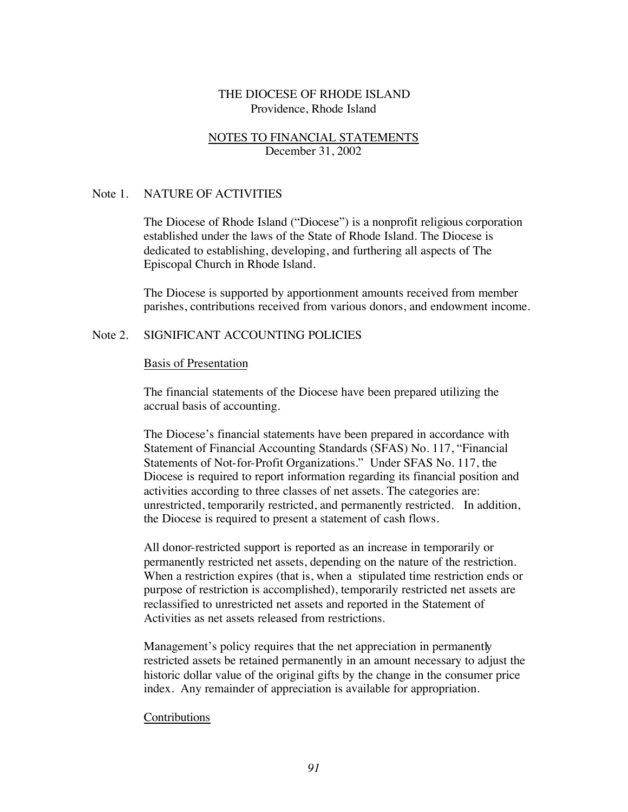## NOTES TO FINANCIAL STATEMENTS December 31, 2002

#### Note 1. NATURE OF ACTIVITIES

The Diocese of Rhode Island ("Diocese") is a nonprofit religious corporation established under the laws of the State of Rhode Island. The Diocese is dedicated to establishing, developing, and furthering all aspects of The Episcopal Church in Rhode Island.

The Diocese is supported by apportionment amounts received from member parishes, contributions received from various donors, and endowment income.

#### Note 2. SIGNIFICANT ACCOUNTING POLICIES

#### Basis of Presentation

The financial statements of the Diocese have been prepared utilizing the accrual basis of accounting.

The Diocese's financial statements have been prepared in accordance with Statement of Financial Accounting Standards (SFAS) No. 117, "Financial Statements of Not-for-Profit Organizations." Under SFAS No. 117, the Diocese is required to report information regarding its financial position and activities according to three classes of net assets. The categories are: unrestricted, temporarily restricted, and permanently restricted. In addition, the Diocese is required to present a statement of cash flows.

All donor-restricted support is reported as an increase in temporarily or permanently restricted net assets, depending on the nature of the restriction. When a restriction expires (that is, when a stipulated time restriction ends or purpose of restriction is accomplished), temporarily restricted net assets are reclassified to unrestricted net assets and reported in the Statement of Activities as net assets released from restrictions.

Management's policy requires that the net appreciation in permanently restricted assets be retained permanently in an amount necessary to adjust the historic dollar value of the original gifts by the change in the consumer price index. Any remainder of appreciation is available for appropriation.

#### Contributions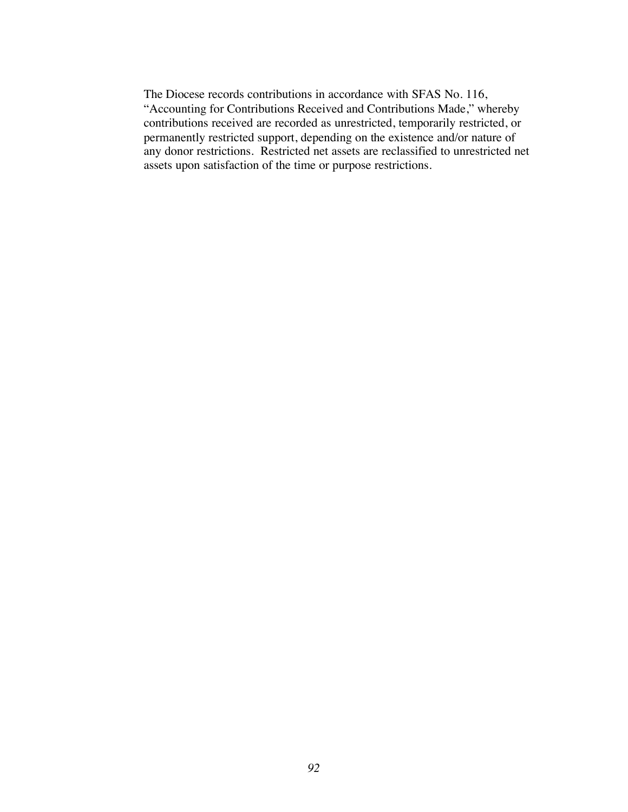The Diocese records contributions in accordance with SFAS No. 116, "Accounting for Contributions Received and Contributions Made," whereby contributions received are recorded as unrestricted, temporarily restricted, or permanently restricted support, depending on the existence and/or nature of any donor restrictions. Restricted net assets are reclassified to unrestricted net assets upon satisfaction of the time or purpose restrictions.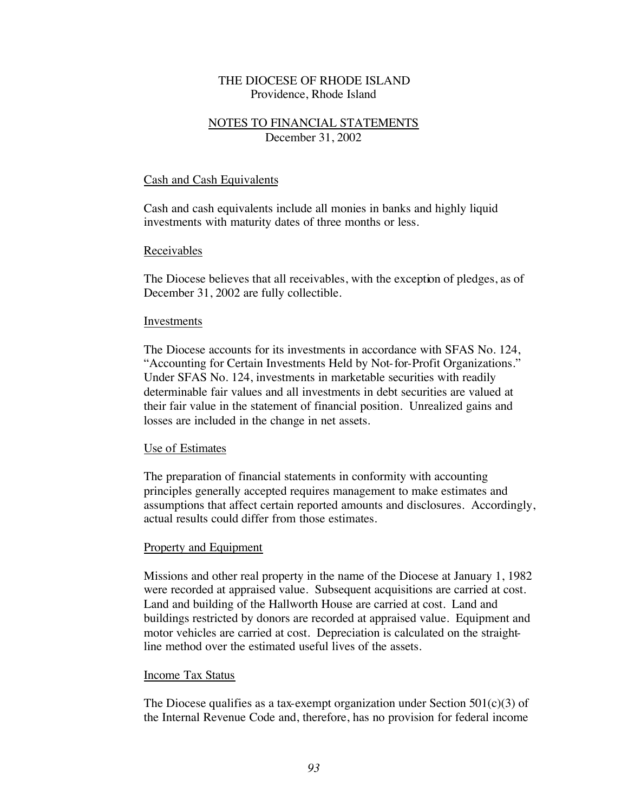## NOTES TO FINANCIAL STATEMENTS December 31, 2002

#### Cash and Cash Equivalents

Cash and cash equivalents include all monies in banks and highly liquid investments with maturity dates of three months or less.

#### Receivables

The Diocese believes that all receivables, with the exception of pledges, as of December 31, 2002 are fully collectible.

#### Investments

The Diocese accounts for its investments in accordance with SFAS No. 124, "Accounting for Certain Investments Held by Not-for-Profit Organizations." Under SFAS No. 124, investments in marketable securities with readily determinable fair values and all investments in debt securities are valued at their fair value in the statement of financial position. Unrealized gains and losses are included in the change in net assets.

#### Use of Estimates

The preparation of financial statements in conformity with accounting principles generally accepted requires management to make estimates and assumptions that affect certain reported amounts and disclosures. Accordingly, actual results could differ from those estimates.

#### Property and Equipment

Missions and other real property in the name of the Diocese at January 1, 1982 were recorded at appraised value. Subsequent acquisitions are carried at cost. Land and building of the Hallworth House are carried at cost. Land and buildings restricted by donors are recorded at appraised value. Equipment and motor vehicles are carried at cost. Depreciation is calculated on the straightline method over the estimated useful lives of the assets.

#### Income Tax Status

The Diocese qualifies as a tax-exempt organization under Section  $501(c)(3)$  of the Internal Revenue Code and, therefore, has no provision for federal income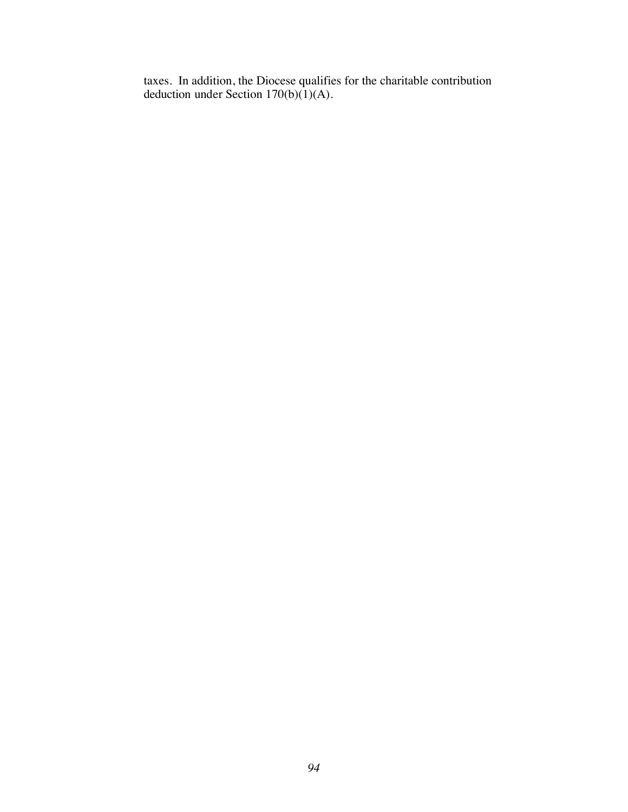taxes. In addition, the Diocese qualifies for the charitable contribution deduction under Section 170(b)(1)(A).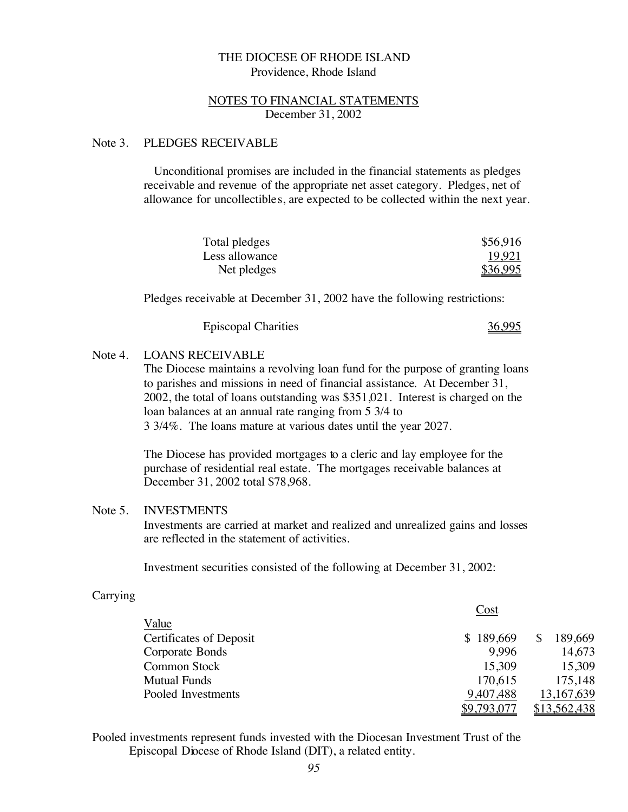#### NOTES TO FINANCIAL STATEMENTS December 31, 2002

#### Note 3. PLEDGES RECEIVABLE

Unconditional promises are included in the financial statements as pledges receivable and revenue of the appropriate net asset category. Pledges, net of allowance for uncollectibles, are expected to be collected within the next year.

| Total pledges  | \$56,916 |
|----------------|----------|
| Less allowance | 19,921   |
| Net pledges    | \$36,995 |

Pledges receivable at December 31, 2002 have the following restrictions:

| <b>Episcopal Charities</b> | 36,995 |
|----------------------------|--------|
|----------------------------|--------|

#### Note 4. LOANS RECEIVABLE

The Diocese maintains a revolving loan fund for the purpose of granting loans to parishes and missions in need of financial assistance. At December 31, 2002, the total of loans outstanding was \$351,021. Interest is charged on the loan balances at an annual rate ranging from 5 3/4 to 3 3/4%. The loans mature at various dates until the year 2027.

The Diocese has provided mortgages to a cleric and lay employee for the purchase of residential real estate. The mortgages receivable balances at December 31, 2002 total \$78,968.

#### Note 5. INVESTMENTS

Investments are carried at market and realized and unrealized gains and losses are reflected in the statement of activities.

Investment securities consisted of the following at December 31, 2002:

#### Carrying

|                                | Cost        |              |
|--------------------------------|-------------|--------------|
| Value                          |             |              |
| <b>Certificates of Deposit</b> | \$189,669   | 189,669      |
| Corporate Bonds                | 9.996       | 14,673       |
| <b>Common Stock</b>            | 15,309      | 15,309       |
| <b>Mutual Funds</b>            | 170,615     | 175,148      |
| Pooled Investments             | 9,407,488   | 13, 167, 639 |
|                                | \$9,793,077 | \$13,562,438 |

Pooled investments represent funds invested with the Diocesan Investment Trust of the Episcopal Diocese of Rhode Island (DIT), a related entity.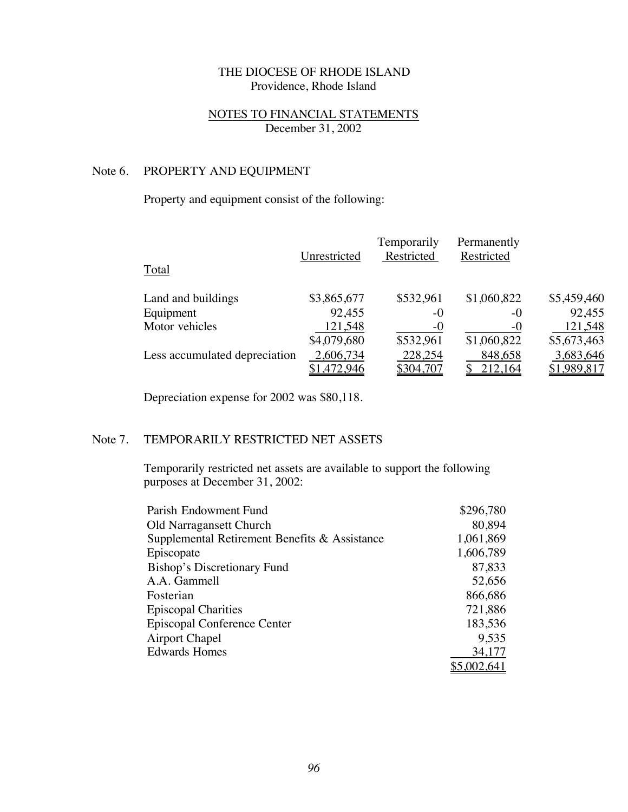## NOTES TO FINANCIAL STATEMENTS December 31, 2002

# Note 6. PROPERTY AND EQUIPMENT

# Property and equipment consist of the following:

| Total                         | Unrestricted | Temporarily<br>Restricted | Permanently<br>Restricted |             |
|-------------------------------|--------------|---------------------------|---------------------------|-------------|
| Land and buildings            | \$3,865,677  | \$532,961                 | \$1,060,822               | \$5,459,460 |
| Equipment                     | 92,455       | -0                        | -0                        | 92,455      |
| Motor vehicles                | 121,548      | $-0$                      | $-0$                      | 121,548     |
|                               | \$4,079,680  | \$532,961                 | \$1,060,822               | \$5,673,463 |
| Less accumulated depreciation | 2,606,734    | 228,254                   | 848,658                   | 3,683,646   |
|                               | \$1,472,946  | \$304,707                 | 212,164                   | \$1,989,817 |

Depreciation expense for 2002 was \$80,118.

## Note 7. TEMPORARILY RESTRICTED NET ASSETS

Temporarily restricted net assets are available to support the following purposes at December 31, 2002:

| Parish Endowment Fund                         | \$296,780 |
|-----------------------------------------------|-----------|
| Old Narragansett Church                       | 80,894    |
| Supplemental Retirement Benefits & Assistance | 1,061,869 |
| Episcopate                                    | 1,606,789 |
| Bishop's Discretionary Fund                   | 87,833    |
| A.A. Gammell                                  | 52,656    |
| Fosterian                                     | 866,686   |
| <b>Episcopal Charities</b>                    | 721,886   |
| Episcopal Conference Center                   | 183,536   |
| <b>Airport Chapel</b>                         | 9,535     |
| <b>Edwards Homes</b>                          | 34,177    |
|                                               | ,002,641  |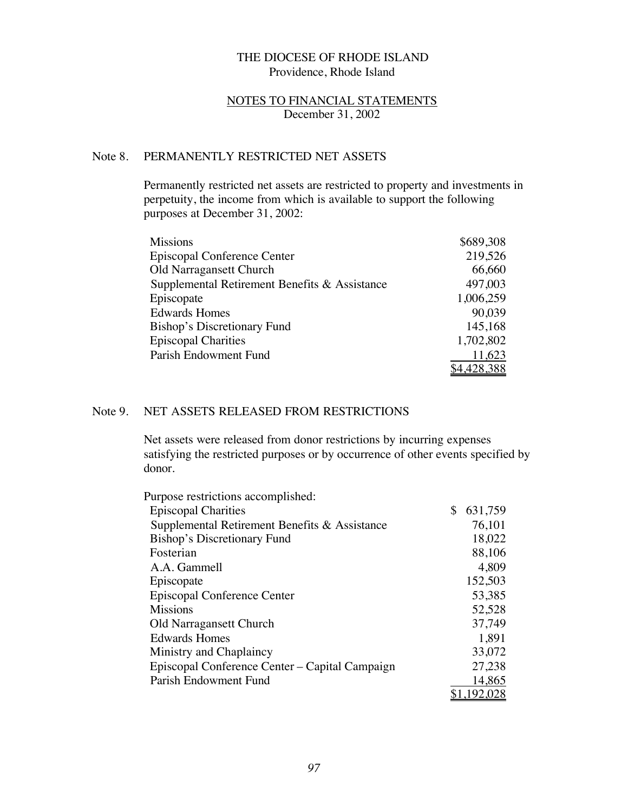#### NOTES TO FINANCIAL STATEMENTS December 31, 2002

# Note 8. PERMANENTLY RESTRICTED NET ASSETS

Permanently restricted net assets are restricted to property and investments in perpetuity, the income from which is available to support the following purposes at December 31, 2002:

| <b>Missions</b>                               | \$689,308 |
|-----------------------------------------------|-----------|
| Episcopal Conference Center                   | 219,526   |
| <b>Old Narragansett Church</b>                | 66,660    |
| Supplemental Retirement Benefits & Assistance | 497,003   |
| Episcopate                                    | 1,006,259 |
| <b>Edwards Homes</b>                          | 90,039    |
| <b>Bishop's Discretionary Fund</b>            | 145,168   |
| <b>Episcopal Charities</b>                    | 1,702,802 |
| Parish Endowment Fund                         | 11,623    |
|                                               | 4,428,388 |

## Note 9. NET ASSETS RELEASED FROM RESTRICTIONS

Net assets were released from donor restrictions by incurring expenses satisfying the restricted purposes or by occurrence of other events specified by donor.

| Purpose restrictions accomplished:             |               |
|------------------------------------------------|---------------|
| <b>Episcopal Charities</b>                     | \$<br>631,759 |
| Supplemental Retirement Benefits & Assistance  | 76,101        |
| Bishop's Discretionary Fund                    | 18,022        |
| Fosterian                                      | 88,106        |
| A.A. Gammell                                   | 4,809         |
| Episcopate                                     | 152,503       |
| Episcopal Conference Center                    | 53,385        |
| <b>Missions</b>                                | 52,528        |
| <b>Old Narragansett Church</b>                 | 37,749        |
| <b>Edwards Homes</b>                           | 1,891         |
| Ministry and Chaplaincy                        | 33,072        |
| Episcopal Conference Center – Capital Campaign | 27,238        |
| Parish Endowment Fund                          | 14,865        |
|                                                | 1,192,028     |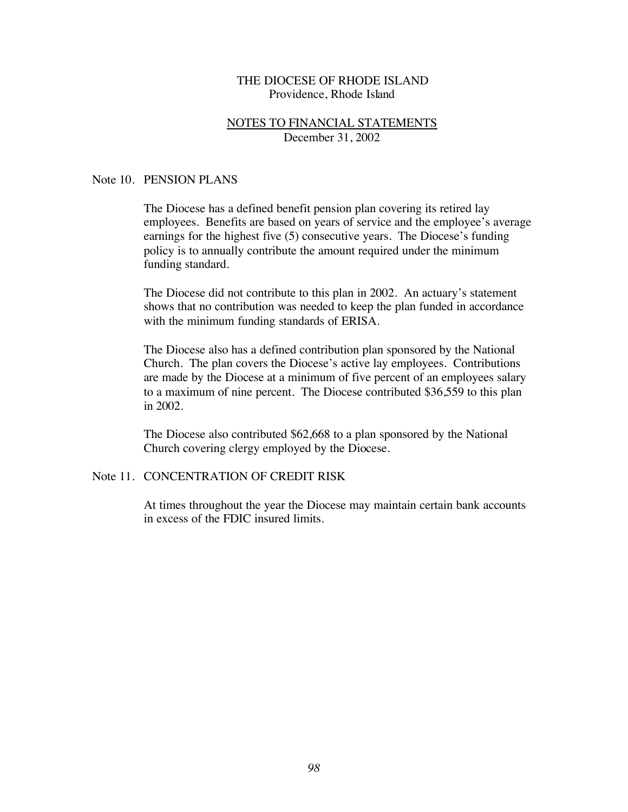#### NOTES TO FINANCIAL STATEMENTS December 31, 2002

#### Note 10. PENSION PLANS

The Diocese has a defined benefit pension plan covering its retired lay employees. Benefits are based on years of service and the employee's average earnings for the highest five (5) consecutive years. The Diocese's funding policy is to annually contribute the amount required under the minimum funding standard.

The Diocese did not contribute to this plan in 2002. An actuary's statement shows that no contribution was needed to keep the plan funded in accordance with the minimum funding standards of ERISA.

The Diocese also has a defined contribution plan sponsored by the National Church. The plan covers the Diocese's active lay employees. Contributions are made by the Diocese at a minimum of five percent of an employees salary to a maximum of nine percent. The Diocese contributed \$36,559 to this plan in 2002.

The Diocese also contributed \$62,668 to a plan sponsored by the National Church covering clergy employed by the Diocese.

## Note 11. CONCENTRATION OF CREDIT RISK

At times throughout the year the Diocese may maintain certain bank accounts in excess of the FDIC insured limits.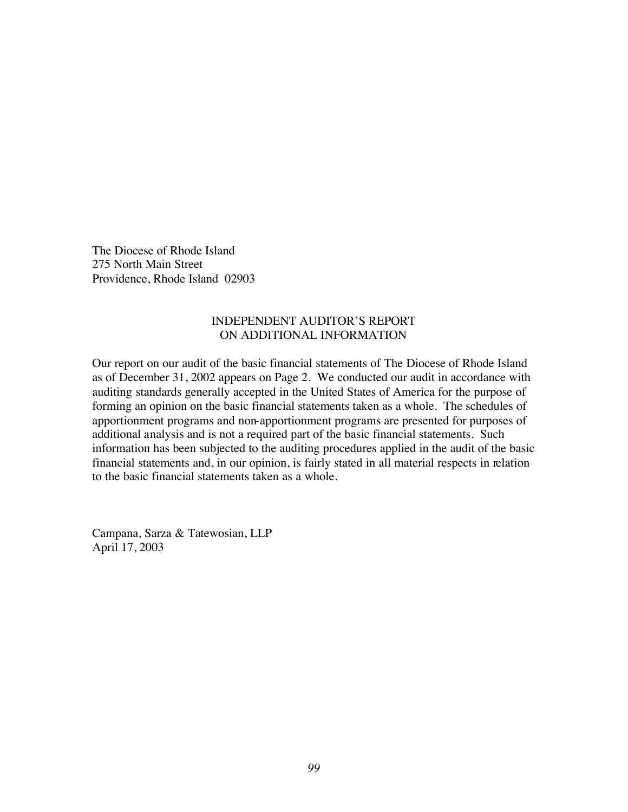The Diocese of Rhode Island 275 North Main Street Providence, Rhode Island 02903

## INDEPENDENT AUDITOR'S REPORT ON ADDITIONAL INFORMATION

Our report on our audit of the basic financial statements of The Diocese of Rhode Island as of December 31, 2002 appears on Page 2. We conducted our audit in accordance with auditing standards generally accepted in the United States of America for the purpose of forming an opinion on the basic financial statements taken as a whole. The schedules of apportionment programs and non-apportionment programs are presented for purposes of additional analysis and is not a required part of the basic financial statements. Such information has been subjected to the auditing procedures applied in the audit of the basic financial statements and, in our opinion, is fairly stated in all material respects in relation to the basic financial statements taken as a whole.

Campana, Sarza & Tatewosian, LLP April 17, 2003